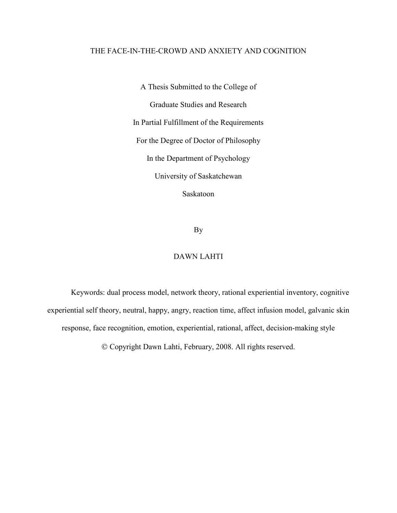# THE FACE-IN-THE-CROWD AND ANXIETY AND COGNITION

A Thesis Submitted to the College of Graduate Studies and Research In Partial Fulfillment of the Requirements For the Degree of Doctor of Philosophy In the Department of Psychology University of Saskatchewan Saskatoon

By

# DAWN LAHTI

Keywords: dual process model, network theory, rational experiential inventory, cognitive experiential self theory, neutral, happy, angry, reaction time, affect infusion model, galvanic skin response, face recognition, emotion, experiential, rational, affect, decision-making style

Copyright Dawn Lahti, February, 2008. All rights reserved.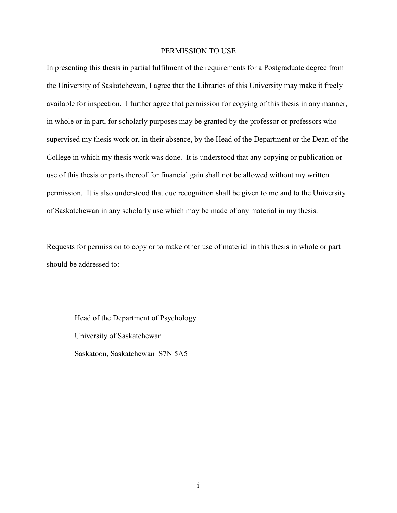# PERMISSION TO USE

In presenting this thesis in partial fulfilment of the requirements for a Postgraduate degree from the University of Saskatchewan, I agree that the Libraries of this University may make it freely available for inspection. I further agree that permission for copying of this thesis in any manner, in whole or in part, for scholarly purposes may be granted by the professor or professors who supervised my thesis work or, in their absence, by the Head of the Department or the Dean of the College in which my thesis work was done. It is understood that any copying or publication or use of this thesis or parts thereof for financial gain shall not be allowed without my written permission. It is also understood that due recognition shall be given to me and to the University of Saskatchewan in any scholarly use which may be made of any material in my thesis.

Requests for permission to copy or to make other use of material in this thesis in whole or part should be addressed to:

 Head of the Department of Psychology University of Saskatchewan Saskatoon, Saskatchewan S7N 5A5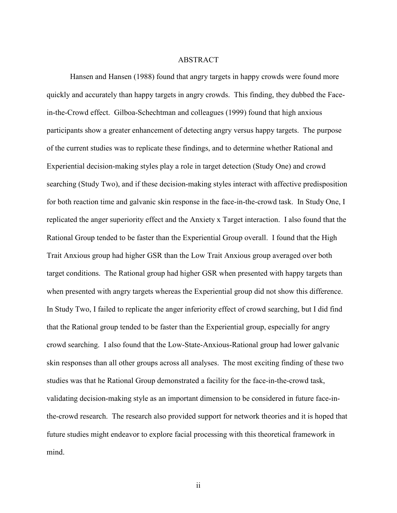#### ABSTRACT

Hansen and Hansen (1988) found that angry targets in happy crowds were found more quickly and accurately than happy targets in angry crowds. This finding, they dubbed the Facein-the-Crowd effect. Gilboa-Schechtman and colleagues (1999) found that high anxious participants show a greater enhancement of detecting angry versus happy targets. The purpose of the current studies was to replicate these findings, and to determine whether Rational and Experiential decision-making styles play a role in target detection (Study One) and crowd searching (Study Two), and if these decision-making styles interact with affective predisposition for both reaction time and galvanic skin response in the face-in-the-crowd task. In Study One, I replicated the anger superiority effect and the Anxiety x Target interaction. I also found that the Rational Group tended to be faster than the Experiential Group overall. I found that the High Trait Anxious group had higher GSR than the Low Trait Anxious group averaged over both target conditions. The Rational group had higher GSR when presented with happy targets than when presented with angry targets whereas the Experiential group did not show this difference. In Study Two, I failed to replicate the anger inferiority effect of crowd searching, but I did find that the Rational group tended to be faster than the Experiential group, especially for angry crowd searching. I also found that the Low-State-Anxious-Rational group had lower galvanic skin responses than all other groups across all analyses. The most exciting finding of these two studies was that he Rational Group demonstrated a facility for the face-in-the-crowd task, validating decision-making style as an important dimension to be considered in future face-inthe-crowd research. The research also provided support for network theories and it is hoped that future studies might endeavor to explore facial processing with this theoretical framework in mind.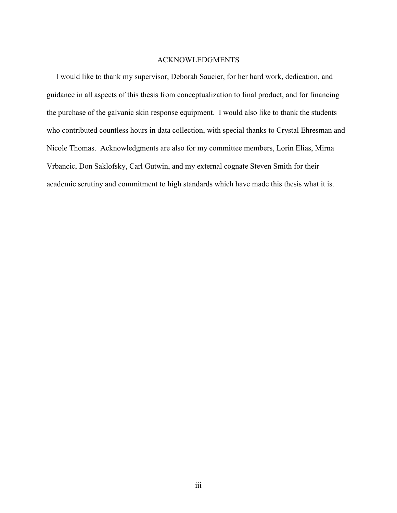# ACKNOWLEDGMENTS

I would like to thank my supervisor, Deborah Saucier, for her hard work, dedication, and guidance in all aspects of this thesis from conceptualization to final product, and for financing the purchase of the galvanic skin response equipment. I would also like to thank the students who contributed countless hours in data collection, with special thanks to Crystal Ehresman and Nicole Thomas. Acknowledgments are also for my committee members, Lorin Elias, Mirna Vrbancic, Don Saklofsky, Carl Gutwin, and my external cognate Steven Smith for their academic scrutiny and commitment to high standards which have made this thesis what it is.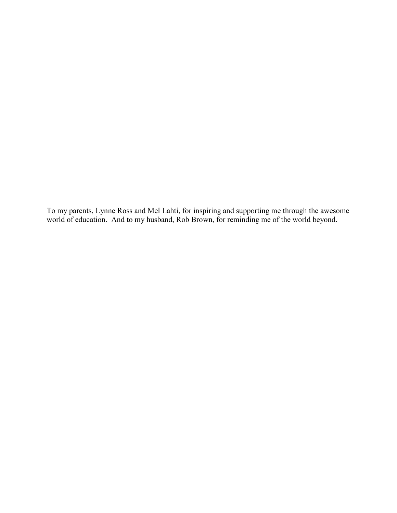To my parents, Lynne Ross and Mel Lahti, for inspiring and supporting me through the awesome world of education. And to my husband, Rob Brown, for reminding me of the world beyond.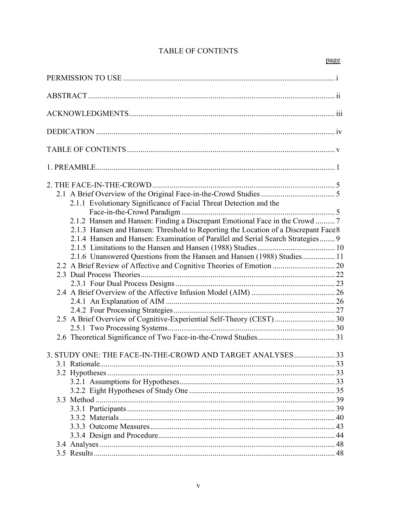# **TABLE OF CONTENTS**

| 2.1.1 Evolutionary Significance of Facial Threat Detection and the                                                                                                  |  |
|---------------------------------------------------------------------------------------------------------------------------------------------------------------------|--|
| 2.1.2 Hansen and Hansen: Finding a Discrepant Emotional Face in the Crowd  7<br>2.1.3 Hansen and Hansen: Threshold to Reporting the Location of a Discrepant Face 8 |  |
| 2.1.4 Hansen and Hansen: Examination of Parallel and Serial Search Strategies 9                                                                                     |  |
| 2.1.6 Unanswered Questions from the Hansen and Hansen (1988) Studies 11                                                                                             |  |
|                                                                                                                                                                     |  |
|                                                                                                                                                                     |  |
| 2.5 A Brief Overview of Cognitive-Experiential Self-Theory (CEST)  30                                                                                               |  |
|                                                                                                                                                                     |  |
| 3. STUDY ONE: THE FACE-IN-THE-CROWD AND TARGET ANALYSES33                                                                                                           |  |
|                                                                                                                                                                     |  |
|                                                                                                                                                                     |  |
|                                                                                                                                                                     |  |
|                                                                                                                                                                     |  |
|                                                                                                                                                                     |  |
|                                                                                                                                                                     |  |
|                                                                                                                                                                     |  |
|                                                                                                                                                                     |  |
|                                                                                                                                                                     |  |
|                                                                                                                                                                     |  |
|                                                                                                                                                                     |  |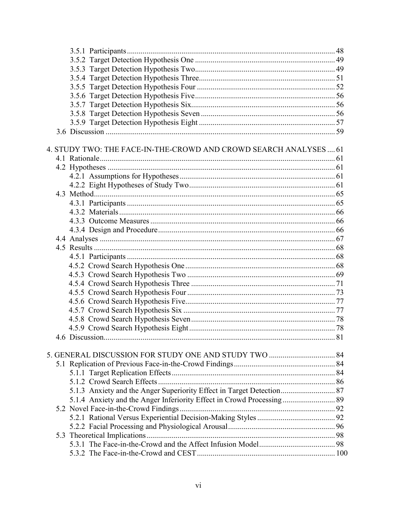| 4. STUDY TWO: THE FACE-IN-THE-CROWD AND CROWD SEARCH ANALYSES  61     |  |
|-----------------------------------------------------------------------|--|
|                                                                       |  |
|                                                                       |  |
|                                                                       |  |
|                                                                       |  |
|                                                                       |  |
|                                                                       |  |
|                                                                       |  |
|                                                                       |  |
|                                                                       |  |
|                                                                       |  |
|                                                                       |  |
|                                                                       |  |
|                                                                       |  |
|                                                                       |  |
|                                                                       |  |
|                                                                       |  |
|                                                                       |  |
|                                                                       |  |
|                                                                       |  |
|                                                                       |  |
|                                                                       |  |
|                                                                       |  |
|                                                                       |  |
|                                                                       |  |
|                                                                       |  |
|                                                                       |  |
| 5.1.3 Anxiety and the Anger Superiority Effect in Target Detection 87 |  |
|                                                                       |  |
|                                                                       |  |
|                                                                       |  |
|                                                                       |  |
|                                                                       |  |
|                                                                       |  |
|                                                                       |  |
|                                                                       |  |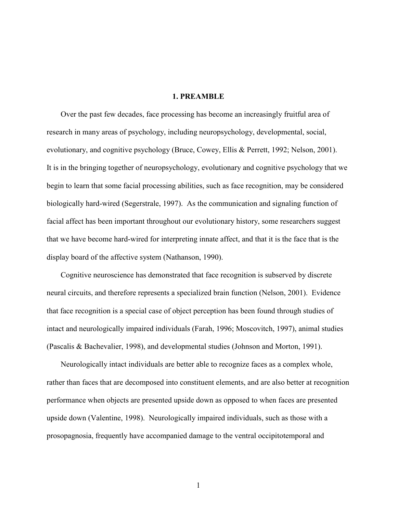# 1. PREAMBLE

Over the past few decades, face processing has become an increasingly fruitful area of research in many areas of psychology, including neuropsychology, developmental, social, evolutionary, and cognitive psychology (Bruce, Cowey, Ellis & Perrett, 1992; Nelson, 2001). It is in the bringing together of neuropsychology, evolutionary and cognitive psychology that we begin to learn that some facial processing abilities, such as face recognition, may be considered biologically hard-wired (Segerstrale, 1997). As the communication and signaling function of facial affect has been important throughout our evolutionary history, some researchers suggest that we have become hard-wired for interpreting innate affect, and that it is the face that is the display board of the affective system (Nathanson, 1990).

 Cognitive neuroscience has demonstrated that face recognition is subserved by discrete neural circuits, and therefore represents a specialized brain function (Nelson, 2001). Evidence that face recognition is a special case of object perception has been found through studies of intact and neurologically impaired individuals (Farah, 1996; Moscovitch, 1997), animal studies (Pascalis & Bachevalier, 1998), and developmental studies (Johnson and Morton, 1991).

 Neurologically intact individuals are better able to recognize faces as a complex whole, rather than faces that are decomposed into constituent elements, and are also better at recognition performance when objects are presented upside down as opposed to when faces are presented upside down (Valentine, 1998). Neurologically impaired individuals, such as those with a prosopagnosia, frequently have accompanied damage to the ventral occipitotemporal and

1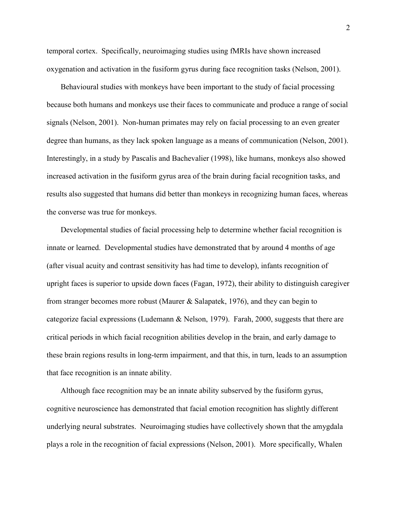temporal cortex. Specifically, neuroimaging studies using fMRIs have shown increased oxygenation and activation in the fusiform gyrus during face recognition tasks (Nelson, 2001).

 Behavioural studies with monkeys have been important to the study of facial processing because both humans and monkeys use their faces to communicate and produce a range of social signals (Nelson, 2001). Non-human primates may rely on facial processing to an even greater degree than humans, as they lack spoken language as a means of communication (Nelson, 2001). Interestingly, in a study by Pascalis and Bachevalier (1998), like humans, monkeys also showed increased activation in the fusiform gyrus area of the brain during facial recognition tasks, and results also suggested that humans did better than monkeys in recognizing human faces, whereas the converse was true for monkeys.

 Developmental studies of facial processing help to determine whether facial recognition is innate or learned. Developmental studies have demonstrated that by around 4 months of age (after visual acuity and contrast sensitivity has had time to develop), infants recognition of upright faces is superior to upside down faces (Fagan, 1972), their ability to distinguish caregiver from stranger becomes more robust (Maurer & Salapatek, 1976), and they can begin to categorize facial expressions (Ludemann & Nelson, 1979). Farah, 2000, suggests that there are critical periods in which facial recognition abilities develop in the brain, and early damage to these brain regions results in long-term impairment, and that this, in turn, leads to an assumption that face recognition is an innate ability.

 Although face recognition may be an innate ability subserved by the fusiform gyrus, cognitive neuroscience has demonstrated that facial emotion recognition has slightly different underlying neural substrates. Neuroimaging studies have collectively shown that the amygdala plays a role in the recognition of facial expressions (Nelson, 2001). More specifically, Whalen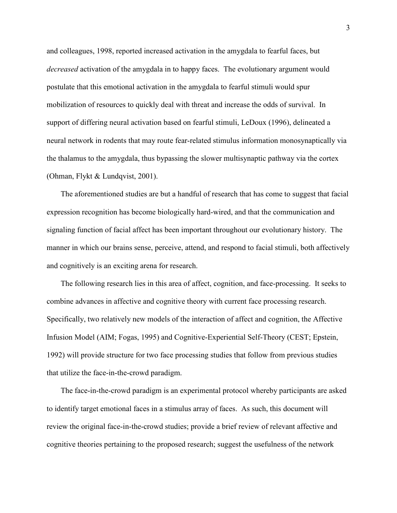and colleagues, 1998, reported increased activation in the amygdala to fearful faces, but decreased activation of the amygdala in to happy faces. The evolutionary argument would postulate that this emotional activation in the amygdala to fearful stimuli would spur mobilization of resources to quickly deal with threat and increase the odds of survival. In support of differing neural activation based on fearful stimuli, LeDoux (1996), delineated a neural network in rodents that may route fear-related stimulus information monosynaptically via the thalamus to the amygdala, thus bypassing the slower multisynaptic pathway via the cortex (Ohman, Flykt & Lundqvist, 2001).

 The aforementioned studies are but a handful of research that has come to suggest that facial expression recognition has become biologically hard-wired, and that the communication and signaling function of facial affect has been important throughout our evolutionary history. The manner in which our brains sense, perceive, attend, and respond to facial stimuli, both affectively and cognitively is an exciting arena for research.

 The following research lies in this area of affect, cognition, and face-processing. It seeks to combine advances in affective and cognitive theory with current face processing research. Specifically, two relatively new models of the interaction of affect and cognition, the Affective Infusion Model (AIM; Fogas, 1995) and Cognitive-Experiential Self-Theory (CEST; Epstein, 1992) will provide structure for two face processing studies that follow from previous studies that utilize the face-in-the-crowd paradigm.

 The face-in-the-crowd paradigm is an experimental protocol whereby participants are asked to identify target emotional faces in a stimulus array of faces. As such, this document will review the original face-in-the-crowd studies; provide a brief review of relevant affective and cognitive theories pertaining to the proposed research; suggest the usefulness of the network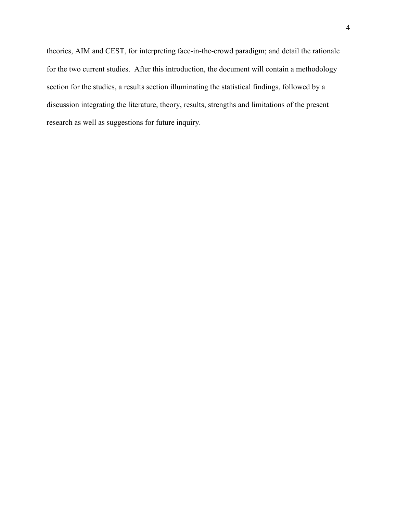theories, AIM and CEST, for interpreting face-in-the-crowd paradigm; and detail the rationale for the two current studies. After this introduction, the document will contain a methodology section for the studies, a results section illuminating the statistical findings, followed by a discussion integrating the literature, theory, results, strengths and limitations of the present research as well as suggestions for future inquiry.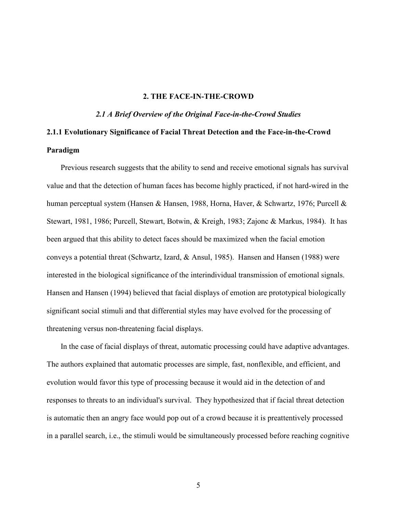# 2. THE FACE-IN-THE-CROWD

2.1 A Brief Overview of the Original Face-in-the-Crowd Studies

# 2.1.1 Evolutionary Significance of Facial Threat Detection and the Face-in-the-Crowd Paradigm

Previous research suggests that the ability to send and receive emotional signals has survival value and that the detection of human faces has become highly practiced, if not hard-wired in the human perceptual system (Hansen & Hansen, 1988, Horna, Haver, & Schwartz, 1976; Purcell & Stewart, 1981, 1986; Purcell, Stewart, Botwin, & Kreigh, 1983; Zajonc & Markus, 1984). It has been argued that this ability to detect faces should be maximized when the facial emotion conveys a potential threat (Schwartz, Izard, & Ansul, 1985). Hansen and Hansen (1988) were interested in the biological significance of the interindividual transmission of emotional signals. Hansen and Hansen (1994) believed that facial displays of emotion are prototypical biologically significant social stimuli and that differential styles may have evolved for the processing of threatening versus non-threatening facial displays.

In the case of facial displays of threat, automatic processing could have adaptive advantages. The authors explained that automatic processes are simple, fast, nonflexible, and efficient, and evolution would favor this type of processing because it would aid in the detection of and responses to threats to an individual's survival. They hypothesized that if facial threat detection is automatic then an angry face would pop out of a crowd because it is preattentively processed in a parallel search, i.e., the stimuli would be simultaneously processed before reaching cognitive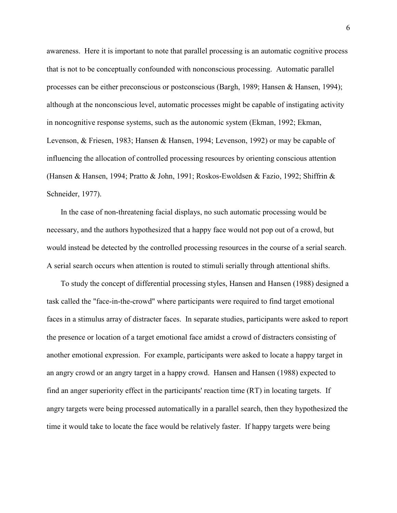awareness. Here it is important to note that parallel processing is an automatic cognitive process that is not to be conceptually confounded with nonconscious processing. Automatic parallel processes can be either preconscious or postconscious (Bargh, 1989; Hansen & Hansen, 1994); although at the nonconscious level, automatic processes might be capable of instigating activity in noncognitive response systems, such as the autonomic system (Ekman, 1992; Ekman, Levenson, & Friesen, 1983; Hansen & Hansen, 1994; Levenson, 1992) or may be capable of influencing the allocation of controlled processing resources by orienting conscious attention (Hansen & Hansen, 1994; Pratto & John, 1991; Roskos-Ewoldsen & Fazio, 1992; Shiffrin & Schneider, 1977).

In the case of non-threatening facial displays, no such automatic processing would be necessary, and the authors hypothesized that a happy face would not pop out of a crowd, but would instead be detected by the controlled processing resources in the course of a serial search. A serial search occurs when attention is routed to stimuli serially through attentional shifts.

To study the concept of differential processing styles, Hansen and Hansen (1988) designed a task called the "face-in-the-crowd" where participants were required to find target emotional faces in a stimulus array of distracter faces. In separate studies, participants were asked to report the presence or location of a target emotional face amidst a crowd of distracters consisting of another emotional expression. For example, participants were asked to locate a happy target in an angry crowd or an angry target in a happy crowd. Hansen and Hansen (1988) expected to find an anger superiority effect in the participants' reaction time (RT) in locating targets. If angry targets were being processed automatically in a parallel search, then they hypothesized the time it would take to locate the face would be relatively faster. If happy targets were being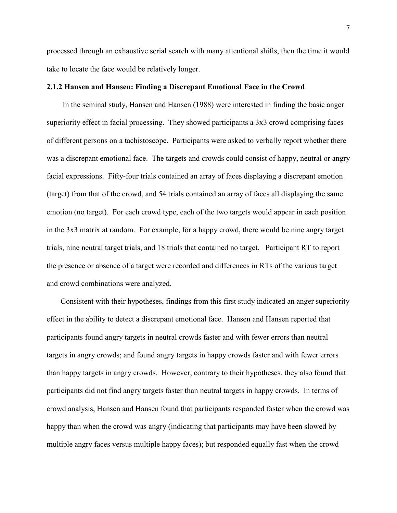processed through an exhaustive serial search with many attentional shifts, then the time it would take to locate the face would be relatively longer.

#### 2.1.2 Hansen and Hansen: Finding a Discrepant Emotional Face in the Crowd

In the seminal study, Hansen and Hansen (1988) were interested in finding the basic anger superiority effect in facial processing. They showed participants a 3x3 crowd comprising faces of different persons on a tachistoscope. Participants were asked to verbally report whether there was a discrepant emotional face. The targets and crowds could consist of happy, neutral or angry facial expressions. Fifty-four trials contained an array of faces displaying a discrepant emotion (target) from that of the crowd, and 54 trials contained an array of faces all displaying the same emotion (no target). For each crowd type, each of the two targets would appear in each position in the 3x3 matrix at random. For example, for a happy crowd, there would be nine angry target trials, nine neutral target trials, and 18 trials that contained no target. Participant RT to report the presence or absence of a target were recorded and differences in RTs of the various target and crowd combinations were analyzed.

Consistent with their hypotheses, findings from this first study indicated an anger superiority effect in the ability to detect a discrepant emotional face. Hansen and Hansen reported that participants found angry targets in neutral crowds faster and with fewer errors than neutral targets in angry crowds; and found angry targets in happy crowds faster and with fewer errors than happy targets in angry crowds. However, contrary to their hypotheses, they also found that participants did not find angry targets faster than neutral targets in happy crowds. In terms of crowd analysis, Hansen and Hansen found that participants responded faster when the crowd was happy than when the crowd was angry (indicating that participants may have been slowed by multiple angry faces versus multiple happy faces); but responded equally fast when the crowd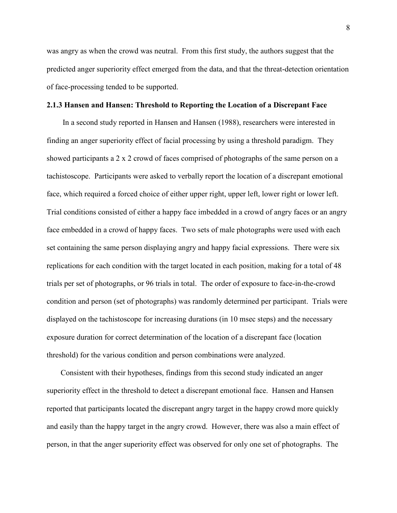was angry as when the crowd was neutral. From this first study, the authors suggest that the predicted anger superiority effect emerged from the data, and that the threat-detection orientation of face-processing tended to be supported.

#### 2.1.3 Hansen and Hansen: Threshold to Reporting the Location of a Discrepant Face

In a second study reported in Hansen and Hansen (1988), researchers were interested in finding an anger superiority effect of facial processing by using a threshold paradigm. They showed participants a 2 x 2 crowd of faces comprised of photographs of the same person on a tachistoscope. Participants were asked to verbally report the location of a discrepant emotional face, which required a forced choice of either upper right, upper left, lower right or lower left. Trial conditions consisted of either a happy face imbedded in a crowd of angry faces or an angry face embedded in a crowd of happy faces. Two sets of male photographs were used with each set containing the same person displaying angry and happy facial expressions. There were six replications for each condition with the target located in each position, making for a total of 48 trials per set of photographs, or 96 trials in total. The order of exposure to face-in-the-crowd condition and person (set of photographs) was randomly determined per participant. Trials were displayed on the tachistoscope for increasing durations (in 10 msec steps) and the necessary exposure duration for correct determination of the location of a discrepant face (location threshold) for the various condition and person combinations were analyzed.

Consistent with their hypotheses, findings from this second study indicated an anger superiority effect in the threshold to detect a discrepant emotional face. Hansen and Hansen reported that participants located the discrepant angry target in the happy crowd more quickly and easily than the happy target in the angry crowd. However, there was also a main effect of person, in that the anger superiority effect was observed for only one set of photographs. The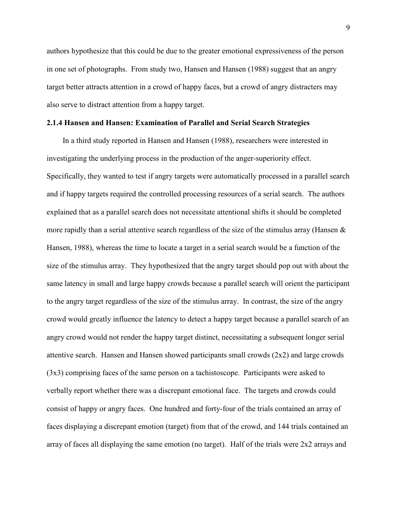authors hypothesize that this could be due to the greater emotional expressiveness of the person in one set of photographs. From study two, Hansen and Hansen (1988) suggest that an angry target better attracts attention in a crowd of happy faces, but a crowd of angry distracters may also serve to distract attention from a happy target.

#### 2.1.4 Hansen and Hansen: Examination of Parallel and Serial Search Strategies

In a third study reported in Hansen and Hansen (1988), researchers were interested in investigating the underlying process in the production of the anger-superiority effect. Specifically, they wanted to test if angry targets were automatically processed in a parallel search and if happy targets required the controlled processing resources of a serial search. The authors explained that as a parallel search does not necessitate attentional shifts it should be completed more rapidly than a serial attentive search regardless of the size of the stimulus array (Hansen & Hansen, 1988), whereas the time to locate a target in a serial search would be a function of the size of the stimulus array. They hypothesized that the angry target should pop out with about the same latency in small and large happy crowds because a parallel search will orient the participant to the angry target regardless of the size of the stimulus array. In contrast, the size of the angry crowd would greatly influence the latency to detect a happy target because a parallel search of an angry crowd would not render the happy target distinct, necessitating a subsequent longer serial attentive search. Hansen and Hansen showed participants small crowds (2x2) and large crowds (3x3) comprising faces of the same person on a tachistoscope. Participants were asked to verbally report whether there was a discrepant emotional face. The targets and crowds could consist of happy or angry faces. One hundred and forty-four of the trials contained an array of faces displaying a discrepant emotion (target) from that of the crowd, and 144 trials contained an array of faces all displaying the same emotion (no target). Half of the trials were 2x2 arrays and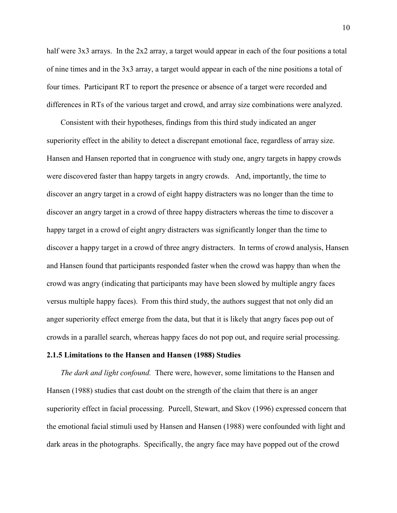half were 3x3 arrays. In the 2x2 array, a target would appear in each of the four positions a total of nine times and in the 3x3 array, a target would appear in each of the nine positions a total of four times. Participant RT to report the presence or absence of a target were recorded and differences in RTs of the various target and crowd, and array size combinations were analyzed.

 Consistent with their hypotheses, findings from this third study indicated an anger superiority effect in the ability to detect a discrepant emotional face, regardless of array size. Hansen and Hansen reported that in congruence with study one, angry targets in happy crowds were discovered faster than happy targets in angry crowds. And, importantly, the time to discover an angry target in a crowd of eight happy distracters was no longer than the time to discover an angry target in a crowd of three happy distracters whereas the time to discover a happy target in a crowd of eight angry distracters was significantly longer than the time to discover a happy target in a crowd of three angry distracters. In terms of crowd analysis, Hansen and Hansen found that participants responded faster when the crowd was happy than when the crowd was angry (indicating that participants may have been slowed by multiple angry faces versus multiple happy faces). From this third study, the authors suggest that not only did an anger superiority effect emerge from the data, but that it is likely that angry faces pop out of crowds in a parallel search, whereas happy faces do not pop out, and require serial processing.

#### 2.1.5 Limitations to the Hansen and Hansen (1988) Studies

The dark and light confound. There were, however, some limitations to the Hansen and Hansen (1988) studies that cast doubt on the strength of the claim that there is an anger superiority effect in facial processing. Purcell, Stewart, and Skov (1996) expressed concern that the emotional facial stimuli used by Hansen and Hansen (1988) were confounded with light and dark areas in the photographs. Specifically, the angry face may have popped out of the crowd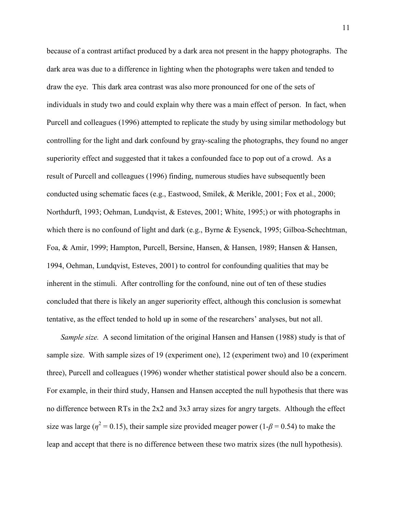because of a contrast artifact produced by a dark area not present in the happy photographs. The dark area was due to a difference in lighting when the photographs were taken and tended to draw the eye. This dark area contrast was also more pronounced for one of the sets of individuals in study two and could explain why there was a main effect of person. In fact, when Purcell and colleagues (1996) attempted to replicate the study by using similar methodology but controlling for the light and dark confound by gray-scaling the photographs, they found no anger superiority effect and suggested that it takes a confounded face to pop out of a crowd. As a result of Purcell and colleagues (1996) finding, numerous studies have subsequently been conducted using schematic faces (e.g., Eastwood, Smilek, & Merikle, 2001; Fox et al., 2000; Northdurft, 1993; Oehman, Lundqvist, & Esteves, 2001; White, 1995;) or with photographs in which there is no confound of light and dark (e.g., Byrne & Eysenck, 1995; Gilboa-Schechtman, Foa, & Amir, 1999; Hampton, Purcell, Bersine, Hansen, & Hansen, 1989; Hansen & Hansen, 1994, Oehman, Lundqvist, Esteves, 2001) to control for confounding qualities that may be inherent in the stimuli. After controlling for the confound, nine out of ten of these studies concluded that there is likely an anger superiority effect, although this conclusion is somewhat tentative, as the effect tended to hold up in some of the researchers' analyses, but not all.

Sample size. A second limitation of the original Hansen and Hansen (1988) study is that of sample size. With sample sizes of 19 (experiment one), 12 (experiment two) and 10 (experiment three), Purcell and colleagues (1996) wonder whether statistical power should also be a concern. For example, in their third study, Hansen and Hansen accepted the null hypothesis that there was no difference between RTs in the 2x2 and 3x3 array sizes for angry targets. Although the effect size was large ( $\eta^2$  = 0.15), their sample size provided meager power (1- $\beta$  = 0.54) to make the leap and accept that there is no difference between these two matrix sizes (the null hypothesis).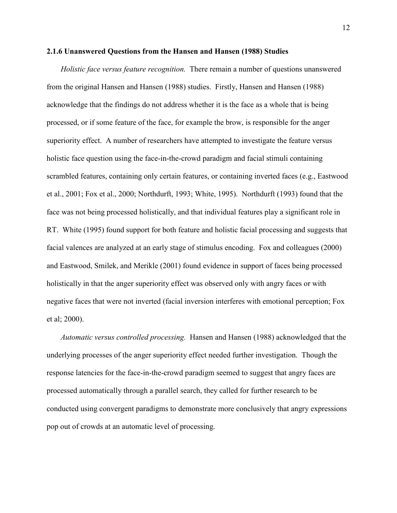#### 2.1.6 Unanswered Questions from the Hansen and Hansen (1988) Studies

Holistic face versus feature recognition. There remain a number of questions unanswered from the original Hansen and Hansen (1988) studies. Firstly, Hansen and Hansen (1988) acknowledge that the findings do not address whether it is the face as a whole that is being processed, or if some feature of the face, for example the brow, is responsible for the anger superiority effect. A number of researchers have attempted to investigate the feature versus holistic face question using the face-in-the-crowd paradigm and facial stimuli containing scrambled features, containing only certain features, or containing inverted faces (e.g., Eastwood et al., 2001; Fox et al., 2000; Northdurft, 1993; White, 1995). Northdurft (1993) found that the face was not being processed holistically, and that individual features play a significant role in RT. White (1995) found support for both feature and holistic facial processing and suggests that facial valences are analyzed at an early stage of stimulus encoding. Fox and colleagues (2000) and Eastwood, Smilek, and Merikle (2001) found evidence in support of faces being processed holistically in that the anger superiority effect was observed only with angry faces or with negative faces that were not inverted (facial inversion interferes with emotional perception; Fox et al; 2000).

Automatic versus controlled processing. Hansen and Hansen (1988) acknowledged that the underlying processes of the anger superiority effect needed further investigation. Though the response latencies for the face-in-the-crowd paradigm seemed to suggest that angry faces are processed automatically through a parallel search, they called for further research to be conducted using convergent paradigms to demonstrate more conclusively that angry expressions pop out of crowds at an automatic level of processing.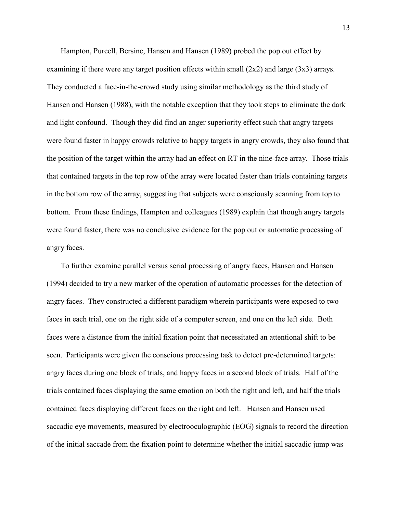Hampton, Purcell, Bersine, Hansen and Hansen (1989) probed the pop out effect by examining if there were any target position effects within small  $(2x2)$  and large  $(3x3)$  arrays. They conducted a face-in-the-crowd study using similar methodology as the third study of Hansen and Hansen (1988), with the notable exception that they took steps to eliminate the dark and light confound. Though they did find an anger superiority effect such that angry targets were found faster in happy crowds relative to happy targets in angry crowds, they also found that the position of the target within the array had an effect on RT in the nine-face array. Those trials that contained targets in the top row of the array were located faster than trials containing targets in the bottom row of the array, suggesting that subjects were consciously scanning from top to bottom. From these findings, Hampton and colleagues (1989) explain that though angry targets were found faster, there was no conclusive evidence for the pop out or automatic processing of angry faces.

To further examine parallel versus serial processing of angry faces, Hansen and Hansen (1994) decided to try a new marker of the operation of automatic processes for the detection of angry faces. They constructed a different paradigm wherein participants were exposed to two faces in each trial, one on the right side of a computer screen, and one on the left side. Both faces were a distance from the initial fixation point that necessitated an attentional shift to be seen. Participants were given the conscious processing task to detect pre-determined targets: angry faces during one block of trials, and happy faces in a second block of trials. Half of the trials contained faces displaying the same emotion on both the right and left, and half the trials contained faces displaying different faces on the right and left. Hansen and Hansen used saccadic eye movements, measured by electrooculographic (EOG) signals to record the direction of the initial saccade from the fixation point to determine whether the initial saccadic jump was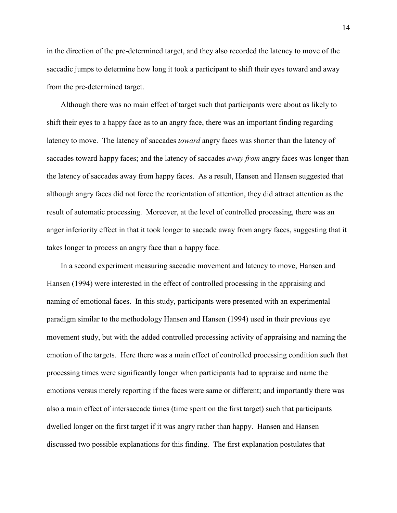in the direction of the pre-determined target, and they also recorded the latency to move of the saccadic jumps to determine how long it took a participant to shift their eyes toward and away from the pre-determined target.

Although there was no main effect of target such that participants were about as likely to shift their eyes to a happy face as to an angry face, there was an important finding regarding latency to move. The latency of saccades *toward* angry faces was shorter than the latency of saccades toward happy faces; and the latency of saccades *away from* angry faces was longer than the latency of saccades away from happy faces. As a result, Hansen and Hansen suggested that although angry faces did not force the reorientation of attention, they did attract attention as the result of automatic processing. Moreover, at the level of controlled processing, there was an anger inferiority effect in that it took longer to saccade away from angry faces, suggesting that it takes longer to process an angry face than a happy face.

In a second experiment measuring saccadic movement and latency to move, Hansen and Hansen (1994) were interested in the effect of controlled processing in the appraising and naming of emotional faces. In this study, participants were presented with an experimental paradigm similar to the methodology Hansen and Hansen (1994) used in their previous eye movement study, but with the added controlled processing activity of appraising and naming the emotion of the targets. Here there was a main effect of controlled processing condition such that processing times were significantly longer when participants had to appraise and name the emotions versus merely reporting if the faces were same or different; and importantly there was also a main effect of intersaccade times (time spent on the first target) such that participants dwelled longer on the first target if it was angry rather than happy. Hansen and Hansen discussed two possible explanations for this finding. The first explanation postulates that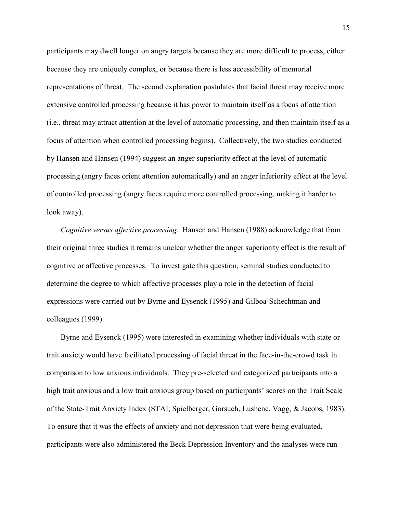participants may dwell longer on angry targets because they are more difficult to process, either because they are uniquely complex, or because there is less accessibility of memorial representations of threat. The second explanation postulates that facial threat may receive more extensive controlled processing because it has power to maintain itself as a focus of attention (i.e., threat may attract attention at the level of automatic processing, and then maintain itself as a focus of attention when controlled processing begins). Collectively, the two studies conducted by Hansen and Hansen (1994) suggest an anger superiority effect at the level of automatic processing (angry faces orient attention automatically) and an anger inferiority effect at the level of controlled processing (angry faces require more controlled processing, making it harder to look away).

Cognitive versus affective processing. Hansen and Hansen (1988) acknowledge that from their original three studies it remains unclear whether the anger superiority effect is the result of cognitive or affective processes. To investigate this question, seminal studies conducted to determine the degree to which affective processes play a role in the detection of facial expressions were carried out by Byrne and Eysenck (1995) and Gilboa-Schechtman and colleagues (1999).

Byrne and Eysenck (1995) were interested in examining whether individuals with state or trait anxiety would have facilitated processing of facial threat in the face-in-the-crowd task in comparison to low anxious individuals. They pre-selected and categorized participants into a high trait anxious and a low trait anxious group based on participants' scores on the Trait Scale of the State-Trait Anxiety Index (STAI; Spielberger, Gorsuch, Lushene, Vagg, & Jacobs, 1983). To ensure that it was the effects of anxiety and not depression that were being evaluated, participants were also administered the Beck Depression Inventory and the analyses were run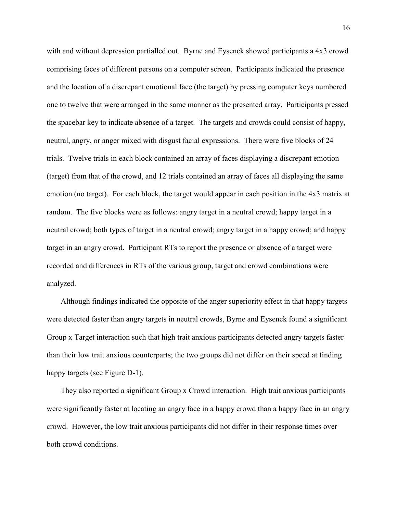with and without depression partialled out. Byrne and Eysenck showed participants a 4x3 crowd comprising faces of different persons on a computer screen. Participants indicated the presence and the location of a discrepant emotional face (the target) by pressing computer keys numbered one to twelve that were arranged in the same manner as the presented array. Participants pressed the spacebar key to indicate absence of a target. The targets and crowds could consist of happy, neutral, angry, or anger mixed with disgust facial expressions. There were five blocks of 24 trials. Twelve trials in each block contained an array of faces displaying a discrepant emotion (target) from that of the crowd, and 12 trials contained an array of faces all displaying the same emotion (no target). For each block, the target would appear in each position in the 4x3 matrix at random. The five blocks were as follows: angry target in a neutral crowd; happy target in a neutral crowd; both types of target in a neutral crowd; angry target in a happy crowd; and happy target in an angry crowd. Participant RTs to report the presence or absence of a target were recorded and differences in RTs of the various group, target and crowd combinations were analyzed.

Although findings indicated the opposite of the anger superiority effect in that happy targets were detected faster than angry targets in neutral crowds, Byrne and Eysenck found a significant Group x Target interaction such that high trait anxious participants detected angry targets faster than their low trait anxious counterparts; the two groups did not differ on their speed at finding happy targets (see Figure D-1).

They also reported a significant Group x Crowd interaction. High trait anxious participants were significantly faster at locating an angry face in a happy crowd than a happy face in an angry crowd. However, the low trait anxious participants did not differ in their response times over both crowd conditions.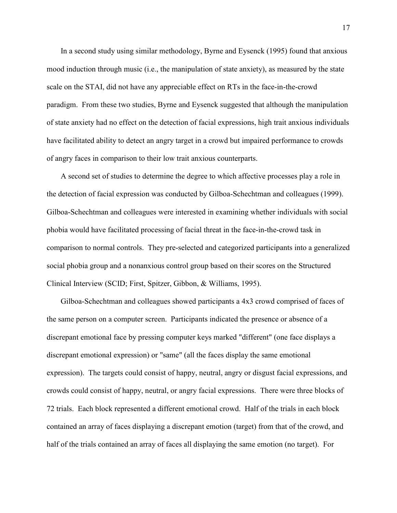In a second study using similar methodology, Byrne and Eysenck (1995) found that anxious mood induction through music (i.e., the manipulation of state anxiety), as measured by the state scale on the STAI, did not have any appreciable effect on RTs in the face-in-the-crowd paradigm. From these two studies, Byrne and Eysenck suggested that although the manipulation of state anxiety had no effect on the detection of facial expressions, high trait anxious individuals have facilitated ability to detect an angry target in a crowd but impaired performance to crowds of angry faces in comparison to their low trait anxious counterparts.

A second set of studies to determine the degree to which affective processes play a role in the detection of facial expression was conducted by Gilboa-Schechtman and colleagues (1999). Gilboa-Schechtman and colleagues were interested in examining whether individuals with social phobia would have facilitated processing of facial threat in the face-in-the-crowd task in comparison to normal controls. They pre-selected and categorized participants into a generalized social phobia group and a nonanxious control group based on their scores on the Structured Clinical Interview (SCID; First, Spitzer, Gibbon, & Williams, 1995).

Gilboa-Schechtman and colleagues showed participants a 4x3 crowd comprised of faces of the same person on a computer screen. Participants indicated the presence or absence of a discrepant emotional face by pressing computer keys marked "different" (one face displays a discrepant emotional expression) or "same" (all the faces display the same emotional expression). The targets could consist of happy, neutral, angry or disgust facial expressions, and crowds could consist of happy, neutral, or angry facial expressions. There were three blocks of 72 trials. Each block represented a different emotional crowd. Half of the trials in each block contained an array of faces displaying a discrepant emotion (target) from that of the crowd, and half of the trials contained an array of faces all displaying the same emotion (no target). For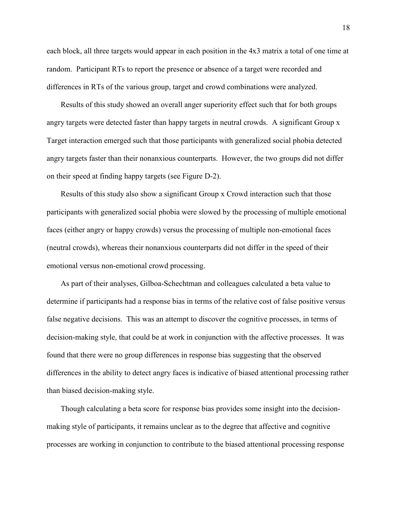each block, all three targets would appear in each position in the 4x3 matrix a total of one time at random. Participant RTs to report the presence or absence of a target were recorded and differences in RTs of the various group, target and crowd combinations were analyzed.

Results of this study showed an overall anger superiority effect such that for both groups angry targets were detected faster than happy targets in neutral crowds. A significant Group x Target interaction emerged such that those participants with generalized social phobia detected angry targets faster than their nonanxious counterparts. However, the two groups did not differ on their speed at finding happy targets (see Figure D-2).

Results of this study also show a significant Group x Crowd interaction such that those participants with generalized social phobia were slowed by the processing of multiple emotional faces (either angry or happy crowds) versus the processing of multiple non-emotional faces (neutral crowds), whereas their nonanxious counterparts did not differ in the speed of their emotional versus non-emotional crowd processing.

As part of their analyses, Gilboa-Schechtman and colleagues calculated a beta value to determine if participants had a response bias in terms of the relative cost of false positive versus false negative decisions. This was an attempt to discover the cognitive processes, in terms of decision-making style, that could be at work in conjunction with the affective processes. It was found that there were no group differences in response bias suggesting that the observed differences in the ability to detect angry faces is indicative of biased attentional processing rather than biased decision-making style.

Though calculating a beta score for response bias provides some insight into the decisionmaking style of participants, it remains unclear as to the degree that affective and cognitive processes are working in conjunction to contribute to the biased attentional processing response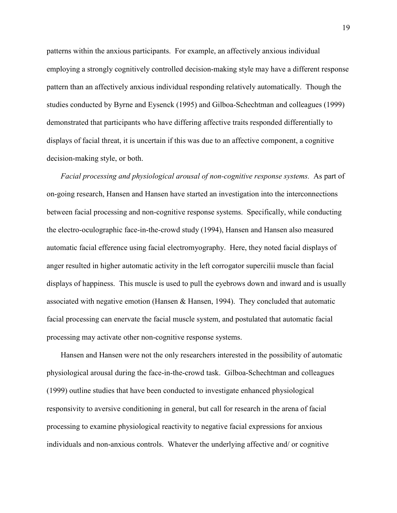patterns within the anxious participants. For example, an affectively anxious individual employing a strongly cognitively controlled decision-making style may have a different response pattern than an affectively anxious individual responding relatively automatically. Though the studies conducted by Byrne and Eysenck (1995) and Gilboa-Schechtman and colleagues (1999) demonstrated that participants who have differing affective traits responded differentially to displays of facial threat, it is uncertain if this was due to an affective component, a cognitive decision-making style, or both.

Facial processing and physiological arousal of non-cognitive response systems. As part of on-going research, Hansen and Hansen have started an investigation into the interconnections between facial processing and non-cognitive response systems. Specifically, while conducting the electro-oculographic face-in-the-crowd study (1994), Hansen and Hansen also measured automatic facial efference using facial electromyography. Here, they noted facial displays of anger resulted in higher automatic activity in the left corrogator supercilii muscle than facial displays of happiness. This muscle is used to pull the eyebrows down and inward and is usually associated with negative emotion (Hansen  $\&$  Hansen, 1994). They concluded that automatic facial processing can enervate the facial muscle system, and postulated that automatic facial processing may activate other non-cognitive response systems.

Hansen and Hansen were not the only researchers interested in the possibility of automatic physiological arousal during the face-in-the-crowd task. Gilboa-Schechtman and colleagues (1999) outline studies that have been conducted to investigate enhanced physiological responsivity to aversive conditioning in general, but call for research in the arena of facial processing to examine physiological reactivity to negative facial expressions for anxious individuals and non-anxious controls. Whatever the underlying affective and/ or cognitive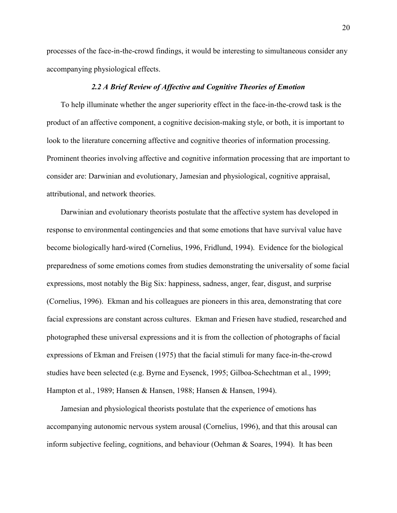processes of the face-in-the-crowd findings, it would be interesting to simultaneous consider any accompanying physiological effects.

#### 2.2 A Brief Review of Affective and Cognitive Theories of Emotion

 To help illuminate whether the anger superiority effect in the face-in-the-crowd task is the product of an affective component, a cognitive decision-making style, or both, it is important to look to the literature concerning affective and cognitive theories of information processing. Prominent theories involving affective and cognitive information processing that are important to consider are: Darwinian and evolutionary, Jamesian and physiological, cognitive appraisal, attributional, and network theories.

Darwinian and evolutionary theorists postulate that the affective system has developed in response to environmental contingencies and that some emotions that have survival value have become biologically hard-wired (Cornelius, 1996, Fridlund, 1994). Evidence for the biological preparedness of some emotions comes from studies demonstrating the universality of some facial expressions, most notably the Big Six: happiness, sadness, anger, fear, disgust, and surprise (Cornelius, 1996). Ekman and his colleagues are pioneers in this area, demonstrating that core facial expressions are constant across cultures. Ekman and Friesen have studied, researched and photographed these universal expressions and it is from the collection of photographs of facial expressions of Ekman and Freisen (1975) that the facial stimuli for many face-in-the-crowd studies have been selected (e.g. Byrne and Eysenck, 1995; Gilboa-Schechtman et al., 1999; Hampton et al., 1989; Hansen & Hansen, 1988; Hansen & Hansen, 1994).

 Jamesian and physiological theorists postulate that the experience of emotions has accompanying autonomic nervous system arousal (Cornelius, 1996), and that this arousal can inform subjective feeling, cognitions, and behaviour (Oehman & Soares, 1994). It has been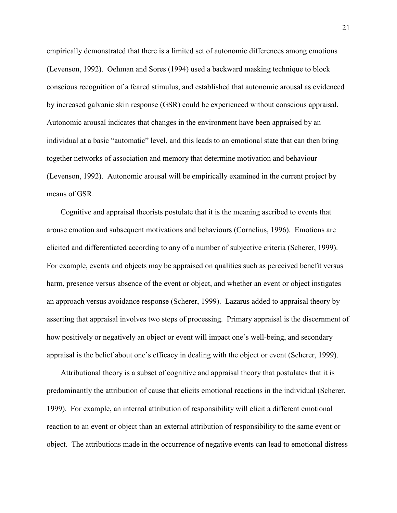empirically demonstrated that there is a limited set of autonomic differences among emotions (Levenson, 1992). Oehman and Sores (1994) used a backward masking technique to block conscious recognition of a feared stimulus, and established that autonomic arousal as evidenced by increased galvanic skin response (GSR) could be experienced without conscious appraisal. Autonomic arousal indicates that changes in the environment have been appraised by an individual at a basic "automatic" level, and this leads to an emotional state that can then bring together networks of association and memory that determine motivation and behaviour (Levenson, 1992). Autonomic arousal will be empirically examined in the current project by means of GSR.

 Cognitive and appraisal theorists postulate that it is the meaning ascribed to events that arouse emotion and subsequent motivations and behaviours (Cornelius, 1996). Emotions are elicited and differentiated according to any of a number of subjective criteria (Scherer, 1999). For example, events and objects may be appraised on qualities such as perceived benefit versus harm, presence versus absence of the event or object, and whether an event or object instigates an approach versus avoidance response (Scherer, 1999). Lazarus added to appraisal theory by asserting that appraisal involves two steps of processing. Primary appraisal is the discernment of how positively or negatively an object or event will impact one's well-being, and secondary appraisal is the belief about one's efficacy in dealing with the object or event (Scherer, 1999).

 Attributional theory is a subset of cognitive and appraisal theory that postulates that it is predominantly the attribution of cause that elicits emotional reactions in the individual (Scherer, 1999). For example, an internal attribution of responsibility will elicit a different emotional reaction to an event or object than an external attribution of responsibility to the same event or object. The attributions made in the occurrence of negative events can lead to emotional distress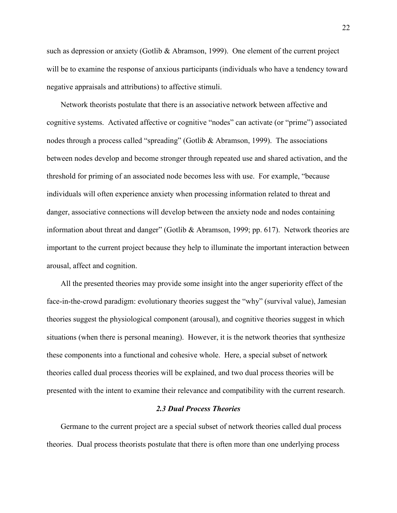such as depression or anxiety (Gotlib & Abramson, 1999). One element of the current project will be to examine the response of anxious participants (individuals who have a tendency toward negative appraisals and attributions) to affective stimuli.

 Network theorists postulate that there is an associative network between affective and cognitive systems. Activated affective or cognitive "nodes" can activate (or "prime") associated nodes through a process called "spreading" (Gotlib & Abramson, 1999). The associations between nodes develop and become stronger through repeated use and shared activation, and the threshold for priming of an associated node becomes less with use. For example, "because individuals will often experience anxiety when processing information related to threat and danger, associative connections will develop between the anxiety node and nodes containing information about threat and danger" (Gotlib & Abramson, 1999; pp. 617). Network theories are important to the current project because they help to illuminate the important interaction between arousal, affect and cognition.

 All the presented theories may provide some insight into the anger superiority effect of the face-in-the-crowd paradigm: evolutionary theories suggest the "why" (survival value), Jamesian theories suggest the physiological component (arousal), and cognitive theories suggest in which situations (when there is personal meaning). However, it is the network theories that synthesize these components into a functional and cohesive whole. Here, a special subset of network theories called dual process theories will be explained, and two dual process theories will be presented with the intent to examine their relevance and compatibility with the current research.

#### 2.3 Dual Process Theories

 Germane to the current project are a special subset of network theories called dual process theories. Dual process theorists postulate that there is often more than one underlying process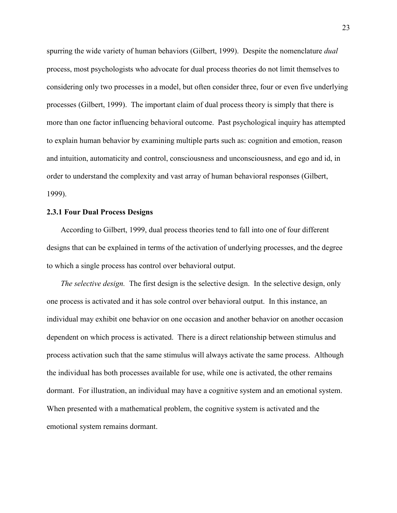spurring the wide variety of human behaviors (Gilbert, 1999). Despite the nomenclature *dual* process, most psychologists who advocate for dual process theories do not limit themselves to considering only two processes in a model, but often consider three, four or even five underlying processes (Gilbert, 1999). The important claim of dual process theory is simply that there is more than one factor influencing behavioral outcome. Past psychological inquiry has attempted to explain human behavior by examining multiple parts such as: cognition and emotion, reason and intuition, automaticity and control, consciousness and unconsciousness, and ego and id, in order to understand the complexity and vast array of human behavioral responses (Gilbert, 1999).

#### 2.3.1 Four Dual Process Designs

 According to Gilbert, 1999, dual process theories tend to fall into one of four different designs that can be explained in terms of the activation of underlying processes, and the degree to which a single process has control over behavioral output.

The selective design. The first design is the selective design. In the selective design, only one process is activated and it has sole control over behavioral output. In this instance, an individual may exhibit one behavior on one occasion and another behavior on another occasion dependent on which process is activated. There is a direct relationship between stimulus and process activation such that the same stimulus will always activate the same process. Although the individual has both processes available for use, while one is activated, the other remains dormant. For illustration, an individual may have a cognitive system and an emotional system. When presented with a mathematical problem, the cognitive system is activated and the emotional system remains dormant.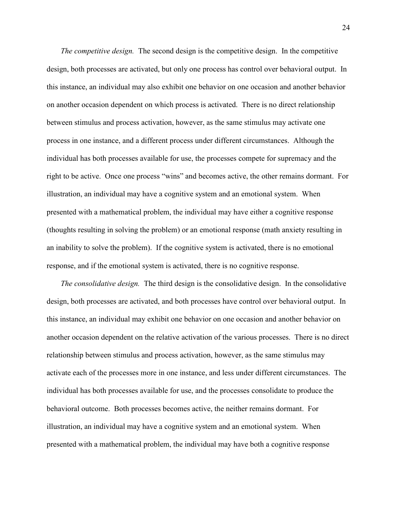The competitive design. The second design is the competitive design. In the competitive design, both processes are activated, but only one process has control over behavioral output. In this instance, an individual may also exhibit one behavior on one occasion and another behavior on another occasion dependent on which process is activated. There is no direct relationship between stimulus and process activation, however, as the same stimulus may activate one process in one instance, and a different process under different circumstances. Although the individual has both processes available for use, the processes compete for supremacy and the right to be active. Once one process "wins" and becomes active, the other remains dormant. For illustration, an individual may have a cognitive system and an emotional system. When presented with a mathematical problem, the individual may have either a cognitive response (thoughts resulting in solving the problem) or an emotional response (math anxiety resulting in an inability to solve the problem). If the cognitive system is activated, there is no emotional response, and if the emotional system is activated, there is no cognitive response.

The consolidative design. The third design is the consolidative design. In the consolidative design, both processes are activated, and both processes have control over behavioral output. In this instance, an individual may exhibit one behavior on one occasion and another behavior on another occasion dependent on the relative activation of the various processes. There is no direct relationship between stimulus and process activation, however, as the same stimulus may activate each of the processes more in one instance, and less under different circumstances. The individual has both processes available for use, and the processes consolidate to produce the behavioral outcome. Both processes becomes active, the neither remains dormant. For illustration, an individual may have a cognitive system and an emotional system. When presented with a mathematical problem, the individual may have both a cognitive response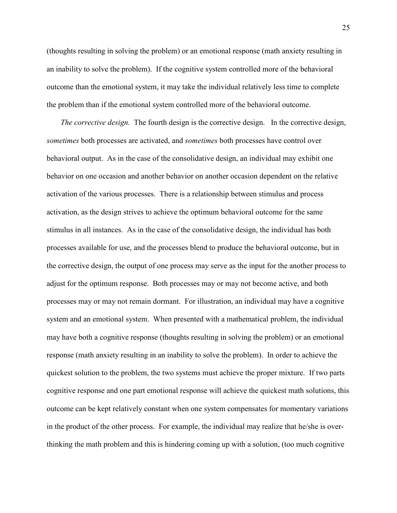(thoughts resulting in solving the problem) or an emotional response (math anxiety resulting in an inability to solve the problem). If the cognitive system controlled more of the behavioral outcome than the emotional system, it may take the individual relatively less time to complete the problem than if the emotional system controlled more of the behavioral outcome.

The corrective design. The fourth design is the corrective design. In the corrective design, sometimes both processes are activated, and *sometimes* both processes have control over behavioral output. As in the case of the consolidative design, an individual may exhibit one behavior on one occasion and another behavior on another occasion dependent on the relative activation of the various processes. There is a relationship between stimulus and process activation, as the design strives to achieve the optimum behavioral outcome for the same stimulus in all instances. As in the case of the consolidative design, the individual has both processes available for use, and the processes blend to produce the behavioral outcome, but in the corrective design, the output of one process may serve as the input for the another process to adjust for the optimum response. Both processes may or may not become active, and both processes may or may not remain dormant. For illustration, an individual may have a cognitive system and an emotional system. When presented with a mathematical problem, the individual may have both a cognitive response (thoughts resulting in solving the problem) or an emotional response (math anxiety resulting in an inability to solve the problem). In order to achieve the quickest solution to the problem, the two systems must achieve the proper mixture. If two parts cognitive response and one part emotional response will achieve the quickest math solutions, this outcome can be kept relatively constant when one system compensates for momentary variations in the product of the other process. For example, the individual may realize that he/she is overthinking the math problem and this is hindering coming up with a solution, (too much cognitive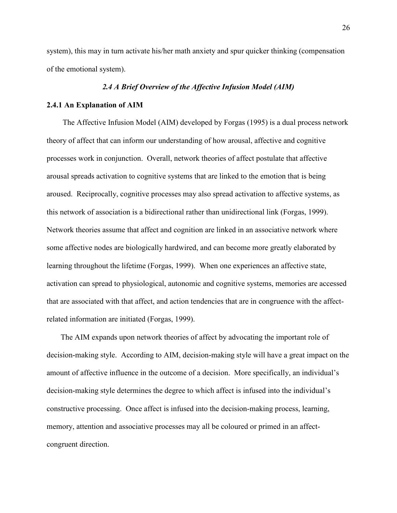system), this may in turn activate his/her math anxiety and spur quicker thinking (compensation of the emotional system).

#### 2.4 A Brief Overview of the Affective Infusion Model (AIM)

#### 2.4.1 An Explanation of AIM

The Affective Infusion Model (AIM) developed by Forgas (1995) is a dual process network theory of affect that can inform our understanding of how arousal, affective and cognitive processes work in conjunction. Overall, network theories of affect postulate that affective arousal spreads activation to cognitive systems that are linked to the emotion that is being aroused. Reciprocally, cognitive processes may also spread activation to affective systems, as this network of association is a bidirectional rather than unidirectional link (Forgas, 1999). Network theories assume that affect and cognition are linked in an associative network where some affective nodes are biologically hardwired, and can become more greatly elaborated by learning throughout the lifetime (Forgas, 1999). When one experiences an affective state, activation can spread to physiological, autonomic and cognitive systems, memories are accessed that are associated with that affect, and action tendencies that are in congruence with the affectrelated information are initiated (Forgas, 1999).

 The AIM expands upon network theories of affect by advocating the important role of decision-making style. According to AIM, decision-making style will have a great impact on the amount of affective influence in the outcome of a decision. More specifically, an individual's decision-making style determines the degree to which affect is infused into the individual's constructive processing. Once affect is infused into the decision-making process, learning, memory, attention and associative processes may all be coloured or primed in an affectcongruent direction.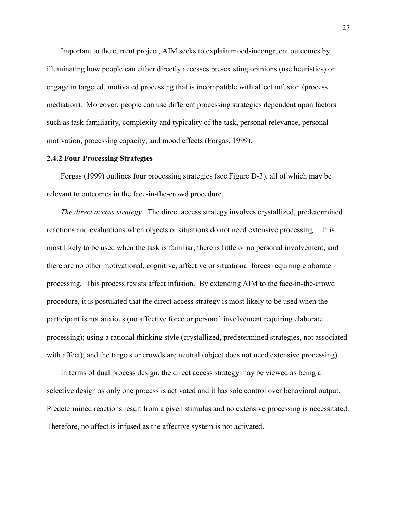Important to the current project, AIM seeks to explain mood-incongruent outcomes by illuminating how people can either directly accesses pre-existing opinions (use heuristics) or engage in targeted, motivated processing that is incompatible with affect infusion (process mediation). Moreover, people can use different processing strategies dependent upon factors such as task familiarity, complexity and typicality of the task, personal relevance, personal motivation, processing capacity, and mood effects (Forgas, 1999).

#### 2.4.2 Four Processing Strategies

Forgas (1999) outlines four processing strategies (see Figure D-3), all of which may be relevant to outcomes in the face-in-the-crowd procedure.

The direct access strategy. The direct access strategy involves crystallized, predetermined reactions and evaluations when objects or situations do not need extensive processing. It is most likely to be used when the task is familiar, there is little or no personal involvement, and there are no other motivational, cognitive, affective or situational forces requiring elaborate processing. This process resists affect infusion. By extending AIM to the face-in-the-crowd procedure, it is postulated that the direct access strategy is most likely to be used when the participant is not anxious (no affective force or personal involvement requiring elaborate processing); using a rational thinking style (crystallized, predetermined strategies, not associated with affect); and the targets or crowds are neutral (object does not need extensive processing).

In terms of dual process design, the direct access strategy may be viewed as being a selective design as only one process is activated and it has sole control over behavioral output. Predetermined reactions result from a given stimulus and no extensive processing is necessitated. Therefore, no affect is infused as the affective system is not activated.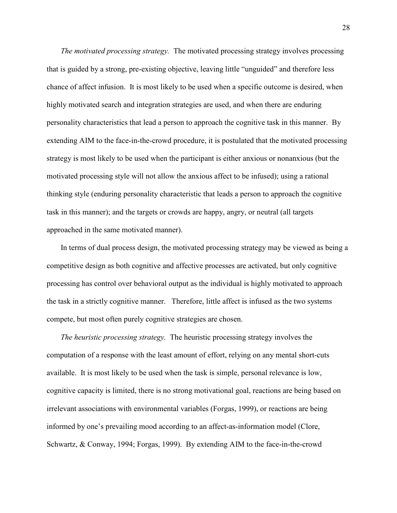The motivated processing strategy. The motivated processing strategy involves processing that is guided by a strong, pre-existing objective, leaving little "unguided" and therefore less chance of affect infusion. It is most likely to be used when a specific outcome is desired, when highly motivated search and integration strategies are used, and when there are enduring personality characteristics that lead a person to approach the cognitive task in this manner. By extending AIM to the face-in-the-crowd procedure, it is postulated that the motivated processing strategy is most likely to be used when the participant is either anxious or nonanxious (but the motivated processing style will not allow the anxious affect to be infused); using a rational thinking style (enduring personality characteristic that leads a person to approach the cognitive task in this manner); and the targets or crowds are happy, angry, or neutral (all targets approached in the same motivated manner).

In terms of dual process design, the motivated processing strategy may be viewed as being a competitive design as both cognitive and affective processes are activated, but only cognitive processing has control over behavioral output as the individual is highly motivated to approach the task in a strictly cognitive manner. Therefore, little affect is infused as the two systems compete, but most often purely cognitive strategies are chosen.

The heuristic processing strategy. The heuristic processing strategy involves the computation of a response with the least amount of effort, relying on any mental short-cuts available. It is most likely to be used when the task is simple, personal relevance is low, cognitive capacity is limited, there is no strong motivational goal, reactions are being based on irrelevant associations with environmental variables (Forgas, 1999), or reactions are being informed by one's prevailing mood according to an affect-as-information model (Clore, Schwartz, & Conway, 1994; Forgas, 1999). By extending AIM to the face-in-the-crowd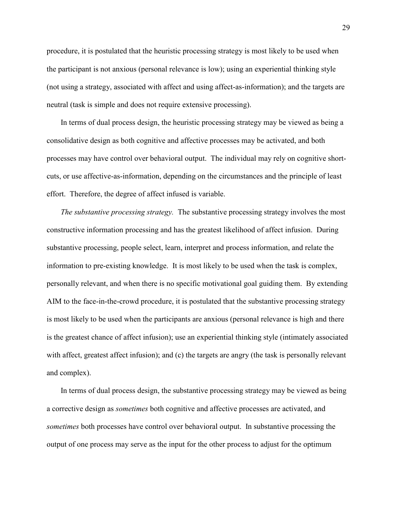procedure, it is postulated that the heuristic processing strategy is most likely to be used when the participant is not anxious (personal relevance is low); using an experiential thinking style (not using a strategy, associated with affect and using affect-as-information); and the targets are neutral (task is simple and does not require extensive processing).

In terms of dual process design, the heuristic processing strategy may be viewed as being a consolidative design as both cognitive and affective processes may be activated, and both processes may have control over behavioral output. The individual may rely on cognitive shortcuts, or use affective-as-information, depending on the circumstances and the principle of least effort. Therefore, the degree of affect infused is variable.

The substantive processing strategy. The substantive processing strategy involves the most constructive information processing and has the greatest likelihood of affect infusion. During substantive processing, people select, learn, interpret and process information, and relate the information to pre-existing knowledge. It is most likely to be used when the task is complex, personally relevant, and when there is no specific motivational goal guiding them. By extending AIM to the face-in-the-crowd procedure, it is postulated that the substantive processing strategy is most likely to be used when the participants are anxious (personal relevance is high and there is the greatest chance of affect infusion); use an experiential thinking style (intimately associated with affect, greatest affect infusion); and (c) the targets are angry (the task is personally relevant and complex).

In terms of dual process design, the substantive processing strategy may be viewed as being a corrective design as sometimes both cognitive and affective processes are activated, and sometimes both processes have control over behavioral output. In substantive processing the output of one process may serve as the input for the other process to adjust for the optimum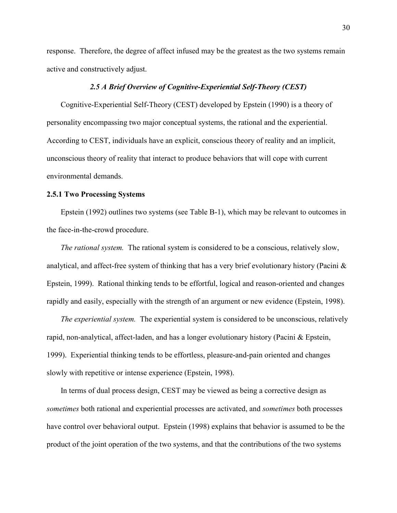response. Therefore, the degree of affect infused may be the greatest as the two systems remain active and constructively adjust.

## 2.5 A Brief Overview of Cognitive-Experiential Self-Theory (CEST)

Cognitive-Experiential Self-Theory (CEST) developed by Epstein (1990) is a theory of personality encompassing two major conceptual systems, the rational and the experiential. According to CEST, individuals have an explicit, conscious theory of reality and an implicit, unconscious theory of reality that interact to produce behaviors that will cope with current environmental demands.

## 2.5.1 Two Processing Systems

 Epstein (1992) outlines two systems (see Table B-1), which may be relevant to outcomes in the face-in-the-crowd procedure.

The rational system. The rational system is considered to be a conscious, relatively slow, analytical, and affect-free system of thinking that has a very brief evolutionary history (Pacini & Epstein, 1999). Rational thinking tends to be effortful, logical and reason-oriented and changes rapidly and easily, especially with the strength of an argument or new evidence (Epstein, 1998).

The experiential system. The experiential system is considered to be unconscious, relatively rapid, non-analytical, affect-laden, and has a longer evolutionary history (Pacini & Epstein, 1999). Experiential thinking tends to be effortless, pleasure-and-pain oriented and changes slowly with repetitive or intense experience (Epstein, 1998).

In terms of dual process design, CEST may be viewed as being a corrective design as sometimes both rational and experiential processes are activated, and *sometimes* both processes have control over behavioral output. Epstein (1998) explains that behavior is assumed to be the product of the joint operation of the two systems, and that the contributions of the two systems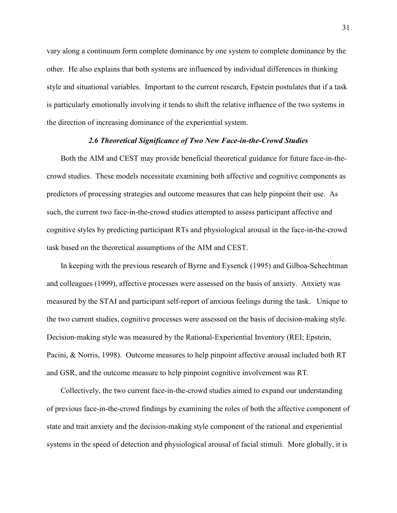vary along a continuum form complete dominance by one system to complete dominance by the other. He also explains that both systems are influenced by individual differences in thinking style and situational variables. Important to the current research, Epstein postulates that if a task is particularly emotionally involving it tends to shift the relative influence of the two systems in the direction of increasing dominance of the experiential system.

#### 2.6 Theoretical Significance of Two New Face-in-the-Crowd Studies

 Both the AIM and CEST may provide beneficial theoretical guidance for future face-in-thecrowd studies. These models necessitate examining both affective and cognitive components as predictors of processing strategies and outcome measures that can help pinpoint their use. As such, the current two face-in-the-crowd studies attempted to assess participant affective and cognitive styles by predicting participant RTs and physiological arousal in the face-in-the-crowd task based on the theoretical assumptions of the AIM and CEST.

 In keeping with the previous research of Byrne and Eysenck (1995) and Gilboa-Schechtman and colleagues (1999), affective processes were assessed on the basis of anxiety. Anxiety was measured by the STAI and participant self-report of anxious feelings during the task. Unique to the two current studies, cognitive processes were assessed on the basis of decision-making style. Decision-making style was measured by the Rational-Experiential Inventory (REI; Epstein, Pacini, & Norris, 1998). Outcome measures to help pinpoint affective arousal included both RT and GSR, and the outcome measure to help pinpoint cognitive involvement was RT.

Collectively, the two current face-in-the-crowd studies aimed to expand our understanding of previous face-in-the-crowd findings by examining the roles of both the affective component of state and trait anxiety and the decision-making style component of the rational and experiential systems in the speed of detection and physiological arousal of facial stimuli. More globally, it is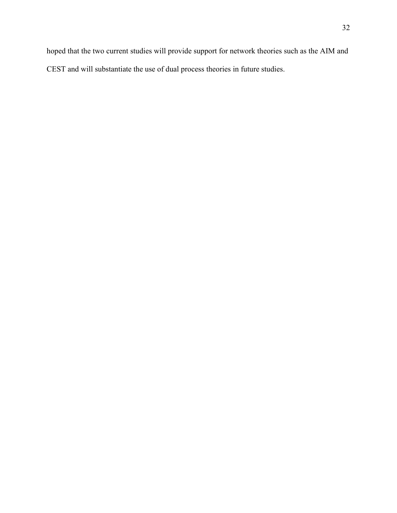hoped that the two current studies will provide support for network theories such as the AIM and CEST and will substantiate the use of dual process theories in future studies.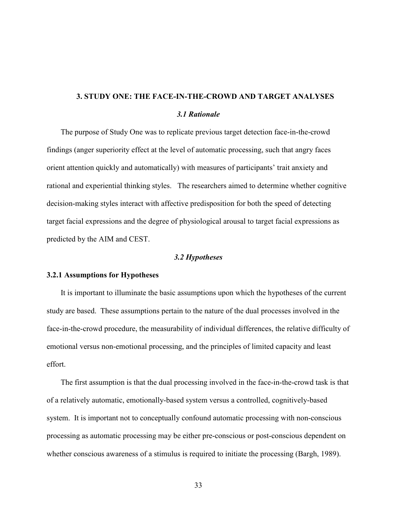# 3. STUDY ONE: THE FACE-IN-THE-CROWD AND TARGET ANALYSES 3.1 Rationale

 The purpose of Study One was to replicate previous target detection face-in-the-crowd findings (anger superiority effect at the level of automatic processing, such that angry faces orient attention quickly and automatically) with measures of participants' trait anxiety and rational and experiential thinking styles. The researchers aimed to determine whether cognitive decision-making styles interact with affective predisposition for both the speed of detecting target facial expressions and the degree of physiological arousal to target facial expressions as predicted by the AIM and CEST.

# 3.2 Hypotheses

# 3.2.1 Assumptions for Hypotheses

 It is important to illuminate the basic assumptions upon which the hypotheses of the current study are based. These assumptions pertain to the nature of the dual processes involved in the face-in-the-crowd procedure, the measurability of individual differences, the relative difficulty of emotional versus non-emotional processing, and the principles of limited capacity and least effort.

 The first assumption is that the dual processing involved in the face-in-the-crowd task is that of a relatively automatic, emotionally-based system versus a controlled, cognitively-based system. It is important not to conceptually confound automatic processing with non-conscious processing as automatic processing may be either pre-conscious or post-conscious dependent on whether conscious awareness of a stimulus is required to initiate the processing (Bargh, 1989).

33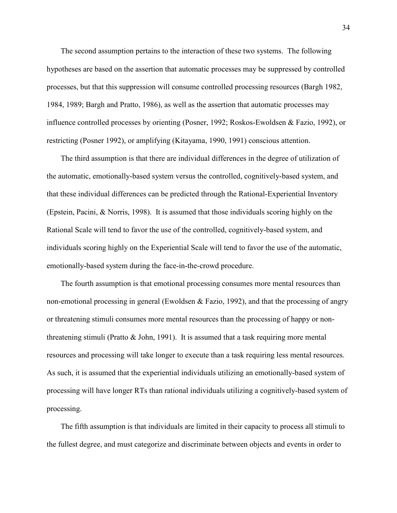The second assumption pertains to the interaction of these two systems. The following hypotheses are based on the assertion that automatic processes may be suppressed by controlled processes, but that this suppression will consume controlled processing resources (Bargh 1982, 1984, 1989; Bargh and Pratto, 1986), as well as the assertion that automatic processes may influence controlled processes by orienting (Posner, 1992; Roskos-Ewoldsen & Fazio, 1992), or restricting (Posner 1992), or amplifying (Kitayama, 1990, 1991) conscious attention.

 The third assumption is that there are individual differences in the degree of utilization of the automatic, emotionally-based system versus the controlled, cognitively-based system, and that these individual differences can be predicted through the Rational-Experiential Inventory (Epstein, Pacini, & Norris, 1998). It is assumed that those individuals scoring highly on the Rational Scale will tend to favor the use of the controlled, cognitively-based system, and individuals scoring highly on the Experiential Scale will tend to favor the use of the automatic, emotionally-based system during the face-in-the-crowd procedure.

 The fourth assumption is that emotional processing consumes more mental resources than non-emotional processing in general (Ewoldsen  $\&$  Fazio, 1992), and that the processing of angry or threatening stimuli consumes more mental resources than the processing of happy or nonthreatening stimuli (Pratto & John, 1991). It is assumed that a task requiring more mental resources and processing will take longer to execute than a task requiring less mental resources. As such, it is assumed that the experiential individuals utilizing an emotionally-based system of processing will have longer RTs than rational individuals utilizing a cognitively-based system of processing.

 The fifth assumption is that individuals are limited in their capacity to process all stimuli to the fullest degree, and must categorize and discriminate between objects and events in order to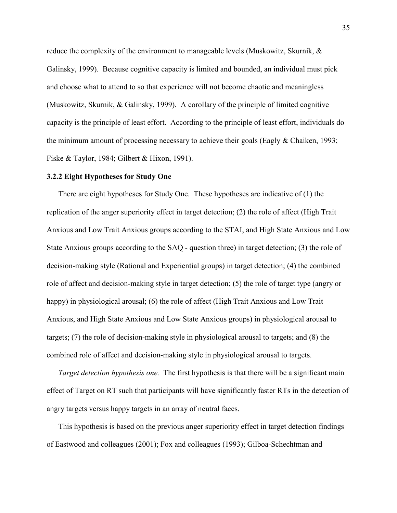reduce the complexity of the environment to manageable levels (Muskowitz, Skurnik, & Galinsky, 1999). Because cognitive capacity is limited and bounded, an individual must pick and choose what to attend to so that experience will not become chaotic and meaningless (Muskowitz, Skurnik, & Galinsky, 1999). A corollary of the principle of limited cognitive capacity is the principle of least effort. According to the principle of least effort, individuals do the minimum amount of processing necessary to achieve their goals (Eagly & Chaiken, 1993; Fiske & Taylor, 1984; Gilbert & Hixon, 1991).

#### 3.2.2 Eight Hypotheses for Study One

There are eight hypotheses for Study One. These hypotheses are indicative of (1) the replication of the anger superiority effect in target detection; (2) the role of affect (High Trait Anxious and Low Trait Anxious groups according to the STAI, and High State Anxious and Low State Anxious groups according to the SAQ - question three) in target detection; (3) the role of decision-making style (Rational and Experiential groups) in target detection; (4) the combined role of affect and decision-making style in target detection; (5) the role of target type (angry or happy) in physiological arousal; (6) the role of affect (High Trait Anxious and Low Trait Anxious, and High State Anxious and Low State Anxious groups) in physiological arousal to targets; (7) the role of decision-making style in physiological arousal to targets; and (8) the combined role of affect and decision-making style in physiological arousal to targets.

Target detection hypothesis one. The first hypothesis is that there will be a significant main effect of Target on RT such that participants will have significantly faster RTs in the detection of angry targets versus happy targets in an array of neutral faces.

This hypothesis is based on the previous anger superiority effect in target detection findings of Eastwood and colleagues (2001); Fox and colleagues (1993); Gilboa-Schechtman and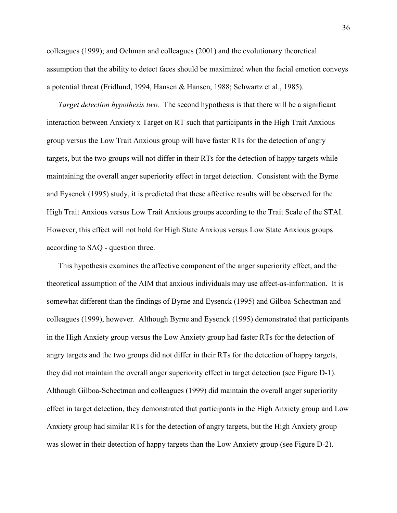colleagues (1999); and Oehman and colleagues (2001) and the evolutionary theoretical assumption that the ability to detect faces should be maximized when the facial emotion conveys a potential threat (Fridlund, 1994, Hansen & Hansen, 1988; Schwartz et al., 1985).

Target detection hypothesis two. The second hypothesis is that there will be a significant interaction between Anxiety x Target on RT such that participants in the High Trait Anxious group versus the Low Trait Anxious group will have faster RTs for the detection of angry targets, but the two groups will not differ in their RTs for the detection of happy targets while maintaining the overall anger superiority effect in target detection. Consistent with the Byrne and Eysenck (1995) study, it is predicted that these affective results will be observed for the High Trait Anxious versus Low Trait Anxious groups according to the Trait Scale of the STAI. However, this effect will not hold for High State Anxious versus Low State Anxious groups according to SAQ - question three.

This hypothesis examines the affective component of the anger superiority effect, and the theoretical assumption of the AIM that anxious individuals may use affect-as-information. It is somewhat different than the findings of Byrne and Eysenck (1995) and Gilboa-Schectman and colleagues (1999), however. Although Byrne and Eysenck (1995) demonstrated that participants in the High Anxiety group versus the Low Anxiety group had faster RTs for the detection of angry targets and the two groups did not differ in their RTs for the detection of happy targets, they did not maintain the overall anger superiority effect in target detection (see Figure D-1). Although Gilboa-Schectman and colleagues (1999) did maintain the overall anger superiority effect in target detection, they demonstrated that participants in the High Anxiety group and Low Anxiety group had similar RTs for the detection of angry targets, but the High Anxiety group was slower in their detection of happy targets than the Low Anxiety group (see Figure D-2).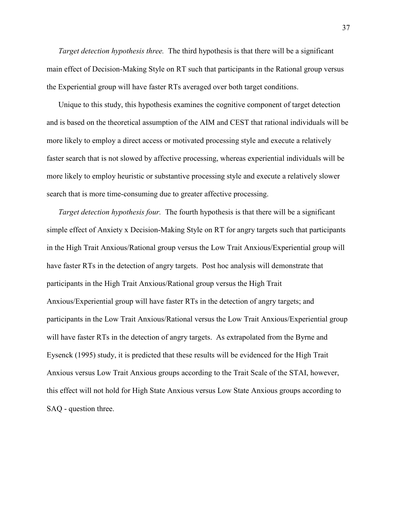Target detection hypothesis three. The third hypothesis is that there will be a significant main effect of Decision-Making Style on RT such that participants in the Rational group versus the Experiential group will have faster RTs averaged over both target conditions.

Unique to this study, this hypothesis examines the cognitive component of target detection and is based on the theoretical assumption of the AIM and CEST that rational individuals will be more likely to employ a direct access or motivated processing style and execute a relatively faster search that is not slowed by affective processing, whereas experiential individuals will be more likely to employ heuristic or substantive processing style and execute a relatively slower search that is more time-consuming due to greater affective processing.

Target detection hypothesis four. The fourth hypothesis is that there will be a significant simple effect of Anxiety x Decision-Making Style on RT for angry targets such that participants in the High Trait Anxious/Rational group versus the Low Trait Anxious/Experiential group will have faster RTs in the detection of angry targets. Post hoc analysis will demonstrate that participants in the High Trait Anxious/Rational group versus the High Trait Anxious/Experiential group will have faster RTs in the detection of angry targets; and participants in the Low Trait Anxious/Rational versus the Low Trait Anxious/Experiential group will have faster RTs in the detection of angry targets. As extrapolated from the Byrne and Eysenck (1995) study, it is predicted that these results will be evidenced for the High Trait Anxious versus Low Trait Anxious groups according to the Trait Scale of the STAI, however, this effect will not hold for High State Anxious versus Low State Anxious groups according to SAQ - question three.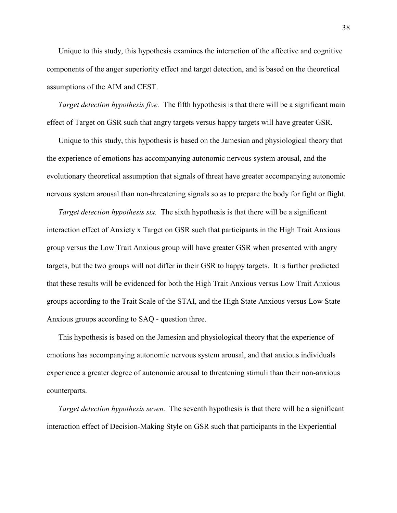Unique to this study, this hypothesis examines the interaction of the affective and cognitive components of the anger superiority effect and target detection, and is based on the theoretical assumptions of the AIM and CEST.

Target detection hypothesis five. The fifth hypothesis is that there will be a significant main effect of Target on GSR such that angry targets versus happy targets will have greater GSR.

Unique to this study, this hypothesis is based on the Jamesian and physiological theory that the experience of emotions has accompanying autonomic nervous system arousal, and the evolutionary theoretical assumption that signals of threat have greater accompanying autonomic nervous system arousal than non-threatening signals so as to prepare the body for fight or flight.

Target detection hypothesis six. The sixth hypothesis is that there will be a significant interaction effect of Anxiety x Target on GSR such that participants in the High Trait Anxious group versus the Low Trait Anxious group will have greater GSR when presented with angry targets, but the two groups will not differ in their GSR to happy targets. It is further predicted that these results will be evidenced for both the High Trait Anxious versus Low Trait Anxious groups according to the Trait Scale of the STAI, and the High State Anxious versus Low State Anxious groups according to SAQ - question three.

This hypothesis is based on the Jamesian and physiological theory that the experience of emotions has accompanying autonomic nervous system arousal, and that anxious individuals experience a greater degree of autonomic arousal to threatening stimuli than their non-anxious counterparts.

Target detection hypothesis seven. The seventh hypothesis is that there will be a significant interaction effect of Decision-Making Style on GSR such that participants in the Experiential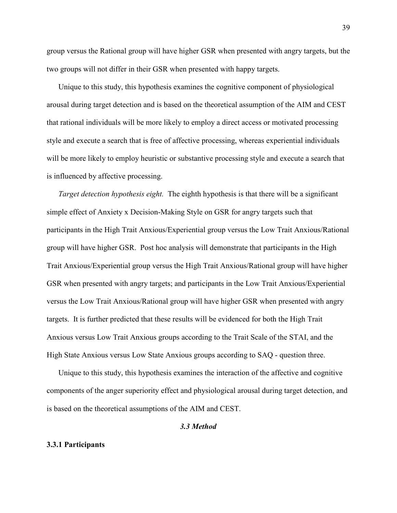group versus the Rational group will have higher GSR when presented with angry targets, but the two groups will not differ in their GSR when presented with happy targets.

Unique to this study, this hypothesis examines the cognitive component of physiological arousal during target detection and is based on the theoretical assumption of the AIM and CEST that rational individuals will be more likely to employ a direct access or motivated processing style and execute a search that is free of affective processing, whereas experiential individuals will be more likely to employ heuristic or substantive processing style and execute a search that is influenced by affective processing.

Target detection hypothesis eight. The eighth hypothesis is that there will be a significant simple effect of Anxiety x Decision-Making Style on GSR for angry targets such that participants in the High Trait Anxious/Experiential group versus the Low Trait Anxious/Rational group will have higher GSR. Post hoc analysis will demonstrate that participants in the High Trait Anxious/Experiential group versus the High Trait Anxious/Rational group will have higher GSR when presented with angry targets; and participants in the Low Trait Anxious/Experiential versus the Low Trait Anxious/Rational group will have higher GSR when presented with angry targets. It is further predicted that these results will be evidenced for both the High Trait Anxious versus Low Trait Anxious groups according to the Trait Scale of the STAI, and the High State Anxious versus Low State Anxious groups according to SAQ - question three.

Unique to this study, this hypothesis examines the interaction of the affective and cognitive components of the anger superiority effect and physiological arousal during target detection, and is based on the theoretical assumptions of the AIM and CEST.

#### 3.3 Method

#### 3.3.1 Participants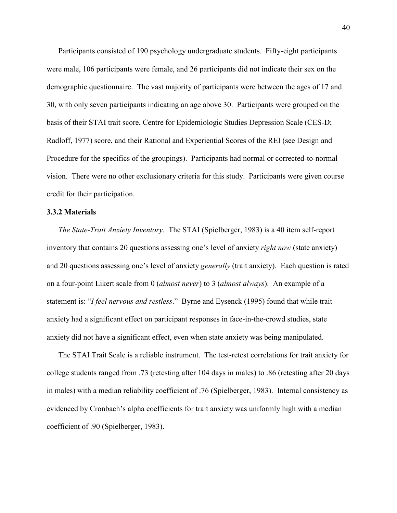Participants consisted of 190 psychology undergraduate students. Fifty-eight participants were male, 106 participants were female, and 26 participants did not indicate their sex on the demographic questionnaire. The vast majority of participants were between the ages of 17 and 30, with only seven participants indicating an age above 30. Participants were grouped on the basis of their STAI trait score, Centre for Epidemiologic Studies Depression Scale (CES-D; Radloff, 1977) score, and their Rational and Experiential Scores of the REI (see Design and Procedure for the specifics of the groupings). Participants had normal or corrected-to-normal vision. There were no other exclusionary criteria for this study. Participants were given course credit for their participation.

### 3.3.2 Materials

The State-Trait Anxiety Inventory. The STAI (Spielberger, 1983) is a 40 item self-report inventory that contains 20 questions assessing one's level of anxiety right now (state anxiety) and 20 questions assessing one's level of anxiety generally (trait anxiety). Each question is rated on a four-point Likert scale from 0 *(almost never)* to 3 *(almost always)*. An example of a statement is: "I feel nervous and restless." Byrne and Eysenck (1995) found that while trait anxiety had a significant effect on participant responses in face-in-the-crowd studies, state anxiety did not have a significant effect, even when state anxiety was being manipulated.

The STAI Trait Scale is a reliable instrument. The test-retest correlations for trait anxiety for college students ranged from .73 (retesting after 104 days in males) to .86 (retesting after 20 days in males) with a median reliability coefficient of .76 (Spielberger, 1983). Internal consistency as evidenced by Cronbach's alpha coefficients for trait anxiety was uniformly high with a median coefficient of .90 (Spielberger, 1983).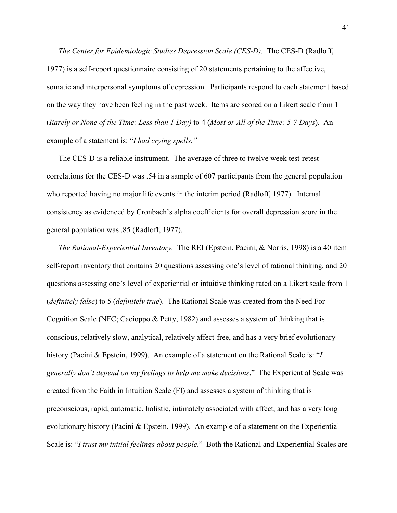The Center for Epidemiologic Studies Depression Scale (CES-D). The CES-D (Radloff, 1977) is a self-report questionnaire consisting of 20 statements pertaining to the affective, somatic and interpersonal symptoms of depression. Participants respond to each statement based on the way they have been feeling in the past week. Items are scored on a Likert scale from 1 (Rarely or None of the Time: Less than 1 Day) to 4 (Most or All of the Time: 5-7 Days). An example of a statement is: "I had crying spells."

The CES-D is a reliable instrument. The average of three to twelve week test-retest correlations for the CES-D was .54 in a sample of 607 participants from the general population who reported having no major life events in the interim period (Radloff, 1977). Internal consistency as evidenced by Cronbach's alpha coefficients for overall depression score in the general population was .85 (Radloff, 1977).

The Rational-Experiential Inventory. The REI (Epstein, Pacini, & Norris, 1998) is a 40 item self-report inventory that contains 20 questions assessing one's level of rational thinking, and 20 questions assessing one's level of experiential or intuitive thinking rated on a Likert scale from 1 (definitely false) to 5 (definitely true). The Rational Scale was created from the Need For Cognition Scale (NFC; Cacioppo & Petty, 1982) and assesses a system of thinking that is conscious, relatively slow, analytical, relatively affect-free, and has a very brief evolutionary history (Pacini & Epstein, 1999). An example of a statement on the Rational Scale is: "I generally don't depend on my feelings to help me make decisions." The Experiential Scale was created from the Faith in Intuition Scale (FI) and assesses a system of thinking that is preconscious, rapid, automatic, holistic, intimately associated with affect, and has a very long evolutionary history (Pacini & Epstein, 1999). An example of a statement on the Experiential Scale is: "I trust my initial feelings about people." Both the Rational and Experiential Scales are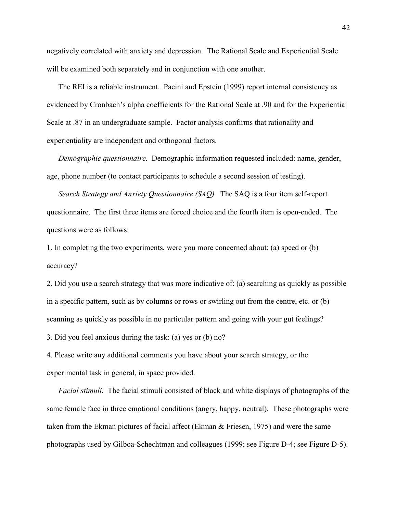negatively correlated with anxiety and depression. The Rational Scale and Experiential Scale will be examined both separately and in conjunction with one another.

The REI is a reliable instrument. Pacini and Epstein (1999) report internal consistency as evidenced by Cronbach's alpha coefficients for the Rational Scale at .90 and for the Experiential Scale at .87 in an undergraduate sample. Factor analysis confirms that rationality and experientiality are independent and orthogonal factors.

Demographic questionnaire. Demographic information requested included: name, gender, age, phone number (to contact participants to schedule a second session of testing).

Search Strategy and Anxiety Questionnaire (SAQ). The SAQ is a four item self-report questionnaire. The first three items are forced choice and the fourth item is open-ended. The questions were as follows:

1. In completing the two experiments, were you more concerned about: (a) speed or (b) accuracy?

2. Did you use a search strategy that was more indicative of: (a) searching as quickly as possible in a specific pattern, such as by columns or rows or swirling out from the centre, etc. or (b) scanning as quickly as possible in no particular pattern and going with your gut feelings?

3. Did you feel anxious during the task: (a) yes or (b) no?

4. Please write any additional comments you have about your search strategy, or the experimental task in general, in space provided.

Facial stimuli. The facial stimuli consisted of black and white displays of photographs of the same female face in three emotional conditions (angry, happy, neutral). These photographs were taken from the Ekman pictures of facial affect (Ekman & Friesen, 1975) and were the same photographs used by Gilboa-Schechtman and colleagues (1999; see Figure D-4; see Figure D-5).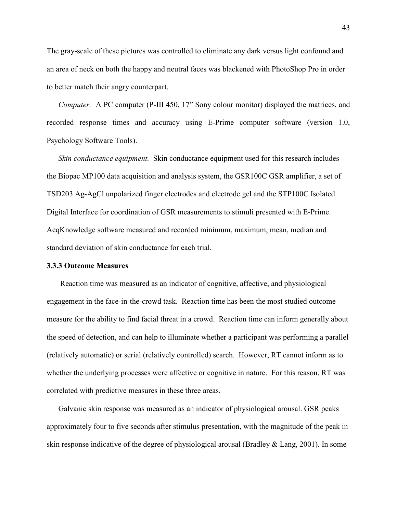The gray-scale of these pictures was controlled to eliminate any dark versus light confound and an area of neck on both the happy and neutral faces was blackened with PhotoShop Pro in order to better match their angry counterpart.

Computer. A PC computer (P-III 450, 17" Sony colour monitor) displayed the matrices, and recorded response times and accuracy using E-Prime computer software (version 1.0, Psychology Software Tools).

Skin conductance equipment. Skin conductance equipment used for this research includes the Biopac MP100 data acquisition and analysis system, the GSR100C GSR amplifier, a set of TSD203 Ag-AgCl unpolarized finger electrodes and electrode gel and the STP100C Isolated Digital Interface for coordination of GSR measurements to stimuli presented with E-Prime. AcqKnowledge software measured and recorded minimum, maximum, mean, median and standard deviation of skin conductance for each trial.

#### 3.3.3 Outcome Measures

Reaction time was measured as an indicator of cognitive, affective, and physiological engagement in the face-in-the-crowd task. Reaction time has been the most studied outcome measure for the ability to find facial threat in a crowd. Reaction time can inform generally about the speed of detection, and can help to illuminate whether a participant was performing a parallel (relatively automatic) or serial (relatively controlled) search. However, RT cannot inform as to whether the underlying processes were affective or cognitive in nature. For this reason, RT was correlated with predictive measures in these three areas.

Galvanic skin response was measured as an indicator of physiological arousal. GSR peaks approximately four to five seconds after stimulus presentation, with the magnitude of the peak in skin response indicative of the degree of physiological arousal (Bradley & Lang, 2001). In some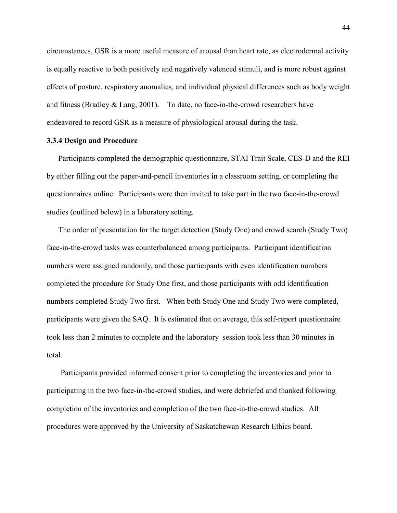circumstances, GSR is a more useful measure of arousal than heart rate, as electrodermal activity is equally reactive to both positively and negatively valenced stimuli, and is more robust against effects of posture, respiratory anomalies, and individual physical differences such as body weight and fitness (Bradley & Lang, 2001). To date, no face-in-the-crowd researchers have endeavored to record GSR as a measure of physiological arousal during the task.

# 3.3.4 Design and Procedure

Participants completed the demographic questionnaire, STAI Trait Scale, CES-D and the REI by either filling out the paper-and-pencil inventories in a classroom setting, or completing the questionnaires online. Participants were then invited to take part in the two face-in-the-crowd studies (outlined below) in a laboratory setting.

The order of presentation for the target detection (Study One) and crowd search (Study Two) face-in-the-crowd tasks was counterbalanced among participants. Participant identification numbers were assigned randomly, and those participants with even identification numbers completed the procedure for Study One first, and those participants with odd identification numbers completed Study Two first. When both Study One and Study Two were completed, participants were given the SAQ. It is estimated that on average, this self-report questionnaire took less than 2 minutes to complete and the laboratory session took less than 30 minutes in total.

 Participants provided informed consent prior to completing the inventories and prior to participating in the two face-in-the-crowd studies, and were debriefed and thanked following completion of the inventories and completion of the two face-in-the-crowd studies. All procedures were approved by the University of Saskatchewan Research Ethics board.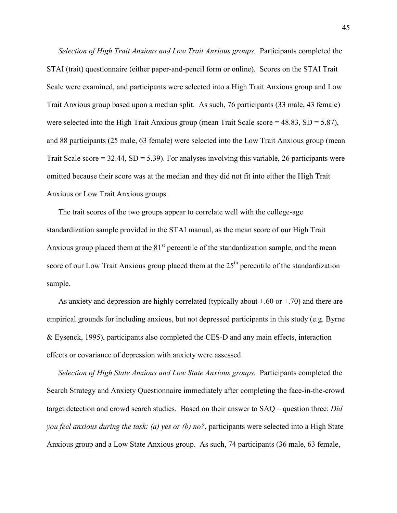Selection of High Trait Anxious and Low Trait Anxious groups. Participants completed the STAI (trait) questionnaire (either paper-and-pencil form or online). Scores on the STAI Trait Scale were examined, and participants were selected into a High Trait Anxious group and Low Trait Anxious group based upon a median split. As such, 76 participants (33 male, 43 female) were selected into the High Trait Anxious group (mean Trait Scale score =  $48.83$ , SD =  $5.87$ ), and 88 participants (25 male, 63 female) were selected into the Low Trait Anxious group (mean Trait Scale score =  $32.44$ , SD =  $5.39$ ). For analyses involving this variable, 26 participants were omitted because their score was at the median and they did not fit into either the High Trait Anxious or Low Trait Anxious groups.

The trait scores of the two groups appear to correlate well with the college-age standardization sample provided in the STAI manual, as the mean score of our High Trait Anxious group placed them at the  $81<sup>st</sup>$  percentile of the standardization sample, and the mean score of our Low Trait Anxious group placed them at the  $25<sup>th</sup>$  percentile of the standardization sample.

As anxiety and depression are highly correlated (typically about  $+0.60$  or  $+0.70$ ) and there are empirical grounds for including anxious, but not depressed participants in this study (e.g. Byrne & Eysenck, 1995), participants also completed the CES-D and any main effects, interaction effects or covariance of depression with anxiety were assessed.

Selection of High State Anxious and Low State Anxious groups. Participants completed the Search Strategy and Anxiety Questionnaire immediately after completing the face-in-the-crowd target detection and crowd search studies. Based on their answer to SAQ – question three: Did you feel anxious during the task: (a) yes or (b) no?, participants were selected into a High State Anxious group and a Low State Anxious group. As such, 74 participants (36 male, 63 female,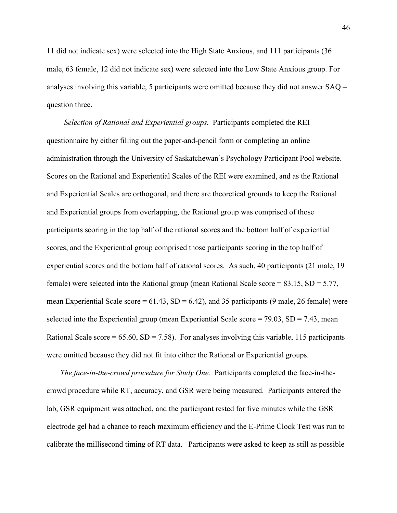11 did not indicate sex) were selected into the High State Anxious, and 111 participants (36 male, 63 female, 12 did not indicate sex) were selected into the Low State Anxious group. For analyses involving this variable, 5 participants were omitted because they did not answer SAQ – question three.

 Selection of Rational and Experiential groups. Participants completed the REI questionnaire by either filling out the paper-and-pencil form or completing an online administration through the University of Saskatchewan's Psychology Participant Pool website. Scores on the Rational and Experiential Scales of the REI were examined, and as the Rational and Experiential Scales are orthogonal, and there are theoretical grounds to keep the Rational and Experiential groups from overlapping, the Rational group was comprised of those participants scoring in the top half of the rational scores and the bottom half of experiential scores, and the Experiential group comprised those participants scoring in the top half of experiential scores and the bottom half of rational scores. As such, 40 participants (21 male, 19 female) were selected into the Rational group (mean Rational Scale score = 83.15, SD = 5.77, mean Experiential Scale score =  $61.43$ , SD =  $6.42$ ), and 35 participants (9 male, 26 female) were selected into the Experiential group (mean Experiential Scale score  $= 79.03$ , SD  $= 7.43$ , mean Rational Scale score =  $65.60$ , SD =  $7.58$ ). For analyses involving this variable, 115 participants were omitted because they did not fit into either the Rational or Experiential groups.

 The face-in-the-crowd procedure for Study One. Participants completed the face-in-thecrowd procedure while RT, accuracy, and GSR were being measured. Participants entered the lab, GSR equipment was attached, and the participant rested for five minutes while the GSR electrode gel had a chance to reach maximum efficiency and the E-Prime Clock Test was run to calibrate the millisecond timing of RT data. Participants were asked to keep as still as possible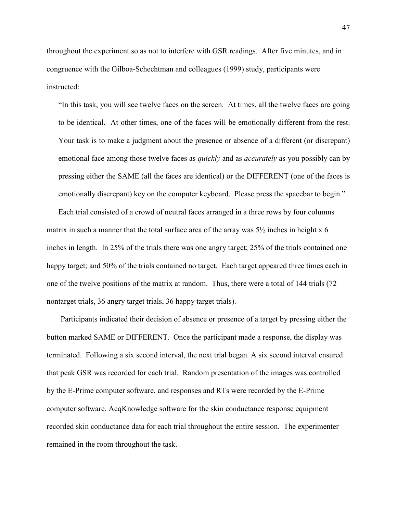throughout the experiment so as not to interfere with GSR readings. After five minutes, and in congruence with the Gilboa-Schechtman and colleagues (1999) study, participants were instructed:

"In this task, you will see twelve faces on the screen. At times, all the twelve faces are going to be identical. At other times, one of the faces will be emotionally different from the rest. Your task is to make a judgment about the presence or absence of a different (or discrepant) emotional face among those twelve faces as *quickly* and as *accurately* as you possibly can by pressing either the SAME (all the faces are identical) or the DIFFERENT (one of the faces is emotionally discrepant) key on the computer keyboard. Please press the spacebar to begin."

Each trial consisted of a crowd of neutral faces arranged in a three rows by four columns matrix in such a manner that the total surface area of the array was  $5\frac{1}{2}$  inches in height x 6 inches in length. In 25% of the trials there was one angry target; 25% of the trials contained one happy target; and 50% of the trials contained no target. Each target appeared three times each in one of the twelve positions of the matrix at random. Thus, there were a total of 144 trials (72 nontarget trials, 36 angry target trials, 36 happy target trials).

Participants indicated their decision of absence or presence of a target by pressing either the button marked SAME or DIFFERENT. Once the participant made a response, the display was terminated. Following a six second interval, the next trial began. A six second interval ensured that peak GSR was recorded for each trial. Random presentation of the images was controlled by the E-Prime computer software, and responses and RTs were recorded by the E-Prime computer software. AcqKnowledge software for the skin conductance response equipment recorded skin conductance data for each trial throughout the entire session. The experimenter remained in the room throughout the task.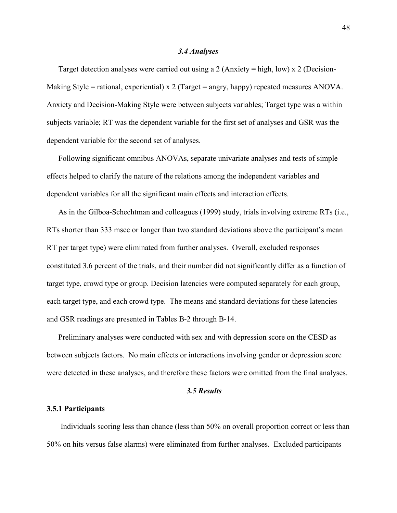#### 3.4 Analyses

Target detection analyses were carried out using a 2 (Anxiety = high, low) x 2 (Decision-Making Style = rational, experiential) x 2 (Target = angry, happy) repeated measures ANOVA. Anxiety and Decision-Making Style were between subjects variables; Target type was a within subjects variable; RT was the dependent variable for the first set of analyses and GSR was the dependent variable for the second set of analyses.

Following significant omnibus ANOVAs, separate univariate analyses and tests of simple effects helped to clarify the nature of the relations among the independent variables and dependent variables for all the significant main effects and interaction effects.

As in the Gilboa-Schechtman and colleagues (1999) study, trials involving extreme RTs (i.e., RTs shorter than 333 msec or longer than two standard deviations above the participant's mean RT per target type) were eliminated from further analyses. Overall, excluded responses constituted 3.6 percent of the trials, and their number did not significantly differ as a function of target type, crowd type or group. Decision latencies were computed separately for each group, each target type, and each crowd type. The means and standard deviations for these latencies and GSR readings are presented in Tables B-2 through B-14.

Preliminary analyses were conducted with sex and with depression score on the CESD as between subjects factors. No main effects or interactions involving gender or depression score were detected in these analyses, and therefore these factors were omitted from the final analyses.

# 3.5 Results

#### 3.5.1 Participants

Individuals scoring less than chance (less than 50% on overall proportion correct or less than 50% on hits versus false alarms) were eliminated from further analyses. Excluded participants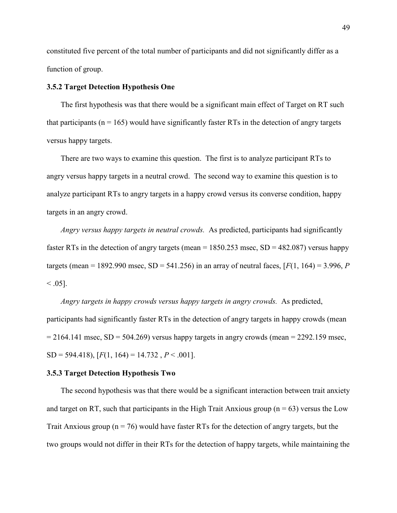constituted five percent of the total number of participants and did not significantly differ as a function of group.

# 3.5.2 Target Detection Hypothesis One

 The first hypothesis was that there would be a significant main effect of Target on RT such that participants ( $n = 165$ ) would have significantly faster RTs in the detection of angry targets versus happy targets.

 There are two ways to examine this question. The first is to analyze participant RTs to angry versus happy targets in a neutral crowd. The second way to examine this question is to analyze participant RTs to angry targets in a happy crowd versus its converse condition, happy targets in an angry crowd.

Angry versus happy targets in neutral crowds. As predicted, participants had significantly faster RTs in the detection of angry targets (mean  $= 1850.253$  msec, SD  $= 482.087$ ) versus happy targets (mean = 1892.990 msec,  $SD = 541.256$ ) in an array of neutral faces,  $[F(1, 164) = 3.996, P$  $< 0.05$ ].

Angry targets in happy crowds versus happy targets in angry crowds. As predicted, participants had significantly faster RTs in the detection of angry targets in happy crowds (mean  $= 2164.141$  msec, SD = 504.269) versus happy targets in angry crowds (mean = 2292.159 msec,  $SD = 594.418$ ,  $[F(1, 164) = 14.732$ ,  $P < .001$ .

## 3.5.3 Target Detection Hypothesis Two

 The second hypothesis was that there would be a significant interaction between trait anxiety and target on RT, such that participants in the High Trait Anxious group ( $n = 63$ ) versus the Low Trait Anxious group ( $n = 76$ ) would have faster RTs for the detection of angry targets, but the two groups would not differ in their RTs for the detection of happy targets, while maintaining the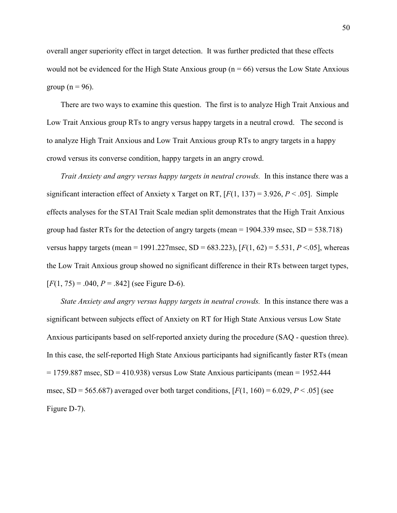overall anger superiority effect in target detection. It was further predicted that these effects would not be evidenced for the High State Anxious group ( $n = 66$ ) versus the Low State Anxious group ( $n = 96$ ).

 There are two ways to examine this question. The first is to analyze High Trait Anxious and Low Trait Anxious group RTs to angry versus happy targets in a neutral crowd. The second is to analyze High Trait Anxious and Low Trait Anxious group RTs to angry targets in a happy crowd versus its converse condition, happy targets in an angry crowd.

Trait Anxiety and angry versus happy targets in neutral crowds. In this instance there was a significant interaction effect of Anxiety x Target on RT,  $[F(1, 137) = 3.926, P < .05]$ . Simple effects analyses for the STAI Trait Scale median split demonstrates that the High Trait Anxious group had faster RTs for the detection of angry targets (mean  $= 1904.339$  msec,  $SD = 538.718$ ) versus happy targets (mean = 1991.227msec, SD = 683.223),  $[F(1, 62) = 5.531, P < .05]$ , whereas the Low Trait Anxious group showed no significant difference in their RTs between target types,  $[F(1, 75) = .040, P = .842]$  (see Figure D-6).

State Anxiety and angry versus happy targets in neutral crowds. In this instance there was a significant between subjects effect of Anxiety on RT for High State Anxious versus Low State Anxious participants based on self-reported anxiety during the procedure (SAQ - question three). In this case, the self-reported High State Anxious participants had significantly faster RTs (mean  $= 1759.887$  msec, SD  $= 410.938$ ) versus Low State Anxious participants (mean  $= 1952.444$ ) msec,  $SD = 565.687$ ) averaged over both target conditions,  $[F(1, 160) = 6.029, P < .05]$  (see Figure D-7).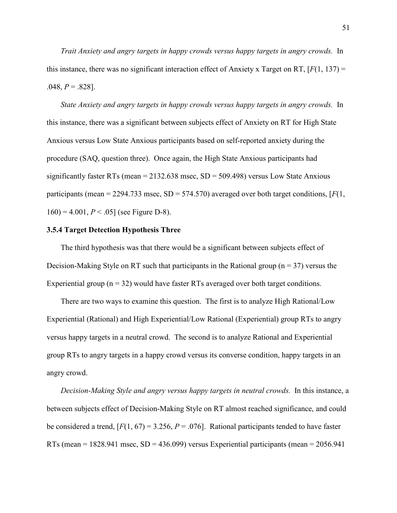Trait Anxiety and angry targets in happy crowds versus happy targets in angry crowds. In this instance, there was no significant interaction effect of Anxiety x Target on RT,  $[F(1, 137) =$  $.048, P = .828$ ].

State Anxiety and angry targets in happy crowds versus happy targets in angry crowds. In this instance, there was a significant between subjects effect of Anxiety on RT for High State Anxious versus Low State Anxious participants based on self-reported anxiety during the procedure (SAQ, question three). Once again, the High State Anxious participants had significantly faster RTs (mean  $= 2132.638$  msec, SD  $= 509.498$ ) versus Low State Anxious participants (mean = 2294.733 msec,  $SD = 574.570$ ) averaged over both target conditions, [ $F(1)$ ,  $160$ ) = 4.001,  $P < .05$ ] (see Figure D-8).

# 3.5.4 Target Detection Hypothesis Three

 The third hypothesis was that there would be a significant between subjects effect of Decision-Making Style on RT such that participants in the Rational group ( $n = 37$ ) versus the Experiential group ( $n = 32$ ) would have faster RTs averaged over both target conditions.

 There are two ways to examine this question. The first is to analyze High Rational/Low Experiential (Rational) and High Experiential/Low Rational (Experiential) group RTs to angry versus happy targets in a neutral crowd. The second is to analyze Rational and Experiential group RTs to angry targets in a happy crowd versus its converse condition, happy targets in an angry crowd.

Decision-Making Style and angry versus happy targets in neutral crowds. In this instance, a between subjects effect of Decision-Making Style on RT almost reached significance, and could be considered a trend,  $[F(1, 67) = 3.256, P = .076]$ . Rational participants tended to have faster RTs (mean  $= 1828.941$  msec,  $SD = 436.099$ ) versus Experiential participants (mean  $= 2056.941$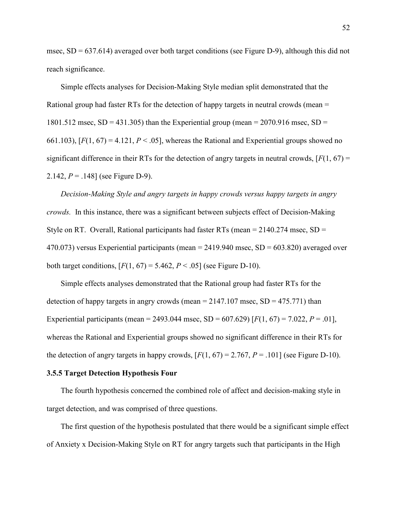msec,  $SD = 637.614$ ) averaged over both target conditions (see Figure D-9), although this did not reach significance.

 Simple effects analyses for Decision-Making Style median split demonstrated that the Rational group had faster RTs for the detection of happy targets in neutral crowds (mean = 1801.512 msec,  $SD = 431.305$ ) than the Experiential group (mean = 2070.916 msec,  $SD =$ 661.103),  $[F(1, 67) = 4.121, P < .05]$ , whereas the Rational and Experiential groups showed no significant difference in their RTs for the detection of angry targets in neutral crowds,  $[F(1, 67) =$ 2.142,  $P = 0.148$ ] (see Figure D-9).

 Decision-Making Style and angry targets in happy crowds versus happy targets in angry crowds. In this instance, there was a significant between subjects effect of Decision-Making Style on RT. Overall, Rational participants had faster RTs (mean  $= 2140.274$  msec, SD  $=$ 470.073) versus Experiential participants (mean  $= 2419.940$  msec,  $SD = 603.820$ ) averaged over both target conditions,  $[F(1, 67) = 5.462, P < .05]$  (see Figure D-10).

 Simple effects analyses demonstrated that the Rational group had faster RTs for the detection of happy targets in angry crowds (mean  $= 2147.107$  msec,  $SD = 475.771$ ) than Experiential participants (mean = 2493.044 msec, SD = 607.629) [ $F(1, 67) = 7.022$ ,  $P = .01$ ], whereas the Rational and Experiential groups showed no significant difference in their RTs for the detection of angry targets in happy crowds,  $[F(1, 67) = 2.767, P = .101]$  (see Figure D-10).

## 3.5.5 Target Detection Hypothesis Four

 The fourth hypothesis concerned the combined role of affect and decision-making style in target detection, and was comprised of three questions.

 The first question of the hypothesis postulated that there would be a significant simple effect of Anxiety x Decision-Making Style on RT for angry targets such that participants in the High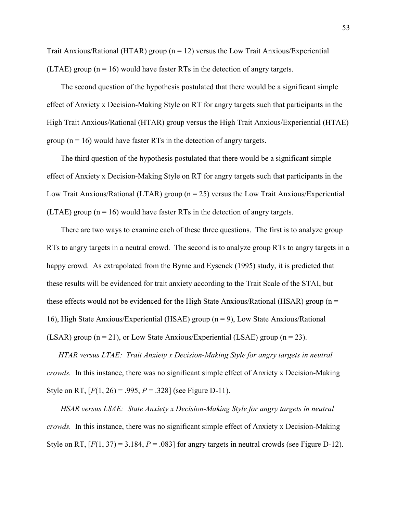Trait Anxious/Rational (HTAR) group ( $n = 12$ ) versus the Low Trait Anxious/Experiential (LTAE) group  $(n = 16)$  would have faster RTs in the detection of angry targets.

 The second question of the hypothesis postulated that there would be a significant simple effect of Anxiety x Decision-Making Style on RT for angry targets such that participants in the High Trait Anxious/Rational (HTAR) group versus the High Trait Anxious/Experiential (HTAE) group  $(n = 16)$  would have faster RTs in the detection of angry targets.

 The third question of the hypothesis postulated that there would be a significant simple effect of Anxiety x Decision-Making Style on RT for angry targets such that participants in the Low Trait Anxious/Rational (LTAR) group ( $n = 25$ ) versus the Low Trait Anxious/Experiential (LTAE) group  $(n = 16)$  would have faster RTs in the detection of angry targets.

 There are two ways to examine each of these three questions. The first is to analyze group RTs to angry targets in a neutral crowd. The second is to analyze group RTs to angry targets in a happy crowd. As extrapolated from the Byrne and Eysenck (1995) study, it is predicted that these results will be evidenced for trait anxiety according to the Trait Scale of the STAI, but these effects would not be evidenced for the High State Anxious/Rational (HSAR) group ( $n =$ 16), High State Anxious/Experiential (HSAE) group (n = 9), Low State Anxious/Rational (LSAR) group  $(n = 21)$ , or Low State Anxious/Experiential (LSAE) group  $(n = 23)$ .

HTAR versus LTAE: Trait Anxiety x Decision-Making Style for angry targets in neutral crowds. In this instance, there was no significant simple effect of Anxiety x Decision-Making Style on RT,  $[F(1, 26) = .995, P = .328]$  (see Figure D-11).

HSAR versus LSAE: State Anxiety x Decision-Making Style for angry targets in neutral crowds. In this instance, there was no significant simple effect of Anxiety x Decision-Making Style on RT,  $[F(1, 37) = 3.184, P = .083]$  for angry targets in neutral crowds (see Figure D-12).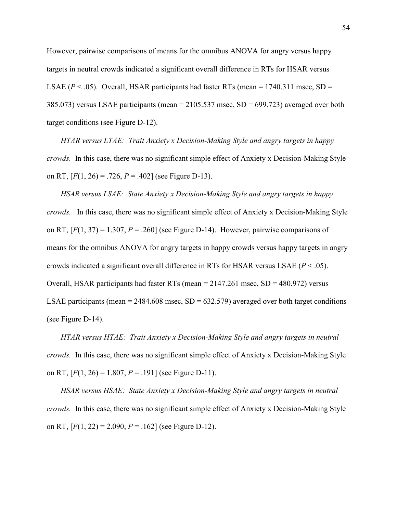However, pairwise comparisons of means for the omnibus ANOVA for angry versus happy targets in neutral crowds indicated a significant overall difference in RTs for HSAR versus LSAE ( $P < .05$ ). Overall, HSAR participants had faster RTs (mean = 1740.311 msec, SD = 385.073) versus LSAE participants (mean = 2105.537 msec, SD = 699.723) averaged over both target conditions (see Figure D-12).

HTAR versus LTAE: Trait Anxiety x Decision-Making Style and angry targets in happy crowds. In this case, there was no significant simple effect of Anxiety x Decision-Making Style on RT,  $[F(1, 26) = .726, P = .402]$  (see Figure D-13).

HSAR versus LSAE: State Anxiety x Decision-Making Style and angry targets in happy crowds. In this case, there was no significant simple effect of Anxiety x Decision-Making Style on RT,  $[F(1, 37) = 1.307, P = .260]$  (see Figure D-14). However, pairwise comparisons of means for the omnibus ANOVA for angry targets in happy crowds versus happy targets in angry crowds indicated a significant overall difference in RTs for HSAR versus LSAE ( $P < .05$ ). Overall, HSAR participants had faster RTs (mean  $= 2147.261$  msec, SD  $= 480.972$ ) versus LSAE participants (mean =  $2484.608$  msec, SD =  $632.579$ ) averaged over both target conditions (see Figure D-14).

HTAR versus HTAE: Trait Anxiety x Decision-Making Style and angry targets in neutral crowds. In this case, there was no significant simple effect of Anxiety x Decision-Making Style on RT,  $[F(1, 26) = 1.807, P = .191]$  (see Figure D-11).

HSAR versus HSAE: State Anxiety x Decision-Making Style and angry targets in neutral crowds. In this case, there was no significant simple effect of Anxiety x Decision-Making Style on RT,  $[F(1, 22) = 2.090, P = .162]$  (see Figure D-12).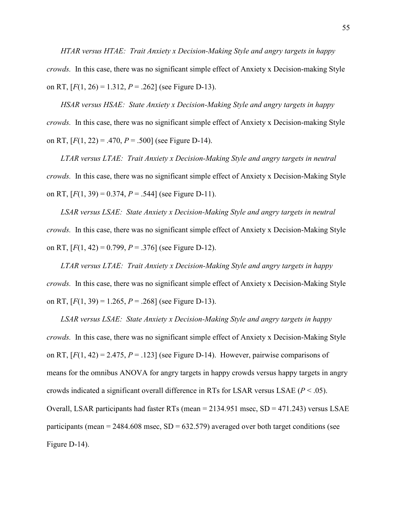HTAR versus HTAE: Trait Anxiety x Decision-Making Style and angry targets in happy crowds. In this case, there was no significant simple effect of Anxiety x Decision-making Style on RT,  $[F(1, 26) = 1.312, P = .262]$  (see Figure D-13).

HSAR versus HSAE: State Anxiety x Decision-Making Style and angry targets in happy crowds. In this case, there was no significant simple effect of Anxiety x Decision-making Style on RT,  $[F(1, 22) = .470, P = .500]$  (see Figure D-14).

LTAR versus LTAE: Trait Anxiety x Decision-Making Style and angry targets in neutral crowds. In this case, there was no significant simple effect of Anxiety x Decision-Making Style on RT,  $[F(1, 39) = 0.374, P = .544]$  (see Figure D-11).

 LSAR versus LSAE: State Anxiety x Decision-Making Style and angry targets in neutral crowds. In this case, there was no significant simple effect of Anxiety x Decision-Making Style on RT,  $[F(1, 42) = 0.799, P = .376]$  (see Figure D-12).

LTAR versus LTAE: Trait Anxiety x Decision-Making Style and angry targets in happy crowds. In this case, there was no significant simple effect of Anxiety x Decision-Making Style on RT,  $[F(1, 39) = 1.265, P = .268]$  (see Figure D-13).

LSAR versus LSAE: State Anxiety x Decision-Making Style and angry targets in happy crowds. In this case, there was no significant simple effect of Anxiety x Decision-Making Style on RT,  $[F(1, 42) = 2.475, P = .123]$  (see Figure D-14). However, pairwise comparisons of means for the omnibus ANOVA for angry targets in happy crowds versus happy targets in angry crowds indicated a significant overall difference in RTs for LSAR versus LSAE ( $P < .05$ ). Overall, LSAR participants had faster RTs (mean = 2134.951 msec, SD = 471.243) versus LSAE participants (mean =  $2484.608$  msec, SD =  $632.579$ ) averaged over both target conditions (see Figure D-14).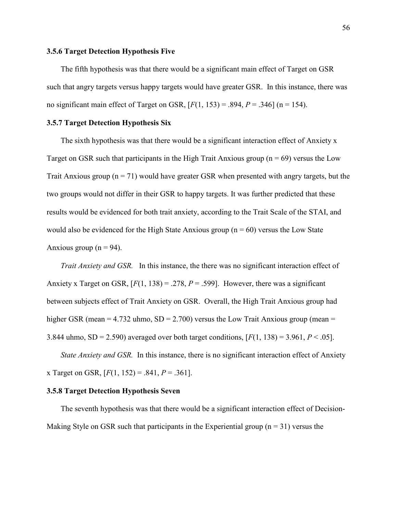# 3.5.6 Target Detection Hypothesis Five

The fifth hypothesis was that there would be a significant main effect of Target on GSR such that angry targets versus happy targets would have greater GSR. In this instance, there was no significant main effect of Target on GSR,  $[F(1, 153) = .894, P = .346]$  (n = 154).

# 3.5.7 Target Detection Hypothesis Six

The sixth hypothesis was that there would be a significant interaction effect of Anxiety x Target on GSR such that participants in the High Trait Anxious group ( $n = 69$ ) versus the Low Trait Anxious group  $(n = 71)$  would have greater GSR when presented with angry targets, but the two groups would not differ in their GSR to happy targets. It was further predicted that these results would be evidenced for both trait anxiety, according to the Trait Scale of the STAI, and would also be evidenced for the High State Anxious group ( $n = 60$ ) versus the Low State Anxious group ( $n = 94$ ).

Trait Anxiety and GSR. In this instance, the there was no significant interaction effect of Anxiety x Target on GSR,  $[F(1, 138) = .278, P = .599]$ . However, there was a significant between subjects effect of Trait Anxiety on GSR. Overall, the High Trait Anxious group had higher GSR (mean =  $4.732$  uhmo, SD =  $2.700$ ) versus the Low Trait Anxious group (mean = 3.844 uhmo, SD = 2.590) averaged over both target conditions,  $[F(1, 138) = 3.961, P < .05]$ .

State Anxiety and GSR. In this instance, there is no significant interaction effect of Anxiety x Target on GSR,  $[F(1, 152) = .841, P = .361]$ .

# 3.5.8 Target Detection Hypothesis Seven

The seventh hypothesis was that there would be a significant interaction effect of Decision-Making Style on GSR such that participants in the Experiential group ( $n = 31$ ) versus the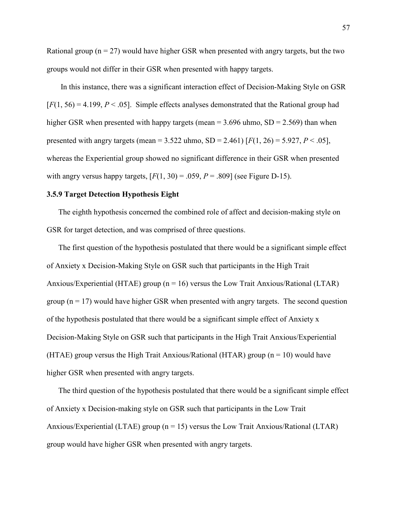Rational group ( $n = 27$ ) would have higher GSR when presented with angry targets, but the two groups would not differ in their GSR when presented with happy targets.

 In this instance, there was a significant interaction effect of Decision-Making Style on GSR  $[F(1, 56) = 4.199, P < .05]$ . Simple effects analyses demonstrated that the Rational group had higher GSR when presented with happy targets (mean  $=$  3.696 uhmo, SD  $=$  2.569) than when presented with angry targets (mean =  $3.522$  uhmo, SD =  $2.461$ ) [ $F(1, 26) = 5.927, P < .05$ ], whereas the Experiential group showed no significant difference in their GSR when presented with angry versus happy targets,  $[F(1, 30) = .059, P = .809]$  (see Figure D-15).

# 3.5.9 Target Detection Hypothesis Eight

The eighth hypothesis concerned the combined role of affect and decision-making style on GSR for target detection, and was comprised of three questions.

The first question of the hypothesis postulated that there would be a significant simple effect of Anxiety x Decision-Making Style on GSR such that participants in the High Trait Anxious/Experiential (HTAE) group ( $n = 16$ ) versus the Low Trait Anxious/Rational (LTAR) group  $(n = 17)$  would have higher GSR when presented with angry targets. The second question of the hypothesis postulated that there would be a significant simple effect of Anxiety x Decision-Making Style on GSR such that participants in the High Trait Anxious/Experiential (HTAE) group versus the High Trait Anxious/Rational (HTAR) group ( $n = 10$ ) would have higher GSR when presented with angry targets.

The third question of the hypothesis postulated that there would be a significant simple effect of Anxiety x Decision-making style on GSR such that participants in the Low Trait Anxious/Experiential (LTAE) group ( $n = 15$ ) versus the Low Trait Anxious/Rational (LTAR) group would have higher GSR when presented with angry targets.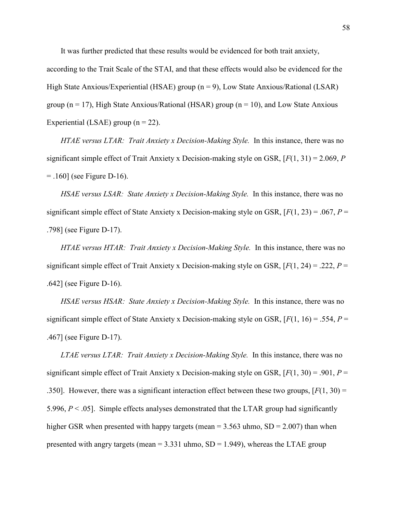It was further predicted that these results would be evidenced for both trait anxiety,

according to the Trait Scale of the STAI, and that these effects would also be evidenced for the High State Anxious/Experiential (HSAE) group  $(n = 9)$ , Low State Anxious/Rational (LSAR) group ( $n = 17$ ), High State Anxious/Rational (HSAR) group ( $n = 10$ ), and Low State Anxious Experiential (LSAE) group  $(n = 22)$ .

HTAE versus LTAR: Trait Anxiety x Decision-Making Style. In this instance, there was no significant simple effect of Trait Anxiety x Decision-making style on GSR,  $[F(1, 31) = 2.069, P$  $=$  .160] (see Figure D-16).

HSAE versus LSAR: State Anxiety x Decision-Making Style. In this instance, there was no significant simple effect of State Anxiety x Decision-making style on GSR,  $[F(1, 23) = .067, P =$ .798] (see Figure D-17).

HTAE versus HTAR: Trait Anxiety x Decision-Making Style. In this instance, there was no significant simple effect of Trait Anxiety x Decision-making style on GSR,  $[F(1, 24) = .222, P =$ .642] (see Figure D-16).

HSAE versus HSAR: State Anxiety x Decision-Making Style. In this instance, there was no significant simple effect of State Anxiety x Decision-making style on GSR,  $[F(1, 16) = .554, P =$ .467] (see Figure D-17).

LTAE versus LTAR: Trait Anxiety x Decision-Making Style. In this instance, there was no significant simple effect of Trait Anxiety x Decision-making style on GSR,  $[F(1, 30) = .901, P =$ .350]. However, there was a significant interaction effect between these two groups,  $[F(1, 30) =$ 5.996,  $P < .05$ ]. Simple effects analyses demonstrated that the LTAR group had significantly higher GSR when presented with happy targets (mean  $= 3.563$  uhmo,  $SD = 2.007$ ) than when presented with angry targets (mean  $= 3.331$  uhmo,  $SD = 1.949$ ), whereas the LTAE group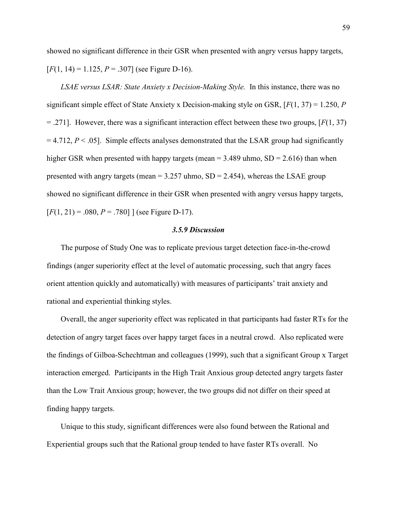showed no significant difference in their GSR when presented with angry versus happy targets,  $[F(1, 14) = 1.125, P = .307]$  (see Figure D-16).

LSAE versus LSAR: State Anxiety x Decision-Making Style. In this instance, there was no significant simple effect of State Anxiety x Decision-making style on GSR,  $[F(1, 37) = 1.250, P$  $=$  .271]. However, there was a significant interaction effect between these two groups, [ $F(1, 37)$ ]  $= 4.712$ ,  $P < .05$ ]. Simple effects analyses demonstrated that the LSAR group had significantly higher GSR when presented with happy targets (mean  $=$  3.489 uhmo, SD  $=$  2.616) than when presented with angry targets (mean  $= 3.257$  uhmo,  $SD = 2.454$ ), whereas the LSAE group showed no significant difference in their GSR when presented with angry versus happy targets,  $[F(1, 21) = .080, P = .780]$  (see Figure D-17).

#### 3.5.9 Discussion

 The purpose of Study One was to replicate previous target detection face-in-the-crowd findings (anger superiority effect at the level of automatic processing, such that angry faces orient attention quickly and automatically) with measures of participants' trait anxiety and rational and experiential thinking styles.

Overall, the anger superiority effect was replicated in that participants had faster RTs for the detection of angry target faces over happy target faces in a neutral crowd. Also replicated were the findings of Gilboa-Schechtman and colleagues (1999), such that a significant Group x Target interaction emerged. Participants in the High Trait Anxious group detected angry targets faster than the Low Trait Anxious group; however, the two groups did not differ on their speed at finding happy targets.

Unique to this study, significant differences were also found between the Rational and Experiential groups such that the Rational group tended to have faster RTs overall. No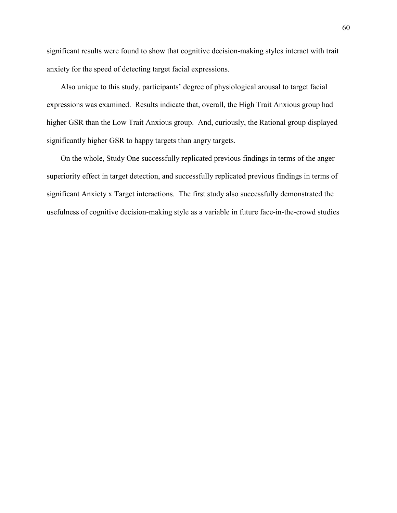significant results were found to show that cognitive decision-making styles interact with trait anxiety for the speed of detecting target facial expressions.

Also unique to this study, participants' degree of physiological arousal to target facial expressions was examined. Results indicate that, overall, the High Trait Anxious group had higher GSR than the Low Trait Anxious group. And, curiously, the Rational group displayed significantly higher GSR to happy targets than angry targets.

On the whole, Study One successfully replicated previous findings in terms of the anger superiority effect in target detection, and successfully replicated previous findings in terms of significant Anxiety x Target interactions. The first study also successfully demonstrated the usefulness of cognitive decision-making style as a variable in future face-in-the-crowd studies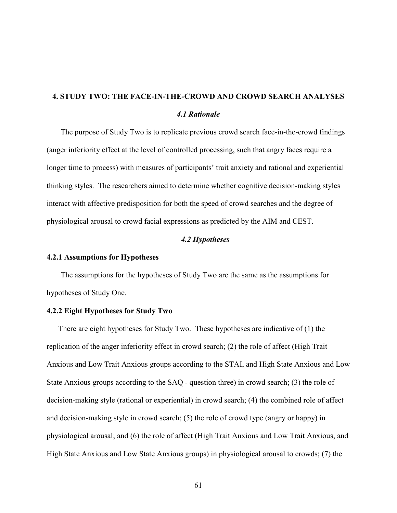# 4. STUDY TWO: THE FACE-IN-THE-CROWD AND CROWD SEARCH ANALYSES 4.1 Rationale

The purpose of Study Two is to replicate previous crowd search face-in-the-crowd findings (anger inferiority effect at the level of controlled processing, such that angry faces require a longer time to process) with measures of participants' trait anxiety and rational and experiential thinking styles. The researchers aimed to determine whether cognitive decision-making styles interact with affective predisposition for both the speed of crowd searches and the degree of physiological arousal to crowd facial expressions as predicted by the AIM and CEST.

# 4.2 Hypotheses

#### 4.2.1 Assumptions for Hypotheses

The assumptions for the hypotheses of Study Two are the same as the assumptions for hypotheses of Study One.

# 4.2.2 Eight Hypotheses for Study Two

There are eight hypotheses for Study Two. These hypotheses are indicative of (1) the replication of the anger inferiority effect in crowd search; (2) the role of affect (High Trait Anxious and Low Trait Anxious groups according to the STAI, and High State Anxious and Low State Anxious groups according to the SAQ - question three) in crowd search; (3) the role of decision-making style (rational or experiential) in crowd search; (4) the combined role of affect and decision-making style in crowd search; (5) the role of crowd type (angry or happy) in physiological arousal; and (6) the role of affect (High Trait Anxious and Low Trait Anxious, and High State Anxious and Low State Anxious groups) in physiological arousal to crowds; (7) the

61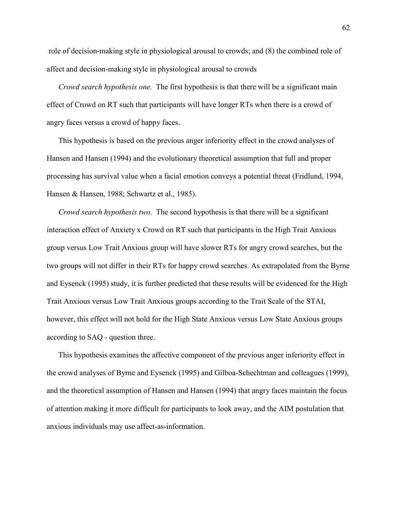role of decision-making style in physiological arousal to crowds; and (8) the combined role of affect and decision-making style in physiological arousal to crowds

Crowd search hypothesis one. The first hypothesis is that there will be a significant main effect of Crowd on RT such that participants will have longer RTs when there is a crowd of angry faces versus a crowd of happy faces.

This hypothesis is based on the previous anger inferiority effect in the crowd analyses of Hansen and Hansen (1994) and the evolutionary theoretical assumption that full and proper processing has survival value when a facial emotion conveys a potential threat (Fridlund, 1994, Hansen & Hansen, 1988; Schwartz et al., 1985).

Crowd search hypothesis two. The second hypothesis is that there will be a significant interaction effect of Anxiety x Crowd on RT such that participants in the High Trait Anxious group versus Low Trait Anxious group will have slower RTs for angry crowd searches, but the two groups will not differ in their RTs for happy crowd searches. As extrapolated from the Byrne and Eysenck (1995) study, it is further predicted that these results will be evidenced for the High Trait Anxious versus Low Trait Anxious groups according to the Trait Scale of the STAI, however, this effect will not hold for the High State Anxious versus Low State Anxious groups according to SAQ - question three.

This hypothesis examines the affective component of the previous anger inferiority effect in the crowd analyses of Byrne and Eysenck (1995) and Gilboa-Schechtman and colleagues (1999), and the theoretical assumption of Hansen and Hansen (1994) that angry faces maintain the focus of attention making it more difficult for participants to look away, and the AIM postulation that anxious individuals may use affect-as-information.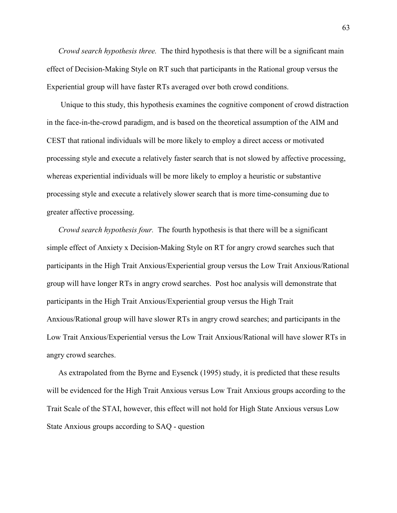Crowd search hypothesis three. The third hypothesis is that there will be a significant main effect of Decision-Making Style on RT such that participants in the Rational group versus the Experiential group will have faster RTs averaged over both crowd conditions.

 Unique to this study, this hypothesis examines the cognitive component of crowd distraction in the face-in-the-crowd paradigm, and is based on the theoretical assumption of the AIM and CEST that rational individuals will be more likely to employ a direct access or motivated processing style and execute a relatively faster search that is not slowed by affective processing, whereas experiential individuals will be more likely to employ a heuristic or substantive processing style and execute a relatively slower search that is more time-consuming due to greater affective processing.

Crowd search hypothesis four. The fourth hypothesis is that there will be a significant simple effect of Anxiety x Decision-Making Style on RT for angry crowd searches such that participants in the High Trait Anxious/Experiential group versus the Low Trait Anxious/Rational group will have longer RTs in angry crowd searches. Post hoc analysis will demonstrate that participants in the High Trait Anxious/Experiential group versus the High Trait Anxious/Rational group will have slower RTs in angry crowd searches; and participants in the Low Trait Anxious/Experiential versus the Low Trait Anxious/Rational will have slower RTs in angry crowd searches.

As extrapolated from the Byrne and Eysenck (1995) study, it is predicted that these results will be evidenced for the High Trait Anxious versus Low Trait Anxious groups according to the Trait Scale of the STAI, however, this effect will not hold for High State Anxious versus Low State Anxious groups according to SAQ - question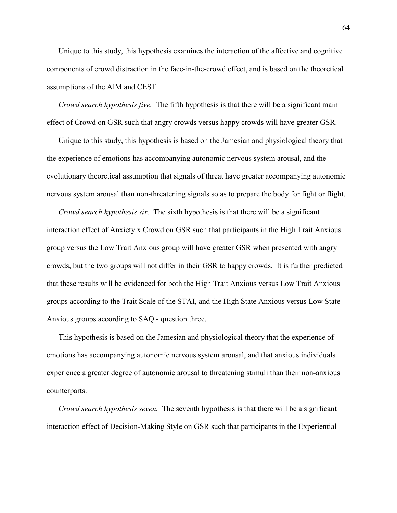Unique to this study, this hypothesis examines the interaction of the affective and cognitive components of crowd distraction in the face-in-the-crowd effect, and is based on the theoretical assumptions of the AIM and CEST.

Crowd search hypothesis five. The fifth hypothesis is that there will be a significant main effect of Crowd on GSR such that angry crowds versus happy crowds will have greater GSR.

Unique to this study, this hypothesis is based on the Jamesian and physiological theory that the experience of emotions has accompanying autonomic nervous system arousal, and the evolutionary theoretical assumption that signals of threat have greater accompanying autonomic nervous system arousal than non-threatening signals so as to prepare the body for fight or flight.

Crowd search hypothesis six. The sixth hypothesis is that there will be a significant interaction effect of Anxiety x Crowd on GSR such that participants in the High Trait Anxious group versus the Low Trait Anxious group will have greater GSR when presented with angry crowds, but the two groups will not differ in their GSR to happy crowds. It is further predicted that these results will be evidenced for both the High Trait Anxious versus Low Trait Anxious groups according to the Trait Scale of the STAI, and the High State Anxious versus Low State Anxious groups according to SAQ - question three.

This hypothesis is based on the Jamesian and physiological theory that the experience of emotions has accompanying autonomic nervous system arousal, and that anxious individuals experience a greater degree of autonomic arousal to threatening stimuli than their non-anxious counterparts.

Crowd search hypothesis seven. The seventh hypothesis is that there will be a significant interaction effect of Decision-Making Style on GSR such that participants in the Experiential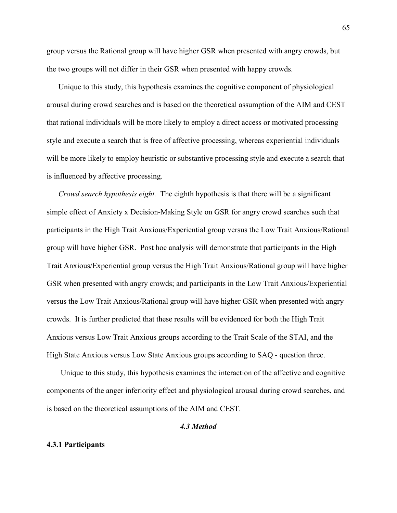group versus the Rational group will have higher GSR when presented with angry crowds, but the two groups will not differ in their GSR when presented with happy crowds.

Unique to this study, this hypothesis examines the cognitive component of physiological arousal during crowd searches and is based on the theoretical assumption of the AIM and CEST that rational individuals will be more likely to employ a direct access or motivated processing style and execute a search that is free of affective processing, whereas experiential individuals will be more likely to employ heuristic or substantive processing style and execute a search that is influenced by affective processing.

Crowd search hypothesis eight. The eighth hypothesis is that there will be a significant simple effect of Anxiety x Decision-Making Style on GSR for angry crowd searches such that participants in the High Trait Anxious/Experiential group versus the Low Trait Anxious/Rational group will have higher GSR. Post hoc analysis will demonstrate that participants in the High Trait Anxious/Experiential group versus the High Trait Anxious/Rational group will have higher GSR when presented with angry crowds; and participants in the Low Trait Anxious/Experiential versus the Low Trait Anxious/Rational group will have higher GSR when presented with angry crowds. It is further predicted that these results will be evidenced for both the High Trait Anxious versus Low Trait Anxious groups according to the Trait Scale of the STAI, and the High State Anxious versus Low State Anxious groups according to SAQ - question three.

 Unique to this study, this hypothesis examines the interaction of the affective and cognitive components of the anger inferiority effect and physiological arousal during crowd searches, and is based on the theoretical assumptions of the AIM and CEST.

### 4.3 Method

#### 4.3.1 Participants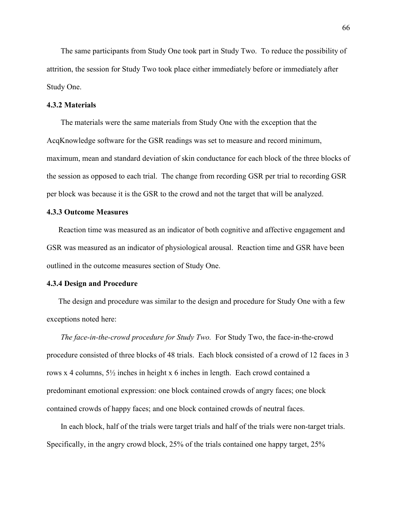The same participants from Study One took part in Study Two. To reduce the possibility of attrition, the session for Study Two took place either immediately before or immediately after Study One.

## 4.3.2 Materials

 The materials were the same materials from Study One with the exception that the AcqKnowledge software for the GSR readings was set to measure and record minimum, maximum, mean and standard deviation of skin conductance for each block of the three blocks of the session as opposed to each trial. The change from recording GSR per trial to recording GSR per block was because it is the GSR to the crowd and not the target that will be analyzed.

# 4.3.3 Outcome Measures

Reaction time was measured as an indicator of both cognitive and affective engagement and GSR was measured as an indicator of physiological arousal. Reaction time and GSR have been outlined in the outcome measures section of Study One.

#### 4.3.4 Design and Procedure

The design and procedure was similar to the design and procedure for Study One with a few exceptions noted here:

The face-in-the-crowd procedure for Study Two. For Study Two, the face-in-the-crowd procedure consisted of three blocks of 48 trials. Each block consisted of a crowd of 12 faces in 3 rows x 4 columns, 5½ inches in height x 6 inches in length. Each crowd contained a predominant emotional expression: one block contained crowds of angry faces; one block contained crowds of happy faces; and one block contained crowds of neutral faces.

 In each block, half of the trials were target trials and half of the trials were non-target trials. Specifically, in the angry crowd block, 25% of the trials contained one happy target, 25%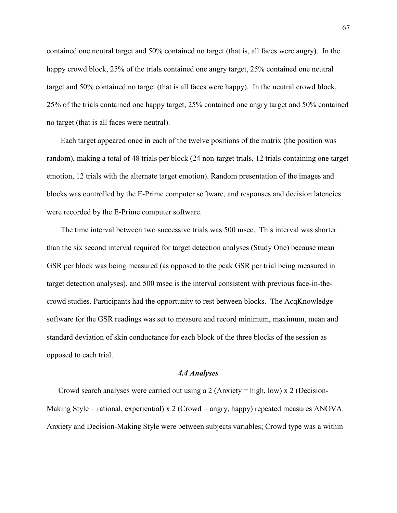contained one neutral target and 50% contained no target (that is, all faces were angry). In the happy crowd block, 25% of the trials contained one angry target, 25% contained one neutral target and 50% contained no target (that is all faces were happy). In the neutral crowd block, 25% of the trials contained one happy target, 25% contained one angry target and 50% contained no target (that is all faces were neutral).

 Each target appeared once in each of the twelve positions of the matrix (the position was random), making a total of 48 trials per block (24 non-target trials, 12 trials containing one target emotion, 12 trials with the alternate target emotion). Random presentation of the images and blocks was controlled by the E-Prime computer software, and responses and decision latencies were recorded by the E-Prime computer software.

 The time interval between two successive trials was 500 msec. This interval was shorter than the six second interval required for target detection analyses (Study One) because mean GSR per block was being measured (as opposed to the peak GSR per trial being measured in target detection analyses), and 500 msec is the interval consistent with previous face-in-thecrowd studies. Participants had the opportunity to rest between blocks. The AcqKnowledge software for the GSR readings was set to measure and record minimum, maximum, mean and standard deviation of skin conductance for each block of the three blocks of the session as opposed to each trial.

## 4.4 Analyses

Crowd search analyses were carried out using a 2 (Anxiety = high, low) x 2 (Decision-Making Style = rational, experiential) x 2 (Crowd = angry, happy) repeated measures ANOVA. Anxiety and Decision-Making Style were between subjects variables; Crowd type was a within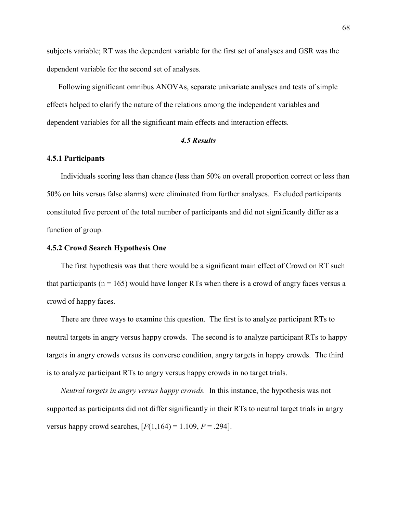subjects variable; RT was the dependent variable for the first set of analyses and GSR was the dependent variable for the second set of analyses.

Following significant omnibus ANOVAs, separate univariate analyses and tests of simple effects helped to clarify the nature of the relations among the independent variables and dependent variables for all the significant main effects and interaction effects.

## 4.5 Results

## 4.5.1 Participants

Individuals scoring less than chance (less than 50% on overall proportion correct or less than 50% on hits versus false alarms) were eliminated from further analyses. Excluded participants constituted five percent of the total number of participants and did not significantly differ as a function of group.

#### 4.5.2 Crowd Search Hypothesis One

The first hypothesis was that there would be a significant main effect of Crowd on RT such that participants ( $n = 165$ ) would have longer RTs when there is a crowd of angry faces versus a crowd of happy faces.

 There are three ways to examine this question. The first is to analyze participant RTs to neutral targets in angry versus happy crowds. The second is to analyze participant RTs to happy targets in angry crowds versus its converse condition, angry targets in happy crowds. The third is to analyze participant RTs to angry versus happy crowds in no target trials.

Neutral targets in angry versus happy crowds. In this instance, the hypothesis was not supported as participants did not differ significantly in their RTs to neutral target trials in angry versus happy crowd searches,  $[F(1,164) = 1.109, P = .294]$ .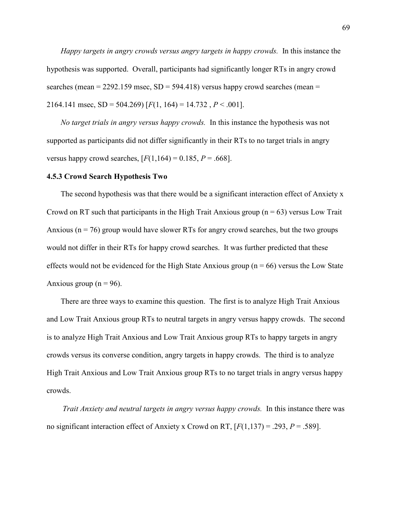Happy targets in angry crowds versus angry targets in happy crowds. In this instance the hypothesis was supported. Overall, participants had significantly longer RTs in angry crowd searches (mean  $= 2292.159$  msec,  $SD = 594.418$ ) versus happy crowd searches (mean  $=$ 2164.141 msec,  $SD = 504.269$  [ $F(1, 164) = 14.732$ ,  $P < .001$ ].

No target trials in angry versus happy crowds. In this instance the hypothesis was not supported as participants did not differ significantly in their RTs to no target trials in angry versus happy crowd searches,  $[F(1,164) = 0.185, P = .668]$ .

#### 4.5.3 Crowd Search Hypothesis Two

The second hypothesis was that there would be a significant interaction effect of Anxiety x Crowd on RT such that participants in the High Trait Anxious group ( $n = 63$ ) versus Low Trait Anxious ( $n = 76$ ) group would have slower RTs for angry crowd searches, but the two groups would not differ in their RTs for happy crowd searches. It was further predicted that these effects would not be evidenced for the High State Anxious group ( $n = 66$ ) versus the Low State Anxious group ( $n = 96$ ).

 There are three ways to examine this question. The first is to analyze High Trait Anxious and Low Trait Anxious group RTs to neutral targets in angry versus happy crowds. The second is to analyze High Trait Anxious and Low Trait Anxious group RTs to happy targets in angry crowds versus its converse condition, angry targets in happy crowds. The third is to analyze High Trait Anxious and Low Trait Anxious group RTs to no target trials in angry versus happy crowds.

 Trait Anxiety and neutral targets in angry versus happy crowds. In this instance there was no significant interaction effect of Anxiety x Crowd on RT,  $[F(1,137) = .293, P = .589]$ .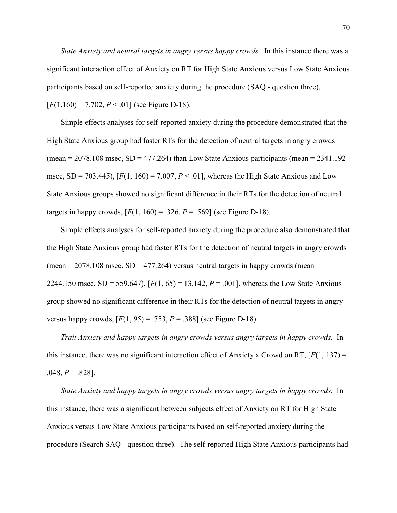State Anxiety and neutral targets in angry versus happy crowds. In this instance there was a significant interaction effect of Anxiety on RT for High State Anxious versus Low State Anxious participants based on self-reported anxiety during the procedure (SAQ - question three),  $[F(1,160) = 7.702, P < .01]$  (see Figure D-18).

 Simple effects analyses for self-reported anxiety during the procedure demonstrated that the High State Anxious group had faster RTs for the detection of neutral targets in angry crowds (mean  $= 2078.108$  msec,  $SD = 477.264$ ) than Low State Anxious participants (mean  $= 2341.192$ msec,  $SD = 703.445$ ,  $[F(1, 160) = 7.007, P < .01]$ , whereas the High State Anxious and Low State Anxious groups showed no significant difference in their RTs for the detection of neutral targets in happy crowds,  $[F(1, 160) = .326, P = .569]$  (see Figure D-18).

 Simple effects analyses for self-reported anxiety during the procedure also demonstrated that the High State Anxious group had faster RTs for the detection of neutral targets in angry crowds (mean  $= 2078.108$  msec, SD  $= 477.264$ ) versus neutral targets in happy crowds (mean  $=$ 2244.150 msec,  $SD = 559.647$ ,  $[F(1, 65) = 13.142, P = .001]$ , whereas the Low State Anxious group showed no significant difference in their RTs for the detection of neutral targets in angry versus happy crowds,  $[F(1, 95) = .753, P = .388]$  (see Figure D-18).

Trait Anxiety and happy targets in angry crowds versus angry targets in happy crowds. In this instance, there was no significant interaction effect of Anxiety x Crowd on RT,  $[F(1, 137) =$  $.048, P = .828$ ].

State Anxiety and happy targets in angry crowds versus angry targets in happy crowds. In this instance, there was a significant between subjects effect of Anxiety on RT for High State Anxious versus Low State Anxious participants based on self-reported anxiety during the procedure (Search SAQ - question three). The self-reported High State Anxious participants had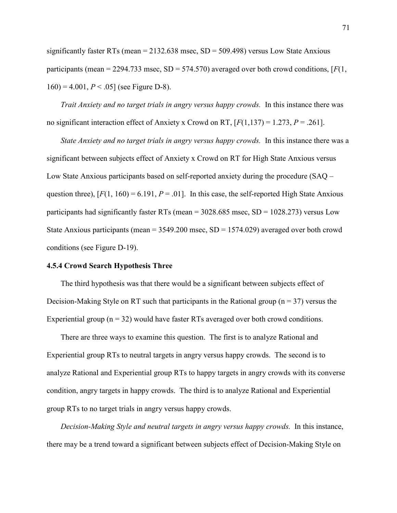significantly faster RTs (mean  $= 2132.638$  msec,  $SD = 509.498$ ) versus Low State Anxious participants (mean = 2294.733 msec,  $SD = 574.570$ ) averaged over both crowd conditions, [ $F(1)$ ,  $160$ ) = 4.001,  $P < .05$ ] (see Figure D-8).

Trait Anxiety and no target trials in angry versus happy crowds. In this instance there was no significant interaction effect of Anxiety x Crowd on RT,  $[F(1,137) = 1.273, P = .261]$ .

State Anxiety and no target trials in angry versus happy crowds. In this instance there was a significant between subjects effect of Anxiety x Crowd on RT for High State Anxious versus Low State Anxious participants based on self-reported anxiety during the procedure (SAQ – question three),  $[F(1, 160) = 6.191, P = .01]$ . In this case, the self-reported High State Anxious participants had significantly faster RTs (mean  $=$  3028.685 msec, SD  $=$  1028.273) versus Low State Anxious participants (mean =  $3549.200$  msec, SD =  $1574.029$ ) averaged over both crowd conditions (see Figure D-19).

### 4.5.4 Crowd Search Hypothesis Three

The third hypothesis was that there would be a significant between subjects effect of Decision-Making Style on RT such that participants in the Rational group ( $n = 37$ ) versus the Experiential group ( $n = 32$ ) would have faster RTs averaged over both crowd conditions.

 There are three ways to examine this question. The first is to analyze Rational and Experiential group RTs to neutral targets in angry versus happy crowds. The second is to analyze Rational and Experiential group RTs to happy targets in angry crowds with its converse condition, angry targets in happy crowds. The third is to analyze Rational and Experiential group RTs to no target trials in angry versus happy crowds.

Decision-Making Style and neutral targets in angry versus happy crowds. In this instance, there may be a trend toward a significant between subjects effect of Decision-Making Style on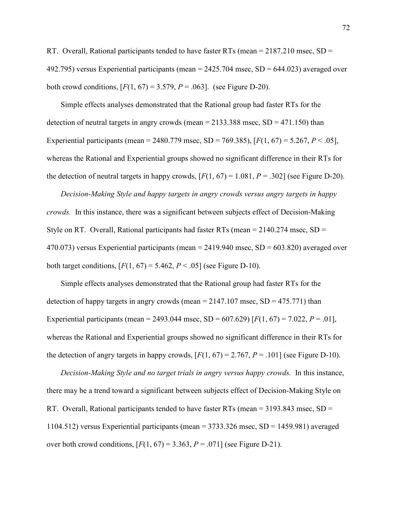RT. Overall, Rational participants tended to have faster RTs (mean  $= 2187.210$  msec, SD  $=$ 492.795) versus Experiential participants (mean  $= 2425.704$  msec, SD  $= 644.023$ ) averaged over both crowd conditions,  $[F(1, 67) = 3.579, P = .063]$ . (see Figure D-20).

 Simple effects analyses demonstrated that the Rational group had faster RTs for the detection of neutral targets in angry crowds (mean  $= 2133.388$  msec,  $SD = 471.150$ ) than Experiential participants (mean = 2480.779 msec, SD = 769.385),  $[F(1, 67) = 5.267, P < .05]$ , whereas the Rational and Experiential groups showed no significant difference in their RTs for the detection of neutral targets in happy crowds,  $[F(1, 67) = 1.081, P = .302]$  (see Figure D-20).

Decision-Making Style and happy targets in angry crowds versus angry targets in happy crowds. In this instance, there was a significant between subjects effect of Decision-Making Style on RT. Overall, Rational participants had faster RTs (mean  $= 2140.274$  msec, SD  $=$ 470.073) versus Experiential participants (mean  $= 2419.940$  msec,  $SD = 603.820$ ) averaged over both target conditions,  $[F(1, 67) = 5.462, P < .05]$  (see Figure D-10).

 Simple effects analyses demonstrated that the Rational group had faster RTs for the detection of happy targets in angry crowds (mean  $= 2147.107$  msec,  $SD = 475.771$ ) than Experiential participants (mean = 2493.044 msec, SD = 607.629) [ $F(1, 67) = 7.022$ ,  $P = .01$ ], whereas the Rational and Experiential groups showed no significant difference in their RTs for the detection of angry targets in happy crowds,  $[F(1, 67) = 2.767, P = .101]$  (see Figure D-10).

Decision-Making Style and no target trials in angry versus happy crowds. In this instance, there may be a trend toward a significant between subjects effect of Decision-Making Style on RT. Overall, Rational participants tended to have faster RTs (mean = 3193.843 msec, SD = 1104.512) versus Experiential participants (mean = 3733.326 msec, SD = 1459.981) averaged over both crowd conditions,  $[F(1, 67) = 3.363, P = .071]$  (see Figure D-21).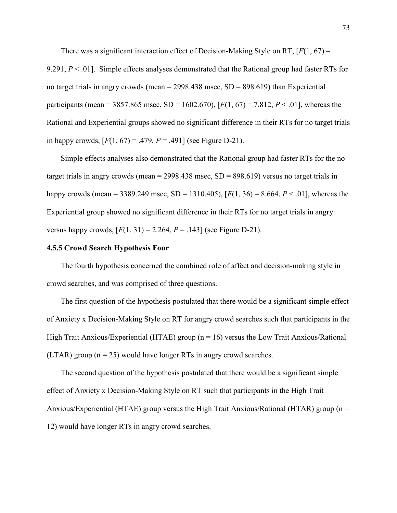There was a significant interaction effect of Decision-Making Style on RT,  $[F(1, 67) =$ 9.291,  $P \le 0.01$ . Simple effects analyses demonstrated that the Rational group had faster RTs for no target trials in angry crowds (mean  $=$  2998.438 msec, SD  $=$  898.619) than Experiential participants (mean = 3857.865 msec, SD = 1602.670),  $[F(1, 67) = 7.812, P < .01]$ , whereas the Rational and Experiential groups showed no significant difference in their RTs for no target trials in happy crowds,  $[F(1, 67) = .479, P = .491]$  (see Figure D-21).

 Simple effects analyses also demonstrated that the Rational group had faster RTs for the no target trials in angry crowds (mean  $= 2998.438$  msec,  $SD = 898.619$ ) versus no target trials in happy crowds (mean = 3389.249 msec, SD = 1310.405),  $[F(1, 36) = 8.664, P < .01]$ , whereas the Experiential group showed no significant difference in their RTs for no target trials in angry versus happy crowds,  $[F(1, 31) = 2.264, P = .143]$  (see Figure D-21).

## 4.5.5 Crowd Search Hypothesis Four

The fourth hypothesis concerned the combined role of affect and decision-making style in crowd searches, and was comprised of three questions.

 The first question of the hypothesis postulated that there would be a significant simple effect of Anxiety x Decision-Making Style on RT for angry crowd searches such that participants in the High Trait Anxious/Experiential (HTAE) group ( $n = 16$ ) versus the Low Trait Anxious/Rational (LTAR) group ( $n = 25$ ) would have longer RTs in angry crowd searches.

 The second question of the hypothesis postulated that there would be a significant simple effect of Anxiety x Decision-Making Style on RT such that participants in the High Trait Anxious/Experiential (HTAE) group versus the High Trait Anxious/Rational (HTAR) group (n = 12) would have longer RTs in angry crowd searches.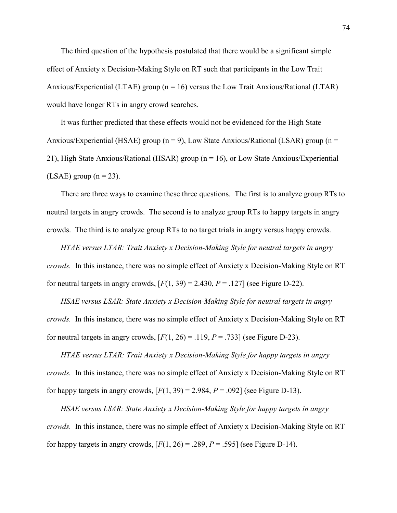The third question of the hypothesis postulated that there would be a significant simple effect of Anxiety x Decision-Making Style on RT such that participants in the Low Trait Anxious/Experiential (LTAE) group ( $n = 16$ ) versus the Low Trait Anxious/Rational (LTAR) would have longer RTs in angry crowd searches.

 It was further predicted that these effects would not be evidenced for the High State Anxious/Experiential (HSAE) group ( $n = 9$ ), Low State Anxious/Rational (LSAR) group ( $n =$ 21), High State Anxious/Rational (HSAR) group (n = 16), or Low State Anxious/Experiential  $(LSAE)$  group  $(n = 23)$ .

 There are three ways to examine these three questions. The first is to analyze group RTs to neutral targets in angry crowds. The second is to analyze group RTs to happy targets in angry crowds. The third is to analyze group RTs to no target trials in angry versus happy crowds.

HTAE versus LTAR: Trait Anxiety x Decision-Making Style for neutral targets in angry crowds. In this instance, there was no simple effect of Anxiety x Decision-Making Style on RT for neutral targets in angry crowds,  $[F(1, 39) = 2.430, P = .127]$  (see Figure D-22).

HSAE versus LSAR: State Anxiety x Decision-Making Style for neutral targets in angry crowds. In this instance, there was no simple effect of Anxiety x Decision-Making Style on RT for neutral targets in angry crowds,  $[F(1, 26) = .119, P = .733]$  (see Figure D-23).

HTAE versus LTAR: Trait Anxiety x Decision-Making Style for happy targets in angry crowds. In this instance, there was no simple effect of Anxiety x Decision-Making Style on RT for happy targets in angry crowds,  $[F(1, 39) = 2.984, P = .092]$  (see Figure D-13).

HSAE versus LSAR: State Anxiety x Decision-Making Style for happy targets in angry crowds. In this instance, there was no simple effect of Anxiety x Decision-Making Style on RT for happy targets in angry crowds,  $[F(1, 26) = .289, P = .595]$  (see Figure D-14).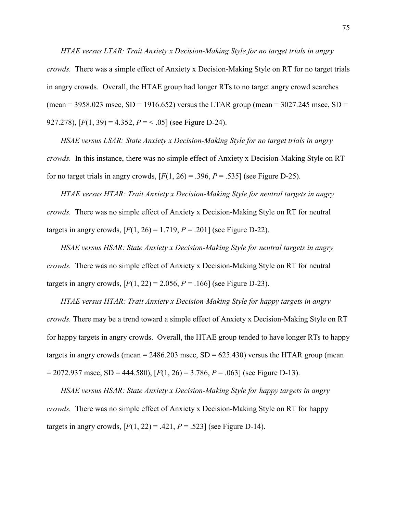HTAE versus LTAR: Trait Anxiety x Decision-Making Style for no target trials in angry crowds. There was a simple effect of Anxiety x Decision-Making Style on RT for no target trials in angry crowds. Overall, the HTAE group had longer RTs to no target angry crowd searches (mean =  $3958.023$  msec, SD =  $1916.652$ ) versus the LTAR group (mean =  $3027.245$  msec, SD = 927.278),  $[F(1, 39) = 4.352, P = < .05]$  (see Figure D-24).

HSAE versus LSAR: State Anxiety x Decision-Making Style for no target trials in angry crowds. In this instance, there was no simple effect of Anxiety x Decision-Making Style on RT for no target trials in angry crowds,  $[F(1, 26) = .396, P = .535]$  (see Figure D-25).

HTAE versus HTAR: Trait Anxiety x Decision-Making Style for neutral targets in angry crowds. There was no simple effect of Anxiety x Decision-Making Style on RT for neutral targets in angry crowds,  $[F(1, 26) = 1.719, P = .201]$  (see Figure D-22).

HSAE versus HSAR: State Anxiety x Decision-Making Style for neutral targets in angry crowds. There was no simple effect of Anxiety x Decision-Making Style on RT for neutral targets in angry crowds,  $[F(1, 22) = 2.056, P = .166]$  (see Figure D-23).

 HTAE versus HTAR: Trait Anxiety x Decision-Making Style for happy targets in angry crowds. There may be a trend toward a simple effect of Anxiety x Decision-Making Style on RT for happy targets in angry crowds. Overall, the HTAE group tended to have longer RTs to happy targets in angry crowds (mean =  $2486.203$  msec, SD =  $625.430$ ) versus the HTAR group (mean  $= 2072.937$  msec, SD = 444.580),  $[F(1, 26) = 3.786, P = .063]$  (see Figure D-13).

HSAE versus HSAR: State Anxiety x Decision-Making Style for happy targets in angry crowds. There was no simple effect of Anxiety x Decision-Making Style on RT for happy targets in angry crowds,  $[F(1, 22) = .421, P = .523]$  (see Figure D-14).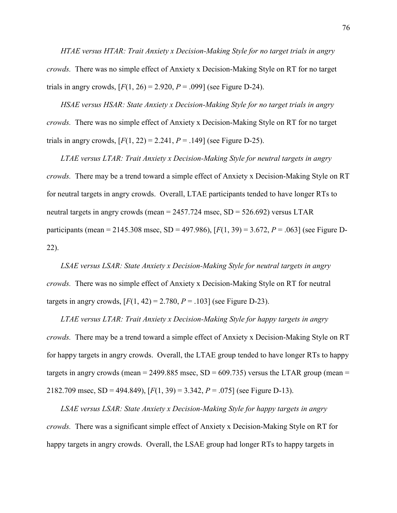HTAE versus HTAR: Trait Anxiety x Decision-Making Style for no target trials in angry crowds. There was no simple effect of Anxiety x Decision-Making Style on RT for no target trials in angry crowds,  $[F(1, 26) = 2.920, P = .099]$  (see Figure D-24).

HSAE versus HSAR: State Anxiety x Decision-Making Style for no target trials in angry crowds. There was no simple effect of Anxiety x Decision-Making Style on RT for no target trials in angry crowds,  $[F(1, 22) = 2.241, P = .149]$  (see Figure D-25).

LTAE versus LTAR: Trait Anxiety x Decision-Making Style for neutral targets in angry crowds. There may be a trend toward a simple effect of Anxiety x Decision-Making Style on RT for neutral targets in angry crowds. Overall, LTAE participants tended to have longer RTs to neutral targets in angry crowds (mean  $= 2457.724$  msec,  $SD = 526.692$ ) versus LTAR participants (mean = 2145.308 msec, SD = 497.986),  $[F(1, 39) = 3.672, P = .063]$  (see Figure D-22).

LSAE versus LSAR: State Anxiety x Decision-Making Style for neutral targets in angry crowds. There was no simple effect of Anxiety x Decision-Making Style on RT for neutral targets in angry crowds,  $[F(1, 42) = 2.780, P = .103]$  (see Figure D-23).

LTAE versus LTAR: Trait Anxiety x Decision-Making Style for happy targets in angry crowds. There may be a trend toward a simple effect of Anxiety x Decision-Making Style on RT for happy targets in angry crowds. Overall, the LTAE group tended to have longer RTs to happy targets in angry crowds (mean = 2499.885 msec,  $SD = 609.735$ ) versus the LTAR group (mean = 2182.709 msec, SD = 494.849),  $[F(1, 39) = 3.342, P = .075]$  (see Figure D-13).

LSAE versus LSAR: State Anxiety x Decision-Making Style for happy targets in angry crowds. There was a significant simple effect of Anxiety x Decision-Making Style on RT for happy targets in angry crowds. Overall, the LSAE group had longer RTs to happy targets in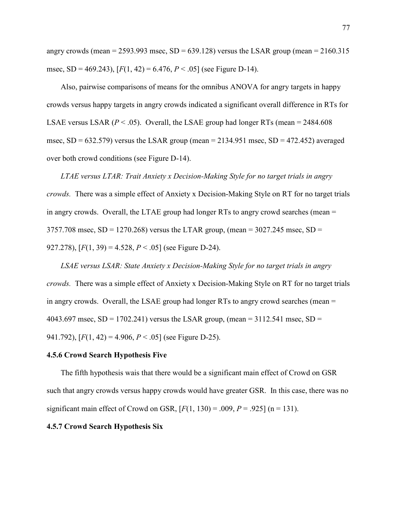angry crowds (mean = 2593.993 msec,  $SD = 639.128$ ) versus the LSAR group (mean = 2160.315 msec, SD = 469.243),  $[F(1, 42) = 6.476, P < .05]$  (see Figure D-14).

 Also, pairwise comparisons of means for the omnibus ANOVA for angry targets in happy crowds versus happy targets in angry crowds indicated a significant overall difference in RTs for LSAE versus LSAR ( $P < .05$ ). Overall, the LSAE group had longer RTs (mean = 2484.608) msec,  $SD = 632.579$ ) versus the LSAR group (mean = 2134.951 msec,  $SD = 472.452$ ) averaged over both crowd conditions (see Figure D-14).

LTAE versus LTAR: Trait Anxiety x Decision-Making Style for no target trials in angry crowds. There was a simple effect of Anxiety x Decision-Making Style on RT for no target trials in angry crowds. Overall, the LTAE group had longer RTs to angry crowd searches (mean = 3757.708 msec,  $SD = 1270.268$ ) versus the LTAR group, (mean = 3027.245 msec,  $SD =$ 927.278),  $[F(1, 39) = 4.528, P < .05]$  (see Figure D-24).

LSAE versus LSAR: State Anxiety x Decision-Making Style for no target trials in angry crowds. There was a simple effect of Anxiety x Decision-Making Style on RT for no target trials in angry crowds. Overall, the LSAE group had longer RTs to angry crowd searches (mean = 4043.697 msec,  $SD = 1702.241$ ) versus the LSAR group, (mean = 3112.541 msec,  $SD =$ 941.792),  $[F(1, 42) = 4.906, P < .05]$  (see Figure D-25).

## 4.5.6 Crowd Search Hypothesis Five

 The fifth hypothesis wais that there would be a significant main effect of Crowd on GSR such that angry crowds versus happy crowds would have greater GSR. In this case, there was no significant main effect of Crowd on GSR,  $[F(1, 130) = .009, P = .925]$  (n = 131).

## 4.5.7 Crowd Search Hypothesis Six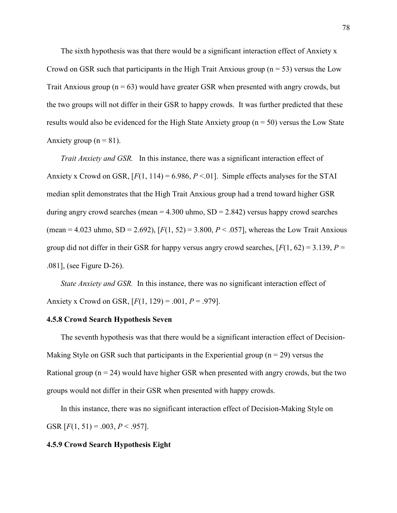The sixth hypothesis was that there would be a significant interaction effect of Anxiety x Crowd on GSR such that participants in the High Trait Anxious group ( $n = 53$ ) versus the Low Trait Anxious group ( $n = 63$ ) would have greater GSR when presented with angry crowds, but the two groups will not differ in their GSR to happy crowds. It was further predicted that these results would also be evidenced for the High State Anxiety group ( $n = 50$ ) versus the Low State Anxiety group  $(n = 81)$ .

 Trait Anxiety and GSR. In this instance, there was a significant interaction effect of Anxiety x Crowd on GSR,  $[F(1, 114) = 6.986, P < 0.01]$ . Simple effects analyses for the STAI median split demonstrates that the High Trait Anxious group had a trend toward higher GSR during angry crowd searches (mean  $= 4.300$  uhmo, SD  $= 2.842$ ) versus happy crowd searches (mean = 4.023 uhmo, SD = 2.692),  $[F(1, 52) = 3.800, P < .057]$ , whereas the Low Trait Anxious group did not differ in their GSR for happy versus angry crowd searches,  $[F(1, 62) = 3.139, P =$ .081], (see Figure D-26).

State Anxiety and GSR. In this instance, there was no significant interaction effect of Anxiety x Crowd on GSR,  $[F(1, 129) = .001, P = .979]$ .

## 4.5.8 Crowd Search Hypothesis Seven

The seventh hypothesis was that there would be a significant interaction effect of Decision-Making Style on GSR such that participants in the Experiential group ( $n = 29$ ) versus the Rational group ( $n = 24$ ) would have higher GSR when presented with angry crowds, but the two groups would not differ in their GSR when presented with happy crowds.

 In this instance, there was no significant interaction effect of Decision-Making Style on GSR  $[F(1, 51) = .003, P < .957]$ .

#### 4.5.9 Crowd Search Hypothesis Eight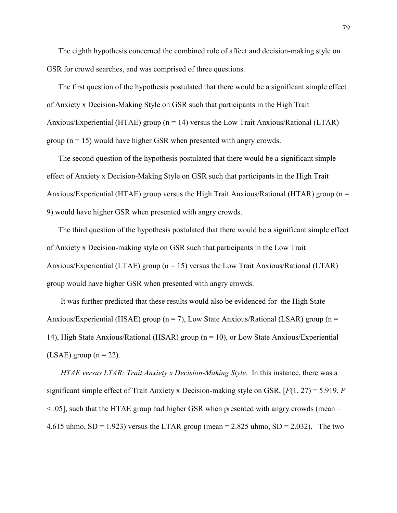The eighth hypothesis concerned the combined role of affect and decision-making style on GSR for crowd searches, and was comprised of three questions.

The first question of the hypothesis postulated that there would be a significant simple effect of Anxiety x Decision-Making Style on GSR such that participants in the High Trait Anxious/Experiential (HTAE) group ( $n = 14$ ) versus the Low Trait Anxious/Rational (LTAR) group ( $n = 15$ ) would have higher GSR when presented with angry crowds.

The second question of the hypothesis postulated that there would be a significant simple effect of Anxiety x Decision-Making Style on GSR such that participants in the High Trait Anxious/Experiential (HTAE) group versus the High Trait Anxious/Rational (HTAR) group (n = 9) would have higher GSR when presented with angry crowds.

The third question of the hypothesis postulated that there would be a significant simple effect of Anxiety x Decision-making style on GSR such that participants in the Low Trait Anxious/Experiential (LTAE) group ( $n = 15$ ) versus the Low Trait Anxious/Rational (LTAR) group would have higher GSR when presented with angry crowds.

 It was further predicted that these results would also be evidenced for the High State Anxious/Experiential (HSAE) group ( $n = 7$ ), Low State Anxious/Rational (LSAR) group ( $n =$ 14), High State Anxious/Rational (HSAR) group (n = 10), or Low State Anxious/Experiential (LSAE) group ( $n = 22$ ).

HTAE versus LTAR: Trait Anxiety x Decision-Making Style. In this instance, there was a significant simple effect of Trait Anxiety x Decision-making style on GSR,  $[F(1, 27) = 5.919, P$  $\leq$  0.05], such that the HTAE group had higher GSR when presented with angry crowds (mean = 4.615 uhmo,  $SD = 1.923$ ) versus the LTAR group (mean = 2.825 uhmo,  $SD = 2.032$ ). The two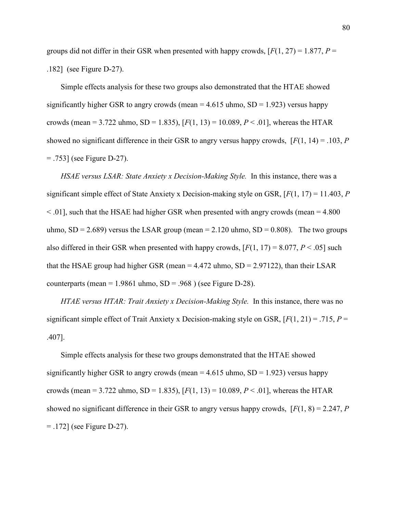groups did not differ in their GSR when presented with happy crowds,  $[F(1, 27) = 1.877$ ,  $P =$ .182] (see Figure D-27).

 Simple effects analysis for these two groups also demonstrated that the HTAE showed significantly higher GSR to angry crowds (mean  $= 4.615$  uhmo, SD  $= 1.923$ ) versus happy crowds (mean = 3.722 uhmo, SD = 1.835),  $[F(1, 13) = 10.089, P < .01]$ , whereas the HTAR showed no significant difference in their GSR to angry versus happy crowds,  $[F(1, 14) = .103, P$  $=$  .753] (see Figure D-27).

HSAE versus LSAR: State Anxiety x Decision-Making Style. In this instance, there was a significant simple effect of State Anxiety x Decision-making style on GSR,  $[F(1, 17) = 11.403, P$  $\leq$  0.01], such that the HSAE had higher GSR when presented with angry crowds (mean = 4.800) uhmo,  $SD = 2.689$ ) versus the LSAR group (mean = 2.120 uhmo,  $SD = 0.808$ ). The two groups also differed in their GSR when presented with happy crowds,  $[F(1, 17) = 8.077, P < .05]$  such that the HSAE group had higher GSR (mean  $= 4.472$  uhmo, SD  $= 2.97122$ ), than their LSAR counterparts (mean =  $1.9861$  uhmo,  $SD = .968$ ) (see Figure D-28).

HTAE versus HTAR: Trait Anxiety x Decision-Making Style. In this instance, there was no significant simple effect of Trait Anxiety x Decision-making style on GSR,  $[F(1, 21) = .715, P =$ .407].

 Simple effects analysis for these two groups demonstrated that the HTAE showed significantly higher GSR to angry crowds (mean  $=$  4.615 uhmo, SD  $=$  1.923) versus happy crowds (mean = 3.722 uhmo, SD = 1.835),  $[F(1, 13) = 10.089, P < .01]$ , whereas the HTAR showed no significant difference in their GSR to angry versus happy crowds,  $[F(1, 8) = 2.247, P$ = .172] (see Figure D-27).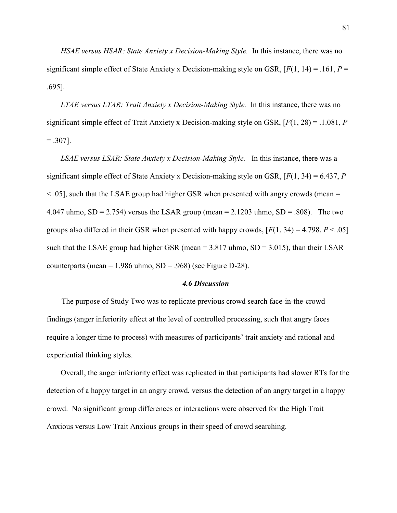HSAE versus HSAR: State Anxiety x Decision-Making Style. In this instance, there was no significant simple effect of State Anxiety x Decision-making style on GSR,  $[F(1, 14) = .161, P =$ .695].

LTAE versus LTAR: Trait Anxiety x Decision-Making Style. In this instance, there was no significant simple effect of Trait Anxiety x Decision-making style on GSR,  $[F(1, 28) = .1.081, P$  $= .307$ ].

LSAE versus LSAR: State Anxiety x Decision-Making Style. In this instance, there was a significant simple effect of State Anxiety x Decision-making style on GSR,  $[F(1, 34) = 6.437, P$  $\leq$  05], such that the LSAE group had higher GSR when presented with angry crowds (mean = 4.047 uhmo,  $SD = 2.754$ ) versus the LSAR group (mean = 2.1203 uhmo,  $SD = .808$ ). The two groups also differed in their GSR when presented with happy crowds,  $[F(1, 34) = 4.798, P < .05]$ such that the LSAE group had higher GSR (mean  $= 3.817$  uhmo, SD  $= 3.015$ ), than their LSAR counterparts (mean =  $1.986$  uhmo, SD = .968) (see Figure D-28).

## 4.6 Discussion

The purpose of Study Two was to replicate previous crowd search face-in-the-crowd findings (anger inferiority effect at the level of controlled processing, such that angry faces require a longer time to process) with measures of participants' trait anxiety and rational and experiential thinking styles.

Overall, the anger inferiority effect was replicated in that participants had slower RTs for the detection of a happy target in an angry crowd, versus the detection of an angry target in a happy crowd. No significant group differences or interactions were observed for the High Trait Anxious versus Low Trait Anxious groups in their speed of crowd searching.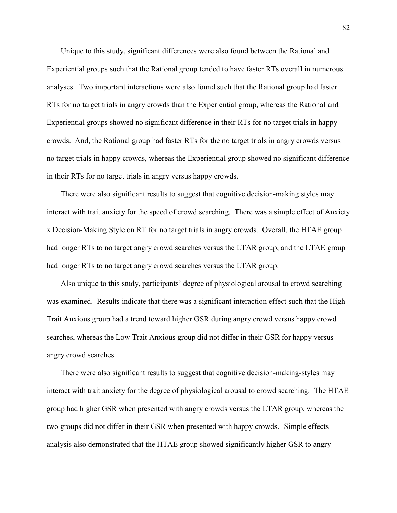Unique to this study, significant differences were also found between the Rational and Experiential groups such that the Rational group tended to have faster RTs overall in numerous analyses. Two important interactions were also found such that the Rational group had faster RTs for no target trials in angry crowds than the Experiential group, whereas the Rational and Experiential groups showed no significant difference in their RTs for no target trials in happy crowds. And, the Rational group had faster RTs for the no target trials in angry crowds versus no target trials in happy crowds, whereas the Experiential group showed no significant difference in their RTs for no target trials in angry versus happy crowds.

 There were also significant results to suggest that cognitive decision-making styles may interact with trait anxiety for the speed of crowd searching. There was a simple effect of Anxiety x Decision-Making Style on RT for no target trials in angry crowds. Overall, the HTAE group had longer RTs to no target angry crowd searches versus the LTAR group, and the LTAE group had longer RTs to no target angry crowd searches versus the LTAR group.

 Also unique to this study, participants' degree of physiological arousal to crowd searching was examined. Results indicate that there was a significant interaction effect such that the High Trait Anxious group had a trend toward higher GSR during angry crowd versus happy crowd searches, whereas the Low Trait Anxious group did not differ in their GSR for happy versus angry crowd searches.

 There were also significant results to suggest that cognitive decision-making-styles may interact with trait anxiety for the degree of physiological arousal to crowd searching. The HTAE group had higher GSR when presented with angry crowds versus the LTAR group, whereas the two groups did not differ in their GSR when presented with happy crowds. Simple effects analysis also demonstrated that the HTAE group showed significantly higher GSR to angry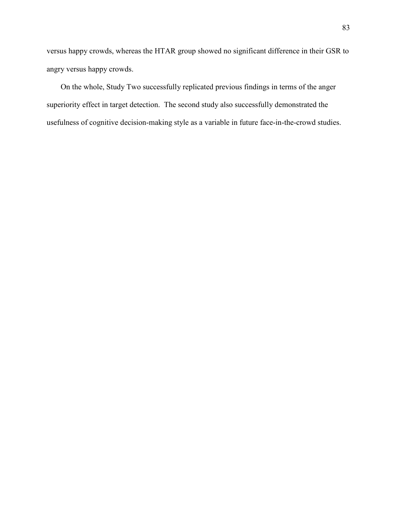versus happy crowds, whereas the HTAR group showed no significant difference in their GSR to angry versus happy crowds.

On the whole, Study Two successfully replicated previous findings in terms of the anger superiority effect in target detection. The second study also successfully demonstrated the usefulness of cognitive decision-making style as a variable in future face-in-the-crowd studies.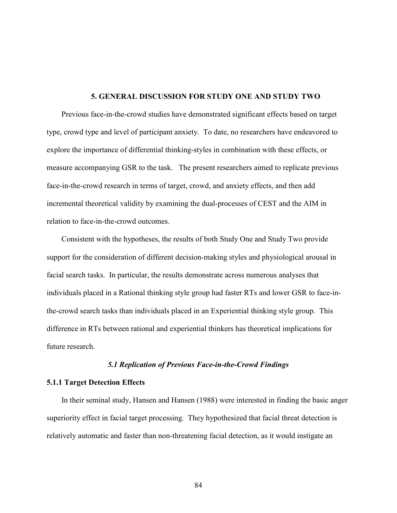# 5. GENERAL DISCUSSION FOR STUDY ONE AND STUDY TWO

Previous face-in-the-crowd studies have demonstrated significant effects based on target type, crowd type and level of participant anxiety. To date, no researchers have endeavored to explore the importance of differential thinking-styles in combination with these effects, or measure accompanying GSR to the task. The present researchers aimed to replicate previous face-in-the-crowd research in terms of target, crowd, and anxiety effects, and then add incremental theoretical validity by examining the dual-processes of CEST and the AIM in relation to face-in-the-crowd outcomes.

Consistent with the hypotheses, the results of both Study One and Study Two provide support for the consideration of different decision-making styles and physiological arousal in facial search tasks. In particular, the results demonstrate across numerous analyses that individuals placed in a Rational thinking style group had faster RTs and lower GSR to face-inthe-crowd search tasks than individuals placed in an Experiential thinking style group. This difference in RTs between rational and experiential thinkers has theoretical implications for future research.

## 5.1 Replication of Previous Face-in-the-Crowd Findings

# 5.1.1 Target Detection Effects

In their seminal study, Hansen and Hansen (1988) were interested in finding the basic anger superiority effect in facial target processing. They hypothesized that facial threat detection is relatively automatic and faster than non-threatening facial detection, as it would instigate an

84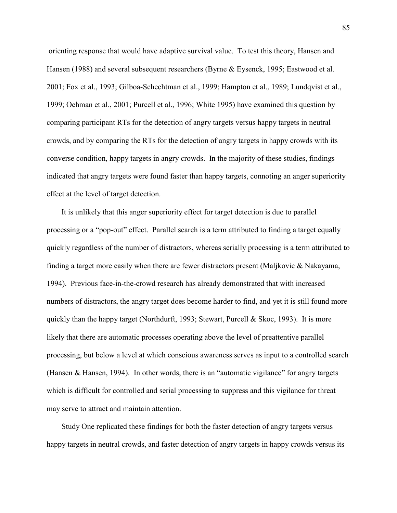orienting response that would have adaptive survival value. To test this theory, Hansen and Hansen (1988) and several subsequent researchers (Byrne & Eysenck, 1995; Eastwood et al. 2001; Fox et al., 1993; Gilboa-Schechtman et al., 1999; Hampton et al., 1989; Lundqvist et al., 1999; Oehman et al., 2001; Purcell et al., 1996; White 1995) have examined this question by comparing participant RTs for the detection of angry targets versus happy targets in neutral crowds, and by comparing the RTs for the detection of angry targets in happy crowds with its converse condition, happy targets in angry crowds. In the majority of these studies, findings indicated that angry targets were found faster than happy targets, connoting an anger superiority effect at the level of target detection.

It is unlikely that this anger superiority effect for target detection is due to parallel processing or a "pop-out" effect. Parallel search is a term attributed to finding a target equally quickly regardless of the number of distractors, whereas serially processing is a term attributed to finding a target more easily when there are fewer distractors present (Maljkovic & Nakayama, 1994). Previous face-in-the-crowd research has already demonstrated that with increased numbers of distractors, the angry target does become harder to find, and yet it is still found more quickly than the happy target (Northdurft, 1993; Stewart, Purcell & Skoc, 1993). It is more likely that there are automatic processes operating above the level of preattentive parallel processing, but below a level at which conscious awareness serves as input to a controlled search (Hansen & Hansen, 1994). In other words, there is an "automatic vigilance" for angry targets which is difficult for controlled and serial processing to suppress and this vigilance for threat may serve to attract and maintain attention.

Study One replicated these findings for both the faster detection of angry targets versus happy targets in neutral crowds, and faster detection of angry targets in happy crowds versus its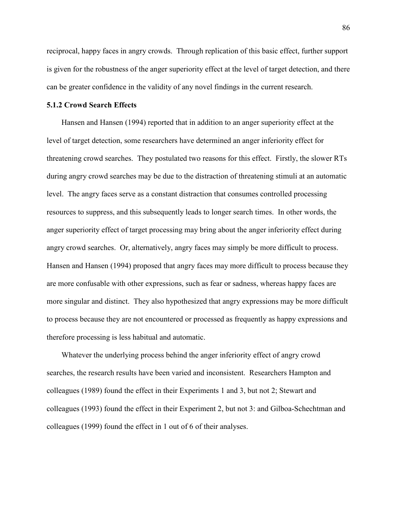reciprocal, happy faces in angry crowds. Through replication of this basic effect, further support is given for the robustness of the anger superiority effect at the level of target detection, and there can be greater confidence in the validity of any novel findings in the current research.

## 5.1.2 Crowd Search Effects

Hansen and Hansen (1994) reported that in addition to an anger superiority effect at the level of target detection, some researchers have determined an anger inferiority effect for threatening crowd searches. They postulated two reasons for this effect. Firstly, the slower RTs during angry crowd searches may be due to the distraction of threatening stimuli at an automatic level. The angry faces serve as a constant distraction that consumes controlled processing resources to suppress, and this subsequently leads to longer search times. In other words, the anger superiority effect of target processing may bring about the anger inferiority effect during angry crowd searches. Or, alternatively, angry faces may simply be more difficult to process. Hansen and Hansen (1994) proposed that angry faces may more difficult to process because they are more confusable with other expressions, such as fear or sadness, whereas happy faces are more singular and distinct. They also hypothesized that angry expressions may be more difficult to process because they are not encountered or processed as frequently as happy expressions and therefore processing is less habitual and automatic.

Whatever the underlying process behind the anger inferiority effect of angry crowd searches, the research results have been varied and inconsistent. Researchers Hampton and colleagues (1989) found the effect in their Experiments 1 and 3, but not 2; Stewart and colleagues (1993) found the effect in their Experiment 2, but not 3: and Gilboa-Schechtman and colleagues (1999) found the effect in 1 out of 6 of their analyses.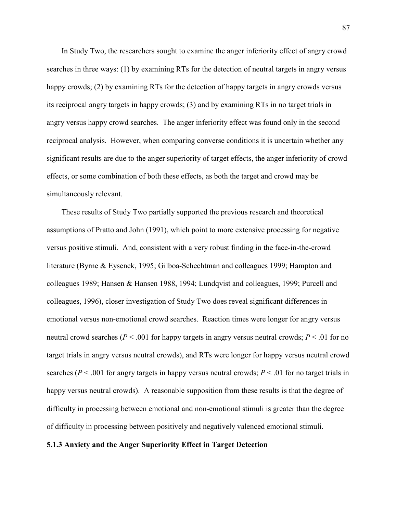In Study Two, the researchers sought to examine the anger inferiority effect of angry crowd searches in three ways: (1) by examining RTs for the detection of neutral targets in angry versus happy crowds; (2) by examining RTs for the detection of happy targets in angry crowds versus its reciprocal angry targets in happy crowds; (3) and by examining RTs in no target trials in angry versus happy crowd searches. The anger inferiority effect was found only in the second reciprocal analysis. However, when comparing converse conditions it is uncertain whether any significant results are due to the anger superiority of target effects, the anger inferiority of crowd effects, or some combination of both these effects, as both the target and crowd may be simultaneously relevant.

These results of Study Two partially supported the previous research and theoretical assumptions of Pratto and John (1991), which point to more extensive processing for negative versus positive stimuli. And, consistent with a very robust finding in the face-in-the-crowd literature (Byrne & Eysenck, 1995; Gilboa-Schechtman and colleagues 1999; Hampton and colleagues 1989; Hansen & Hansen 1988, 1994; Lundqvist and colleagues, 1999; Purcell and colleagues, 1996), closer investigation of Study Two does reveal significant differences in emotional versus non-emotional crowd searches. Reaction times were longer for angry versus neutral crowd searches ( $P < .001$  for happy targets in angry versus neutral crowds;  $P < .01$  for no target trials in angry versus neutral crowds), and RTs were longer for happy versus neutral crowd searches ( $P < .001$  for angry targets in happy versus neutral crowds;  $P < .01$  for no target trials in happy versus neutral crowds). A reasonable supposition from these results is that the degree of difficulty in processing between emotional and non-emotional stimuli is greater than the degree of difficulty in processing between positively and negatively valenced emotional stimuli.

## 5.1.3 Anxiety and the Anger Superiority Effect in Target Detection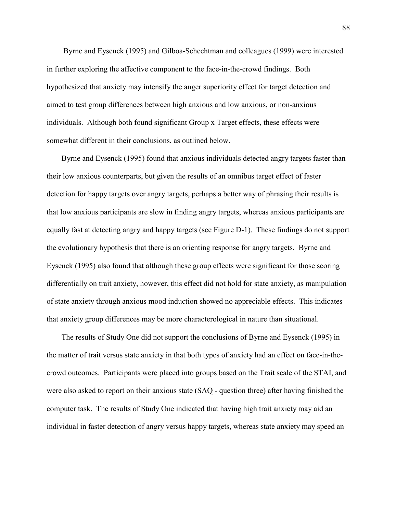Byrne and Eysenck (1995) and Gilboa-Schechtman and colleagues (1999) were interested in further exploring the affective component to the face-in-the-crowd findings. Both hypothesized that anxiety may intensify the anger superiority effect for target detection and aimed to test group differences between high anxious and low anxious, or non-anxious individuals. Although both found significant Group x Target effects, these effects were somewhat different in their conclusions, as outlined below.

Byrne and Eysenck (1995) found that anxious individuals detected angry targets faster than their low anxious counterparts, but given the results of an omnibus target effect of faster detection for happy targets over angry targets, perhaps a better way of phrasing their results is that low anxious participants are slow in finding angry targets, whereas anxious participants are equally fast at detecting angry and happy targets (see Figure D-1). These findings do not support the evolutionary hypothesis that there is an orienting response for angry targets. Byrne and Eysenck (1995) also found that although these group effects were significant for those scoring differentially on trait anxiety, however, this effect did not hold for state anxiety, as manipulation of state anxiety through anxious mood induction showed no appreciable effects. This indicates that anxiety group differences may be more characterological in nature than situational.

The results of Study One did not support the conclusions of Byrne and Eysenck (1995) in the matter of trait versus state anxiety in that both types of anxiety had an effect on face-in-thecrowd outcomes. Participants were placed into groups based on the Trait scale of the STAI, and were also asked to report on their anxious state (SAQ - question three) after having finished the computer task. The results of Study One indicated that having high trait anxiety may aid an individual in faster detection of angry versus happy targets, whereas state anxiety may speed an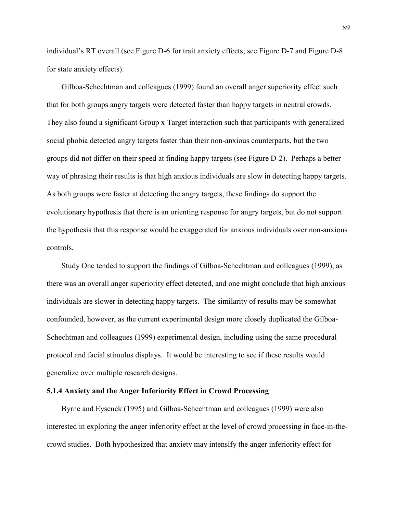individual's RT overall (see Figure D-6 for trait anxiety effects; see Figure D-7 and Figure D-8 for state anxiety effects).

Gilboa-Schechtman and colleagues (1999) found an overall anger superiority effect such that for both groups angry targets were detected faster than happy targets in neutral crowds. They also found a significant Group x Target interaction such that participants with generalized social phobia detected angry targets faster than their non-anxious counterparts, but the two groups did not differ on their speed at finding happy targets (see Figure D-2). Perhaps a better way of phrasing their results is that high anxious individuals are slow in detecting happy targets. As both groups were faster at detecting the angry targets, these findings do support the evolutionary hypothesis that there is an orienting response for angry targets, but do not support the hypothesis that this response would be exaggerated for anxious individuals over non-anxious controls.

Study One tended to support the findings of Gilboa-Schechtman and colleagues (1999), as there was an overall anger superiority effect detected, and one might conclude that high anxious individuals are slower in detecting happy targets. The similarity of results may be somewhat confounded, however, as the current experimental design more closely duplicated the Gilboa-Schechtman and colleagues (1999) experimental design, including using the same procedural protocol and facial stimulus displays. It would be interesting to see if these results would generalize over multiple research designs.

## 5.1.4 Anxiety and the Anger Inferiority Effect in Crowd Processing

Byrne and Eysenck (1995) and Gilboa-Schechtman and colleagues (1999) were also interested in exploring the anger inferiority effect at the level of crowd processing in face-in-thecrowd studies. Both hypothesized that anxiety may intensify the anger inferiority effect for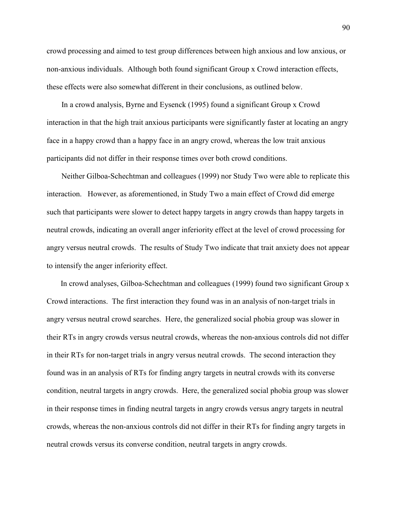crowd processing and aimed to test group differences between high anxious and low anxious, or non-anxious individuals. Although both found significant Group x Crowd interaction effects, these effects were also somewhat different in their conclusions, as outlined below.

In a crowd analysis, Byrne and Eysenck (1995) found a significant Group x Crowd interaction in that the high trait anxious participants were significantly faster at locating an angry face in a happy crowd than a happy face in an angry crowd, whereas the low trait anxious participants did not differ in their response times over both crowd conditions.

Neither Gilboa-Schechtman and colleagues (1999) nor Study Two were able to replicate this interaction. However, as aforementioned, in Study Two a main effect of Crowd did emerge such that participants were slower to detect happy targets in angry crowds than happy targets in neutral crowds, indicating an overall anger inferiority effect at the level of crowd processing for angry versus neutral crowds. The results of Study Two indicate that trait anxiety does not appear to intensify the anger inferiority effect.

In crowd analyses, Gilboa-Schechtman and colleagues (1999) found two significant Group x Crowd interactions. The first interaction they found was in an analysis of non-target trials in angry versus neutral crowd searches. Here, the generalized social phobia group was slower in their RTs in angry crowds versus neutral crowds, whereas the non-anxious controls did not differ in their RTs for non-target trials in angry versus neutral crowds. The second interaction they found was in an analysis of RTs for finding angry targets in neutral crowds with its converse condition, neutral targets in angry crowds. Here, the generalized social phobia group was slower in their response times in finding neutral targets in angry crowds versus angry targets in neutral crowds, whereas the non-anxious controls did not differ in their RTs for finding angry targets in neutral crowds versus its converse condition, neutral targets in angry crowds.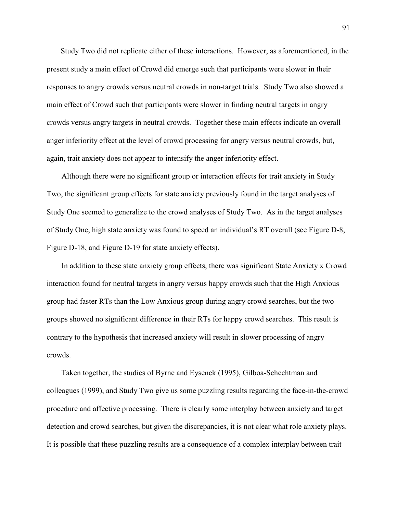Study Two did not replicate either of these interactions. However, as aforementioned, in the present study a main effect of Crowd did emerge such that participants were slower in their responses to angry crowds versus neutral crowds in non-target trials. Study Two also showed a main effect of Crowd such that participants were slower in finding neutral targets in angry crowds versus angry targets in neutral crowds. Together these main effects indicate an overall anger inferiority effect at the level of crowd processing for angry versus neutral crowds, but, again, trait anxiety does not appear to intensify the anger inferiority effect.

Although there were no significant group or interaction effects for trait anxiety in Study Two, the significant group effects for state anxiety previously found in the target analyses of Study One seemed to generalize to the crowd analyses of Study Two. As in the target analyses of Study One, high state anxiety was found to speed an individual's RT overall (see Figure D-8, Figure D-18, and Figure D-19 for state anxiety effects).

In addition to these state anxiety group effects, there was significant State Anxiety x Crowd interaction found for neutral targets in angry versus happy crowds such that the High Anxious group had faster RTs than the Low Anxious group during angry crowd searches, but the two groups showed no significant difference in their RTs for happy crowd searches. This result is contrary to the hypothesis that increased anxiety will result in slower processing of angry crowds.

Taken together, the studies of Byrne and Eysenck (1995), Gilboa-Schechtman and colleagues (1999), and Study Two give us some puzzling results regarding the face-in-the-crowd procedure and affective processing. There is clearly some interplay between anxiety and target detection and crowd searches, but given the discrepancies, it is not clear what role anxiety plays. It is possible that these puzzling results are a consequence of a complex interplay between trait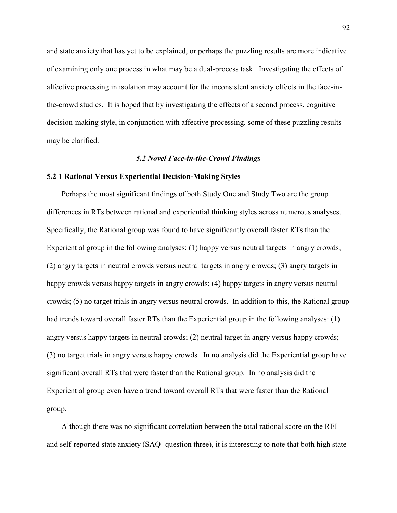and state anxiety that has yet to be explained, or perhaps the puzzling results are more indicative of examining only one process in what may be a dual-process task. Investigating the effects of affective processing in isolation may account for the inconsistent anxiety effects in the face-inthe-crowd studies. It is hoped that by investigating the effects of a second process, cognitive decision-making style, in conjunction with affective processing, some of these puzzling results may be clarified.

## 5.2 Novel Face-in-the-Crowd Findings

## 5.2 1 Rational Versus Experiential Decision-Making Styles

Perhaps the most significant findings of both Study One and Study Two are the group differences in RTs between rational and experiential thinking styles across numerous analyses. Specifically, the Rational group was found to have significantly overall faster RTs than the Experiential group in the following analyses: (1) happy versus neutral targets in angry crowds; (2) angry targets in neutral crowds versus neutral targets in angry crowds; (3) angry targets in happy crowds versus happy targets in angry crowds; (4) happy targets in angry versus neutral crowds; (5) no target trials in angry versus neutral crowds. In addition to this, the Rational group had trends toward overall faster RTs than the Experiential group in the following analyses: (1) angry versus happy targets in neutral crowds; (2) neutral target in angry versus happy crowds; (3) no target trials in angry versus happy crowds. In no analysis did the Experiential group have significant overall RTs that were faster than the Rational group. In no analysis did the Experiential group even have a trend toward overall RTs that were faster than the Rational group.

Although there was no significant correlation between the total rational score on the REI and self-reported state anxiety (SAQ- question three), it is interesting to note that both high state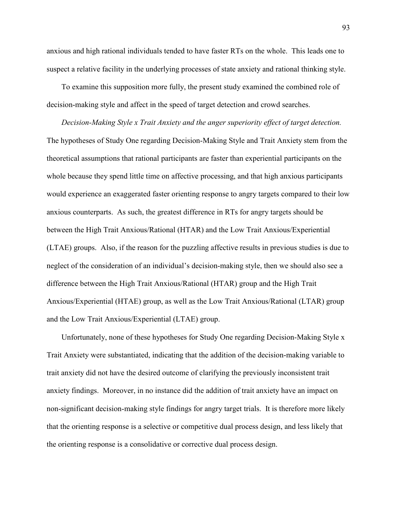anxious and high rational individuals tended to have faster RTs on the whole. This leads one to suspect a relative facility in the underlying processes of state anxiety and rational thinking style.

To examine this supposition more fully, the present study examined the combined role of decision-making style and affect in the speed of target detection and crowd searches.

Decision-Making Style x Trait Anxiety and the anger superiority effect of target detection. The hypotheses of Study One regarding Decision-Making Style and Trait Anxiety stem from the theoretical assumptions that rational participants are faster than experiential participants on the whole because they spend little time on affective processing, and that high anxious participants would experience an exaggerated faster orienting response to angry targets compared to their low anxious counterparts. As such, the greatest difference in RTs for angry targets should be between the High Trait Anxious/Rational (HTAR) and the Low Trait Anxious/Experiential (LTAE) groups. Also, if the reason for the puzzling affective results in previous studies is due to neglect of the consideration of an individual's decision-making style, then we should also see a difference between the High Trait Anxious/Rational (HTAR) group and the High Trait Anxious/Experiential (HTAE) group, as well as the Low Trait Anxious/Rational (LTAR) group and the Low Trait Anxious/Experiential (LTAE) group.

Unfortunately, none of these hypotheses for Study One regarding Decision-Making Style x Trait Anxiety were substantiated, indicating that the addition of the decision-making variable to trait anxiety did not have the desired outcome of clarifying the previously inconsistent trait anxiety findings. Moreover, in no instance did the addition of trait anxiety have an impact on non-significant decision-making style findings for angry target trials. It is therefore more likely that the orienting response is a selective or competitive dual process design, and less likely that the orienting response is a consolidative or corrective dual process design.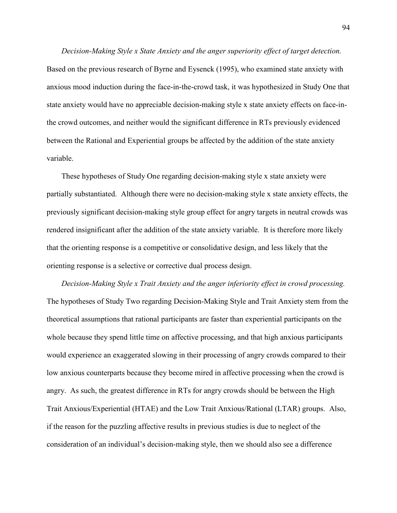Decision-Making Style x State Anxiety and the anger superiority effect of target detection. Based on the previous research of Byrne and Eysenck (1995), who examined state anxiety with anxious mood induction during the face-in-the-crowd task, it was hypothesized in Study One that state anxiety would have no appreciable decision-making style x state anxiety effects on face-inthe crowd outcomes, and neither would the significant difference in RTs previously evidenced between the Rational and Experiential groups be affected by the addition of the state anxiety variable.

These hypotheses of Study One regarding decision-making style x state anxiety were partially substantiated. Although there were no decision-making style x state anxiety effects, the previously significant decision-making style group effect for angry targets in neutral crowds was rendered insignificant after the addition of the state anxiety variable. It is therefore more likely that the orienting response is a competitive or consolidative design, and less likely that the orienting response is a selective or corrective dual process design.

Decision-Making Style x Trait Anxiety and the anger inferiority effect in crowd processing. The hypotheses of Study Two regarding Decision-Making Style and Trait Anxiety stem from the theoretical assumptions that rational participants are faster than experiential participants on the whole because they spend little time on affective processing, and that high anxious participants would experience an exaggerated slowing in their processing of angry crowds compared to their low anxious counterparts because they become mired in affective processing when the crowd is angry. As such, the greatest difference in RTs for angry crowds should be between the High Trait Anxious/Experiential (HTAE) and the Low Trait Anxious/Rational (LTAR) groups. Also, if the reason for the puzzling affective results in previous studies is due to neglect of the consideration of an individual's decision-making style, then we should also see a difference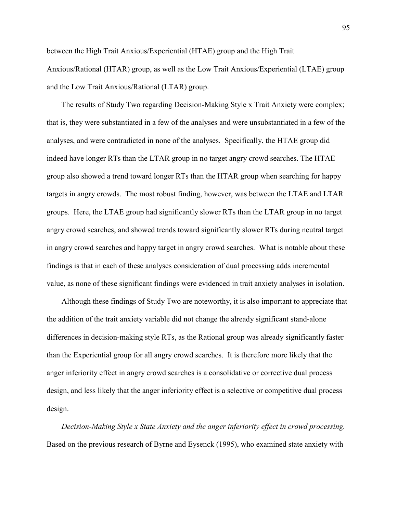between the High Trait Anxious/Experiential (HTAE) group and the High Trait Anxious/Rational (HTAR) group, as well as the Low Trait Anxious/Experiential (LTAE) group and the Low Trait Anxious/Rational (LTAR) group.

The results of Study Two regarding Decision-Making Style x Trait Anxiety were complex; that is, they were substantiated in a few of the analyses and were unsubstantiated in a few of the analyses, and were contradicted in none of the analyses. Specifically, the HTAE group did indeed have longer RTs than the LTAR group in no target angry crowd searches. The HTAE group also showed a trend toward longer RTs than the HTAR group when searching for happy targets in angry crowds. The most robust finding, however, was between the LTAE and LTAR groups. Here, the LTAE group had significantly slower RTs than the LTAR group in no target angry crowd searches, and showed trends toward significantly slower RTs during neutral target in angry crowd searches and happy target in angry crowd searches. What is notable about these findings is that in each of these analyses consideration of dual processing adds incremental value, as none of these significant findings were evidenced in trait anxiety analyses in isolation.

Although these findings of Study Two are noteworthy, it is also important to appreciate that the addition of the trait anxiety variable did not change the already significant stand-alone differences in decision-making style RTs, as the Rational group was already significantly faster than the Experiential group for all angry crowd searches. It is therefore more likely that the anger inferiority effect in angry crowd searches is a consolidative or corrective dual process design, and less likely that the anger inferiority effect is a selective or competitive dual process design.

Decision-Making Style x State Anxiety and the anger inferiority effect in crowd processing. Based on the previous research of Byrne and Eysenck (1995), who examined state anxiety with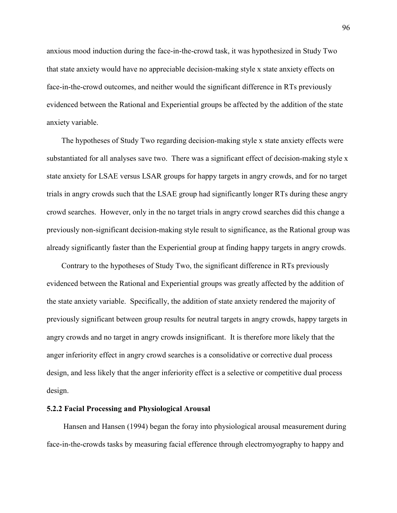anxious mood induction during the face-in-the-crowd task, it was hypothesized in Study Two that state anxiety would have no appreciable decision-making style x state anxiety effects on face-in-the-crowd outcomes, and neither would the significant difference in RTs previously evidenced between the Rational and Experiential groups be affected by the addition of the state anxiety variable.

The hypotheses of Study Two regarding decision-making style x state anxiety effects were substantiated for all analyses save two. There was a significant effect of decision-making style x state anxiety for LSAE versus LSAR groups for happy targets in angry crowds, and for no target trials in angry crowds such that the LSAE group had significantly longer RTs during these angry crowd searches. However, only in the no target trials in angry crowd searches did this change a previously non-significant decision-making style result to significance, as the Rational group was already significantly faster than the Experiential group at finding happy targets in angry crowds.

Contrary to the hypotheses of Study Two, the significant difference in RTs previously evidenced between the Rational and Experiential groups was greatly affected by the addition of the state anxiety variable. Specifically, the addition of state anxiety rendered the majority of previously significant between group results for neutral targets in angry crowds, happy targets in angry crowds and no target in angry crowds insignificant. It is therefore more likely that the anger inferiority effect in angry crowd searches is a consolidative or corrective dual process design, and less likely that the anger inferiority effect is a selective or competitive dual process design.

## 5.2.2 Facial Processing and Physiological Arousal

Hansen and Hansen (1994) began the foray into physiological arousal measurement during face-in-the-crowds tasks by measuring facial efference through electromyography to happy and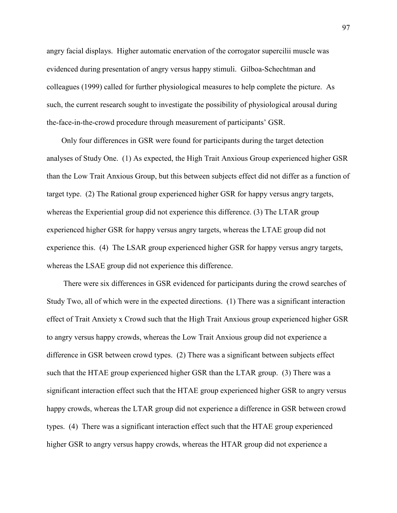angry facial displays. Higher automatic enervation of the corrogator supercilii muscle was evidenced during presentation of angry versus happy stimuli. Gilboa-Schechtman and colleagues (1999) called for further physiological measures to help complete the picture. As such, the current research sought to investigate the possibility of physiological arousal during the-face-in-the-crowd procedure through measurement of participants' GSR.

Only four differences in GSR were found for participants during the target detection analyses of Study One. (1) As expected, the High Trait Anxious Group experienced higher GSR than the Low Trait Anxious Group, but this between subjects effect did not differ as a function of target type. (2) The Rational group experienced higher GSR for happy versus angry targets, whereas the Experiential group did not experience this difference. (3) The LTAR group experienced higher GSR for happy versus angry targets, whereas the LTAE group did not experience this. (4) The LSAR group experienced higher GSR for happy versus angry targets, whereas the LSAE group did not experience this difference.

 There were six differences in GSR evidenced for participants during the crowd searches of Study Two, all of which were in the expected directions. (1) There was a significant interaction effect of Trait Anxiety x Crowd such that the High Trait Anxious group experienced higher GSR to angry versus happy crowds, whereas the Low Trait Anxious group did not experience a difference in GSR between crowd types. (2) There was a significant between subjects effect such that the HTAE group experienced higher GSR than the LTAR group. (3) There was a significant interaction effect such that the HTAE group experienced higher GSR to angry versus happy crowds, whereas the LTAR group did not experience a difference in GSR between crowd types. (4) There was a significant interaction effect such that the HTAE group experienced higher GSR to angry versus happy crowds, whereas the HTAR group did not experience a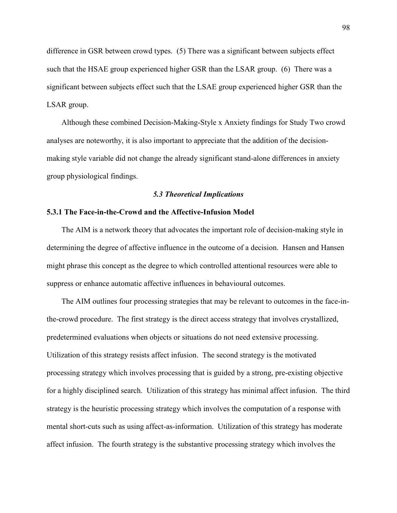difference in GSR between crowd types. (5) There was a significant between subjects effect such that the HSAE group experienced higher GSR than the LSAR group. (6) There was a significant between subjects effect such that the LSAE group experienced higher GSR than the LSAR group.

Although these combined Decision-Making-Style x Anxiety findings for Study Two crowd analyses are noteworthy, it is also important to appreciate that the addition of the decisionmaking style variable did not change the already significant stand-alone differences in anxiety group physiological findings.

#### 5.3 Theoretical Implications

# 5.3.1 The Face-in-the-Crowd and the Affective-Infusion Model

The AIM is a network theory that advocates the important role of decision-making style in determining the degree of affective influence in the outcome of a decision. Hansen and Hansen might phrase this concept as the degree to which controlled attentional resources were able to suppress or enhance automatic affective influences in behavioural outcomes.

The AIM outlines four processing strategies that may be relevant to outcomes in the face-inthe-crowd procedure. The first strategy is the direct access strategy that involves crystallized, predetermined evaluations when objects or situations do not need extensive processing. Utilization of this strategy resists affect infusion. The second strategy is the motivated processing strategy which involves processing that is guided by a strong, pre-existing objective for a highly disciplined search. Utilization of this strategy has minimal affect infusion. The third strategy is the heuristic processing strategy which involves the computation of a response with mental short-cuts such as using affect-as-information. Utilization of this strategy has moderate affect infusion. The fourth strategy is the substantive processing strategy which involves the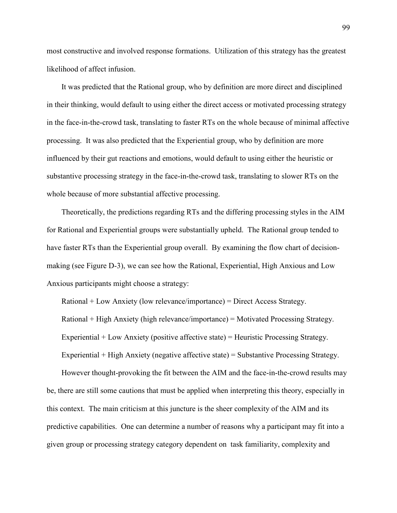most constructive and involved response formations. Utilization of this strategy has the greatest likelihood of affect infusion.

It was predicted that the Rational group, who by definition are more direct and disciplined in their thinking, would default to using either the direct access or motivated processing strategy in the face-in-the-crowd task, translating to faster RTs on the whole because of minimal affective processing. It was also predicted that the Experiential group, who by definition are more influenced by their gut reactions and emotions, would default to using either the heuristic or substantive processing strategy in the face-in-the-crowd task, translating to slower RTs on the whole because of more substantial affective processing.

Theoretically, the predictions regarding RTs and the differing processing styles in the AIM for Rational and Experiential groups were substantially upheld. The Rational group tended to have faster RTs than the Experiential group overall. By examining the flow chart of decisionmaking (see Figure D-3), we can see how the Rational, Experiential, High Anxious and Low Anxious participants might choose a strategy:

Rational + Low Anxiety (low relevance/importance) = Direct Access Strategy. Rational + High Anxiety (high relevance/importance) = Motivated Processing Strategy. Experiential + Low Anxiety (positive affective state) = Heuristic Processing Strategy. Experiential + High Anxiety (negative affective state) = Substantive Processing Strategy.

However thought-provoking the fit between the AIM and the face-in-the-crowd results may be, there are still some cautions that must be applied when interpreting this theory, especially in this context. The main criticism at this juncture is the sheer complexity of the AIM and its predictive capabilities. One can determine a number of reasons why a participant may fit into a given group or processing strategy category dependent on task familiarity, complexity and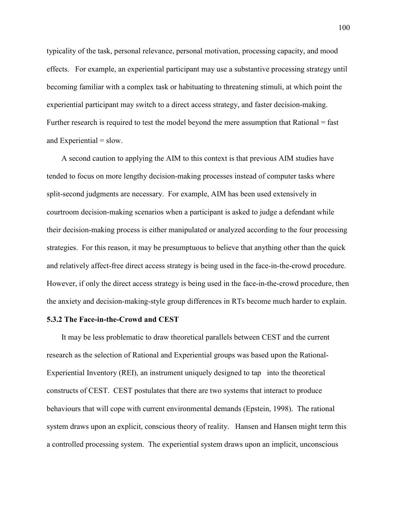typicality of the task, personal relevance, personal motivation, processing capacity, and mood effects. For example, an experiential participant may use a substantive processing strategy until becoming familiar with a complex task or habituating to threatening stimuli, at which point the experiential participant may switch to a direct access strategy, and faster decision-making. Further research is required to test the model beyond the mere assumption that Rational = fast and Experiential  $=$  slow.

A second caution to applying the AIM to this context is that previous AIM studies have tended to focus on more lengthy decision-making processes instead of computer tasks where split-second judgments are necessary. For example, AIM has been used extensively in courtroom decision-making scenarios when a participant is asked to judge a defendant while their decision-making process is either manipulated or analyzed according to the four processing strategies. For this reason, it may be presumptuous to believe that anything other than the quick and relatively affect-free direct access strategy is being used in the face-in-the-crowd procedure. However, if only the direct access strategy is being used in the face-in-the-crowd procedure, then the anxiety and decision-making-style group differences in RTs become much harder to explain.

## 5.3.2 The Face-in-the-Crowd and CEST

It may be less problematic to draw theoretical parallels between CEST and the current research as the selection of Rational and Experiential groups was based upon the Rational-Experiential Inventory (REI), an instrument uniquely designed to tap into the theoretical constructs of CEST. CEST postulates that there are two systems that interact to produce behaviours that will cope with current environmental demands (Epstein, 1998). The rational system draws upon an explicit, conscious theory of reality. Hansen and Hansen might term this a controlled processing system. The experiential system draws upon an implicit, unconscious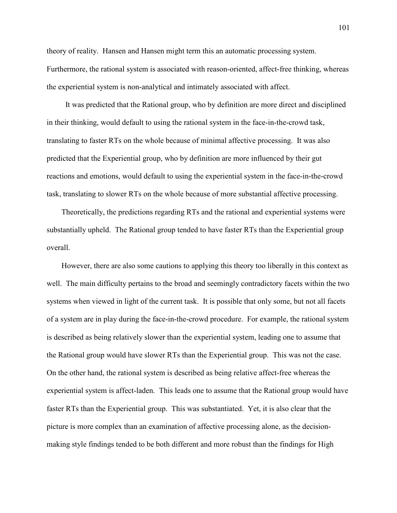theory of reality. Hansen and Hansen might term this an automatic processing system. Furthermore, the rational system is associated with reason-oriented, affect-free thinking, whereas the experiential system is non-analytical and intimately associated with affect.

 It was predicted that the Rational group, who by definition are more direct and disciplined in their thinking, would default to using the rational system in the face-in-the-crowd task, translating to faster RTs on the whole because of minimal affective processing. It was also predicted that the Experiential group, who by definition are more influenced by their gut reactions and emotions, would default to using the experiential system in the face-in-the-crowd task, translating to slower RTs on the whole because of more substantial affective processing.

Theoretically, the predictions regarding RTs and the rational and experiential systems were substantially upheld. The Rational group tended to have faster RTs than the Experiential group overall.

However, there are also some cautions to applying this theory too liberally in this context as well. The main difficulty pertains to the broad and seemingly contradictory facets within the two systems when viewed in light of the current task. It is possible that only some, but not all facets of a system are in play during the face-in-the-crowd procedure. For example, the rational system is described as being relatively slower than the experiential system, leading one to assume that the Rational group would have slower RTs than the Experiential group. This was not the case. On the other hand, the rational system is described as being relative affect-free whereas the experiential system is affect-laden. This leads one to assume that the Rational group would have faster RTs than the Experiential group. This was substantiated. Yet, it is also clear that the picture is more complex than an examination of affective processing alone, as the decisionmaking style findings tended to be both different and more robust than the findings for High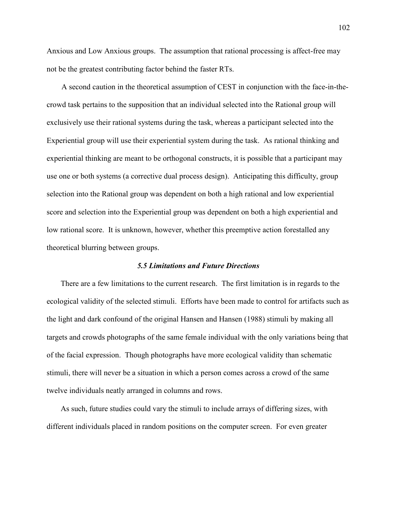Anxious and Low Anxious groups. The assumption that rational processing is affect-free may not be the greatest contributing factor behind the faster RTs.

A second caution in the theoretical assumption of CEST in conjunction with the face-in-thecrowd task pertains to the supposition that an individual selected into the Rational group will exclusively use their rational systems during the task, whereas a participant selected into the Experiential group will use their experiential system during the task. As rational thinking and experiential thinking are meant to be orthogonal constructs, it is possible that a participant may use one or both systems (a corrective dual process design). Anticipating this difficulty, group selection into the Rational group was dependent on both a high rational and low experiential score and selection into the Experiential group was dependent on both a high experiential and low rational score. It is unknown, however, whether this preemptive action forestalled any theoretical blurring between groups.

#### 5.5 Limitations and Future Directions

There are a few limitations to the current research. The first limitation is in regards to the ecological validity of the selected stimuli. Efforts have been made to control for artifacts such as the light and dark confound of the original Hansen and Hansen (1988) stimuli by making all targets and crowds photographs of the same female individual with the only variations being that of the facial expression. Though photographs have more ecological validity than schematic stimuli, there will never be a situation in which a person comes across a crowd of the same twelve individuals neatly arranged in columns and rows.

 As such, future studies could vary the stimuli to include arrays of differing sizes, with different individuals placed in random positions on the computer screen. For even greater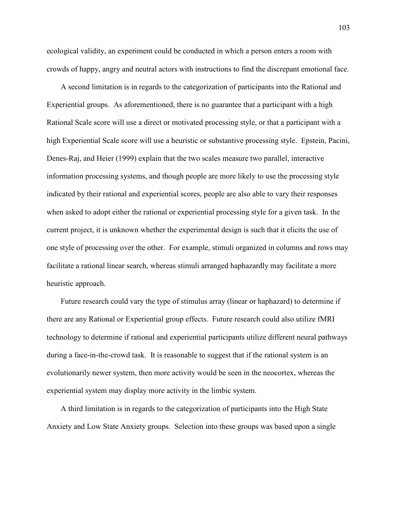ecological validity, an experiment could be conducted in which a person enters a room with crowds of happy, angry and neutral actors with instructions to find the discrepant emotional face.

 A second limitation is in regards to the categorization of participants into the Rational and Experiential groups. As aforementioned, there is no guarantee that a participant with a high Rational Scale score will use a direct or motivated processing style, or that a participant with a high Experiential Scale score will use a heuristic or substantive processing style. Epstein, Pacini, Denes-Raj, and Heier (1999) explain that the two scales measure two parallel, interactive information processing systems, and though people are more likely to use the processing style indicated by their rational and experiential scores, people are also able to vary their responses when asked to adopt either the rational or experiential processing style for a given task. In the current project, it is unknown whether the experimental design is such that it elicits the use of one style of processing over the other. For example, stimuli organized in columns and rows may facilitate a rational linear search, whereas stimuli arranged haphazardly may facilitate a more heuristic approach.

 Future research could vary the type of stimulus array (linear or haphazard) to determine if there are any Rational or Experiential group effects. Future research could also utilize fMRI technology to determine if rational and experiential participants utilize different neural pathways during a face-in-the-crowd task. It is reasonable to suggest that if the rational system is an evolutionarily newer system, then more activity would be seen in the neocortex, whereas the experiential system may display more activity in the limbic system.

 A third limitation is in regards to the categorization of participants into the High State Anxiety and Low State Anxiety groups. Selection into these groups was based upon a single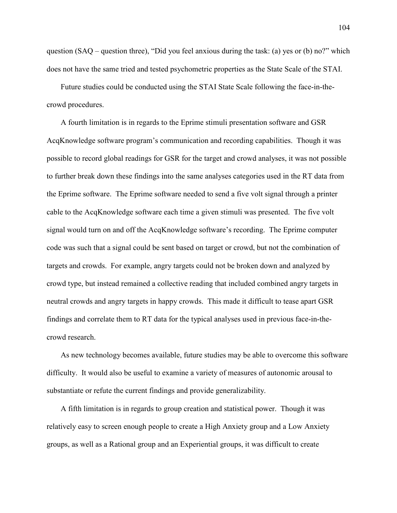question (SAQ – question three), "Did you feel anxious during the task: (a) yes or (b) no?" which does not have the same tried and tested psychometric properties as the State Scale of the STAI.

 Future studies could be conducted using the STAI State Scale following the face-in-thecrowd procedures.

 A fourth limitation is in regards to the Eprime stimuli presentation software and GSR AcqKnowledge software program's communication and recording capabilities. Though it was possible to record global readings for GSR for the target and crowd analyses, it was not possible to further break down these findings into the same analyses categories used in the RT data from the Eprime software. The Eprime software needed to send a five volt signal through a printer cable to the AcqKnowledge software each time a given stimuli was presented. The five volt signal would turn on and off the AcqKnowledge software's recording. The Eprime computer code was such that a signal could be sent based on target or crowd, but not the combination of targets and crowds. For example, angry targets could not be broken down and analyzed by crowd type, but instead remained a collective reading that included combined angry targets in neutral crowds and angry targets in happy crowds. This made it difficult to tease apart GSR findings and correlate them to RT data for the typical analyses used in previous face-in-thecrowd research.

 As new technology becomes available, future studies may be able to overcome this software difficulty. It would also be useful to examine a variety of measures of autonomic arousal to substantiate or refute the current findings and provide generalizability.

 A fifth limitation is in regards to group creation and statistical power. Though it was relatively easy to screen enough people to create a High Anxiety group and a Low Anxiety groups, as well as a Rational group and an Experiential groups, it was difficult to create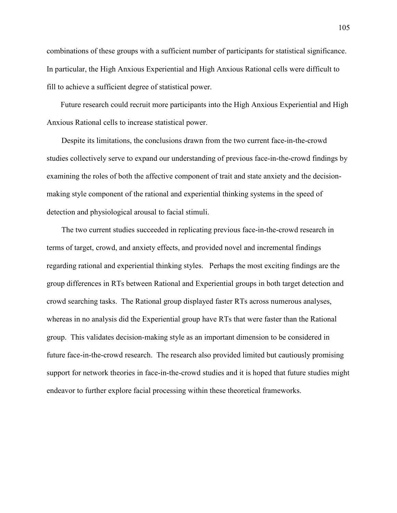combinations of these groups with a sufficient number of participants for statistical significance. In particular, the High Anxious Experiential and High Anxious Rational cells were difficult to fill to achieve a sufficient degree of statistical power.

 Future research could recruit more participants into the High Anxious Experiential and High Anxious Rational cells to increase statistical power.

Despite its limitations, the conclusions drawn from the two current face-in-the-crowd studies collectively serve to expand our understanding of previous face-in-the-crowd findings by examining the roles of both the affective component of trait and state anxiety and the decisionmaking style component of the rational and experiential thinking systems in the speed of detection and physiological arousal to facial stimuli.

The two current studies succeeded in replicating previous face-in-the-crowd research in terms of target, crowd, and anxiety effects, and provided novel and incremental findings regarding rational and experiential thinking styles. Perhaps the most exciting findings are the group differences in RTs between Rational and Experiential groups in both target detection and crowd searching tasks. The Rational group displayed faster RTs across numerous analyses, whereas in no analysis did the Experiential group have RTs that were faster than the Rational group. This validates decision-making style as an important dimension to be considered in future face-in-the-crowd research. The research also provided limited but cautiously promising support for network theories in face-in-the-crowd studies and it is hoped that future studies might endeavor to further explore facial processing within these theoretical frameworks.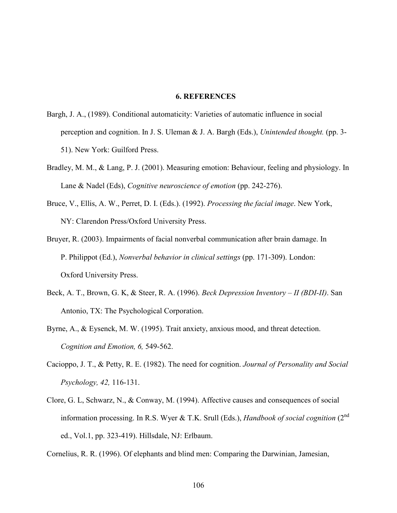#### 6. REFERENCES

- Bargh, J. A., (1989). Conditional automaticity: Varieties of automatic influence in social perception and cognition. In J. S. Uleman  $& J. A.$  Bargh (Eds.), *Unintended thought.* (pp. 3-51). New York: Guilford Press.
- Bradley, M. M., & Lang, P. J. (2001). Measuring emotion: Behaviour, feeling and physiology. In Lane & Nadel (Eds), Cognitive neuroscience of emotion (pp. 242-276).
- Bruce, V., Ellis, A. W., Perret, D. I. (Eds.). (1992). Processing the facial image. New York, NY: Clarendon Press/Oxford University Press.
- Bruyer, R. (2003). Impairments of facial nonverbal communication after brain damage. In P. Philippot (Ed.), Nonverbal behavior in clinical settings (pp. 171-309). London: Oxford University Press.
- Beck, A. T., Brown, G. K, & Steer, R. A. (1996). Beck Depression Inventory II (BDI-II). San Antonio, TX: The Psychological Corporation.
- Byrne, A., & Eysenck, M. W. (1995). Trait anxiety, anxious mood, and threat detection. Cognition and Emotion, 6, 549-562.
- Cacioppo, J. T., & Petty, R. E. (1982). The need for cognition. Journal of Personality and Social Psychology, 42, 116-131.
- Clore, G. L, Schwarz, N., & Conway, M. (1994). Affective causes and consequences of social information processing. In R.S. Wyer & T.K. Srull (Eds.), Handbook of social cognition ( $2<sup>nd</sup>$ ed., Vol.1, pp. 323-419). Hillsdale, NJ: Erlbaum.
- Cornelius, R. R. (1996). Of elephants and blind men: Comparing the Darwinian, Jamesian,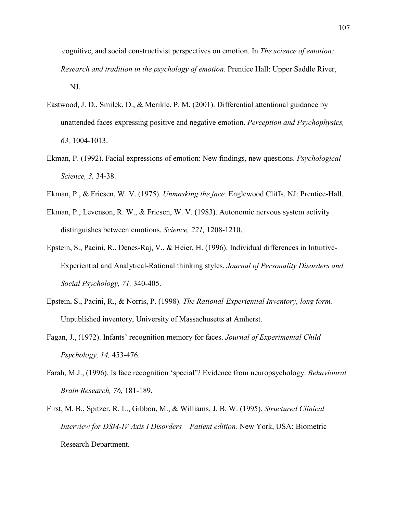cognitive, and social constructivist perspectives on emotion. In *The science of emotion*: Research and tradition in the psychology of emotion. Prentice Hall: Upper Saddle River, NJ.

- Eastwood, J. D., Smilek, D., & Merikle, P. M. (2001). Differential attentional guidance by unattended faces expressing positive and negative emotion. Perception and Psychophysics, 63, 1004-1013.
- Ekman, P. (1992). Facial expressions of emotion: New findings, new questions. Psychological Science, 3, 34-38.
- Ekman, P., & Friesen, W. V. (1975). *Unmasking the face*. Englewood Cliffs, NJ: Prentice-Hall.
- Ekman, P., Levenson, R. W., & Friesen, W. V. (1983). Autonomic nervous system activity distinguishes between emotions. Science, 221, 1208-1210.
- Epstein, S., Pacini, R., Denes-Raj, V., & Heier, H. (1996). Individual differences in Intuitive-Experiential and Analytical-Rational thinking styles. Journal of Personality Disorders and Social Psychology, 71, 340-405.
- Epstein, S., Pacini, R., & Norris, P. (1998). The Rational-Experiential Inventory, long form. Unpublished inventory, University of Massachusetts at Amherst.
- Fagan, J., (1972). Infants' recognition memory for faces. Journal of Experimental Child Psychology, 14, 453-476.
- Farah, M.J., (1996). Is face recognition 'special'? Evidence from neuropsychology. Behavioural Brain Research, 76, 181-189.
- First, M. B., Spitzer, R. L., Gibbon, M., & Williams, J. B. W. (1995). Structured Clinical Interview for DSM-IV Axis I Disorders – Patient edition. New York, USA: Biometric Research Department.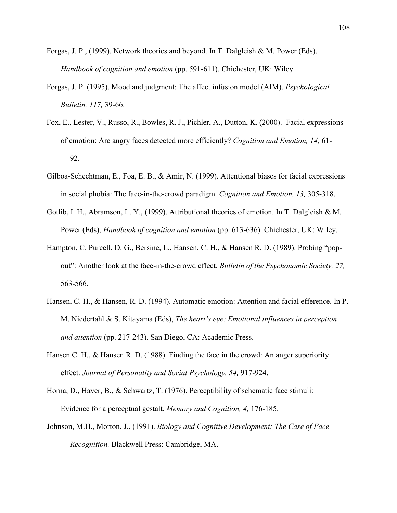- Forgas, J. P., (1999). Network theories and beyond. In T. Dalgleish & M. Power (Eds), Handbook of cognition and emotion (pp. 591-611). Chichester, UK: Wiley.
- Forgas, J. P. (1995). Mood and judgment: The affect infusion model (AIM). Psychological Bulletin, 117, 39-66.
- Fox, E., Lester, V., Russo, R., Bowles, R. J., Pichler, A., Dutton, K. (2000). Facial expressions of emotion: Are angry faces detected more efficiently? Cognition and Emotion, 14, 61- 92.
- Gilboa-Schechtman, E., Foa, E. B., & Amir, N. (1999). Attentional biases for facial expressions in social phobia: The face-in-the-crowd paradigm. Cognition and Emotion, 13, 305-318.
- Gotlib, I. H., Abramson, L. Y., (1999). Attributional theories of emotion. In T. Dalgleish & M. Power (Eds), *Handbook of cognition and emotion* (pp. 613-636). Chichester, UK: Wiley.
- Hampton, C. Purcell, D. G., Bersine, L., Hansen, C. H., & Hansen R. D. (1989). Probing "popout": Another look at the face-in-the-crowd effect. Bulletin of the Psychonomic Society, 27, 563-566.
- Hansen, C. H., & Hansen, R. D. (1994). Automatic emotion: Attention and facial efference. In P. M. Niedertahl & S. Kitayama (Eds), The heart's eye: Emotional influences in perception and attention (pp. 217-243). San Diego, CA: Academic Press.
- Hansen C. H., & Hansen R. D. (1988). Finding the face in the crowd: An anger superiority effect. Journal of Personality and Social Psychology, 54, 917-924.
- Horna, D., Haver, B., & Schwartz, T. (1976). Perceptibility of schematic face stimuli: Evidence for a perceptual gestalt. Memory and Cognition, 4, 176-185.
- Johnson, M.H., Morton, J., (1991). Biology and Cognitive Development: The Case of Face Recognition. Blackwell Press: Cambridge, MA.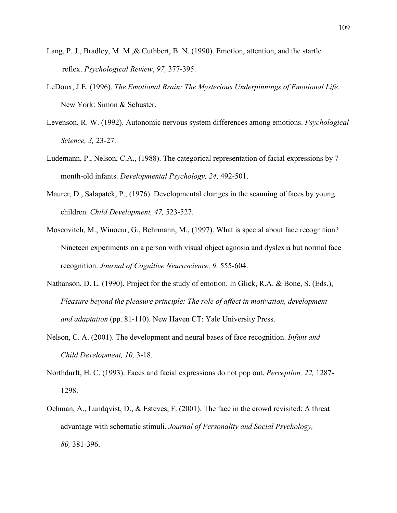- Lang, P. J., Bradley, M. M.,& Cuthbert, B. N. (1990). Emotion, attention, and the startle reflex. Psychological Review, 97, 377-395.
- LeDoux, J.E. (1996). The Emotional Brain: The Mysterious Underpinnings of Emotional Life. New York: Simon & Schuster.
- Levenson, R. W. (1992). Autonomic nervous system differences among emotions. Psychological Science, 3, 23-27.
- Ludemann, P., Nelson, C.A., (1988). The categorical representation of facial expressions by 7 month-old infants. Developmental Psychology, 24, 492-501.
- Maurer, D., Salapatek, P., (1976). Developmental changes in the scanning of faces by young children. Child Development, 47, 523-527.
- Moscovitch, M., Winocur, G., Behrmann, M., (1997). What is special about face recognition? Nineteen experiments on a person with visual object agnosia and dyslexia but normal face recognition. Journal of Cognitive Neuroscience, 9, 555-604.
- Nathanson, D. L. (1990). Project for the study of emotion. In Glick, R.A. & Bone, S. (Eds.), Pleasure beyond the pleasure principle: The role of affect in motivation, development and adaptation (pp. 81-110). New Haven CT: Yale University Press.
- Nelson, C. A. (2001). The development and neural bases of face recognition. *Infant and* Child Development, 10, 3-18.
- Northdurft, H. C. (1993). Faces and facial expressions do not pop out. Perception, 22, 1287- 1298.
- Oehman, A., Lundqvist, D., & Esteves, F. (2001). The face in the crowd revisited: A threat advantage with schematic stimuli. Journal of Personality and Social Psychology, 80, 381-396.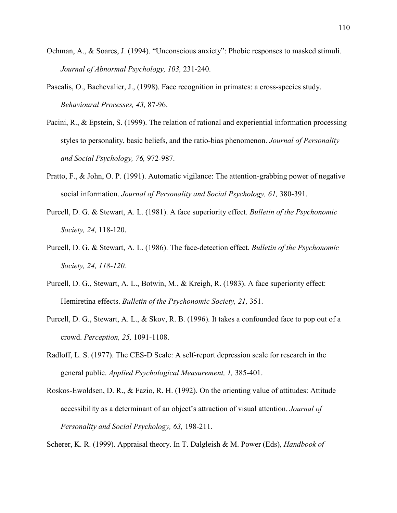- Oehman, A., & Soares, J. (1994). "Unconscious anxiety": Phobic responses to masked stimuli. Journal of Abnormal Psychology, 103, 231-240.
- Pascalis, O., Bachevalier, J., (1998). Face recognition in primates: a cross-species study. Behavioural Processes, 43, 87-96.
- Pacini, R., & Epstein, S. (1999). The relation of rational and experiential information processing styles to personality, basic beliefs, and the ratio-bias phenomenon. Journal of Personality and Social Psychology, 76, 972-987.
- Pratto, F., & John, O. P. (1991). Automatic vigilance: The attention-grabbing power of negative social information. Journal of Personality and Social Psychology, 61, 380-391.
- Purcell, D. G. & Stewart, A. L. (1981). A face superiority effect. Bulletin of the Psychonomic Society, 24, 118-120.
- Purcell, D. G. & Stewart, A. L. (1986). The face-detection effect. Bulletin of the Psychonomic Society, 24, 118-120.
- Purcell, D. G., Stewart, A. L., Botwin, M., & Kreigh, R. (1983). A face superiority effect: Hemiretina effects. Bulletin of the Psychonomic Society, 21, 351.
- Purcell, D. G., Stewart, A. L., & Skov, R. B. (1996). It takes a confounded face to pop out of a crowd. Perception, 25, 1091-1108.
- Radloff, L. S. (1977). The CES-D Scale: A self-report depression scale for research in the general public. Applied Psychological Measurement, 1, 385-401.
- Roskos-Ewoldsen, D. R., & Fazio, R. H. (1992). On the orienting value of attitudes: Attitude accessibility as a determinant of an object's attraction of visual attention. Journal of Personality and Social Psychology, 63, 198-211.

Scherer, K. R. (1999). Appraisal theory. In T. Dalgleish & M. Power (Eds), *Handbook of*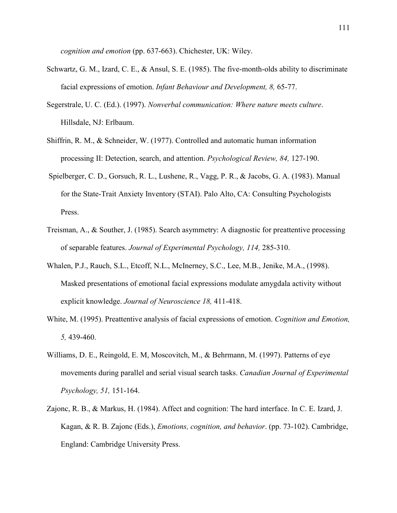cognition and emotion (pp. 637-663). Chichester, UK: Wiley.

- Schwartz, G. M., Izard, C. E., & Ansul, S. E. (1985). The five-month-olds ability to discriminate facial expressions of emotion. Infant Behaviour and Development, 8, 65-77.
- Segerstrale, U. C. (Ed.). (1997). Nonverbal communication: Where nature meets culture. Hillsdale, NJ: Erlbaum.
- Shiffrin, R. M., & Schneider, W. (1977). Controlled and automatic human information processing II: Detection, search, and attention. Psychological Review, 84, 127-190.
- Spielberger, C. D., Gorsuch, R. L., Lushene, R., Vagg, P. R., & Jacobs, G. A. (1983). Manual for the State-Trait Anxiety Inventory (STAI). Palo Alto, CA: Consulting Psychologists Press.
- Treisman, A., & Souther, J. (1985). Search asymmetry: A diagnostic for preattentive processing of separable features. Journal of Experimental Psychology, 114, 285-310.
- Whalen, P.J., Rauch, S.L., Etcoff, N.L., McInerney, S.C., Lee, M.B., Jenike, M.A., (1998). Masked presentations of emotional facial expressions modulate amygdala activity without explicit knowledge. Journal of Neuroscience 18, 411-418.
- White, M. (1995). Preattentive analysis of facial expressions of emotion. Cognition and Emotion, 5, 439-460.
- Williams, D. E., Reingold, E. M, Moscovitch, M., & Behrmann, M. (1997). Patterns of eye movements during parallel and serial visual search tasks. Canadian Journal of Experimental Psychology, 51, 151-164.
- Zajonc, R. B., & Markus, H. (1984). Affect and cognition: The hard interface. In C. E. Izard, J. Kagan, & R. B. Zajonc (Eds.), Emotions, cognition, and behavior. (pp. 73-102). Cambridge, England: Cambridge University Press.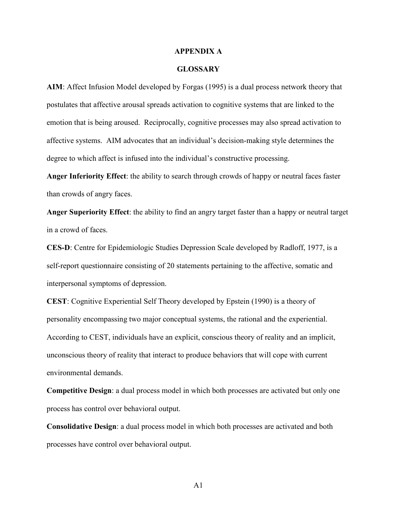#### APPENDIX A

#### **GLOSSARY**

AIM: Affect Infusion Model developed by Forgas (1995) is a dual process network theory that postulates that affective arousal spreads activation to cognitive systems that are linked to the emotion that is being aroused. Reciprocally, cognitive processes may also spread activation to affective systems. AIM advocates that an individual's decision-making style determines the degree to which affect is infused into the individual's constructive processing.

Anger Inferiority Effect: the ability to search through crowds of happy or neutral faces faster than crowds of angry faces.

Anger Superiority Effect: the ability to find an angry target faster than a happy or neutral target in a crowd of faces.

CES-D: Centre for Epidemiologic Studies Depression Scale developed by Radloff, 1977, is a self-report questionnaire consisting of 20 statements pertaining to the affective, somatic and interpersonal symptoms of depression.

CEST: Cognitive Experiential Self Theory developed by Epstein (1990) is a theory of personality encompassing two major conceptual systems, the rational and the experiential. According to CEST, individuals have an explicit, conscious theory of reality and an implicit, unconscious theory of reality that interact to produce behaviors that will cope with current environmental demands.

Competitive Design: a dual process model in which both processes are activated but only one process has control over behavioral output.

Consolidative Design: a dual process model in which both processes are activated and both processes have control over behavioral output.

A1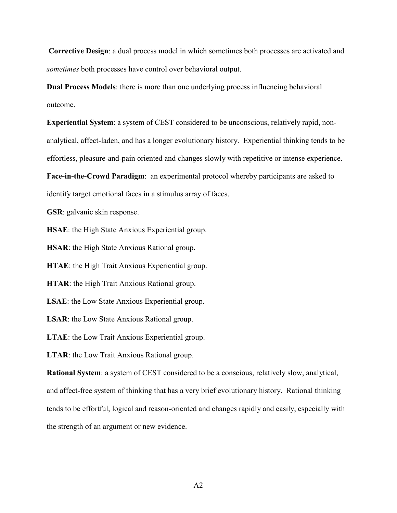Corrective Design: a dual process model in which sometimes both processes are activated and sometimes both processes have control over behavioral output.

Dual Process Models: there is more than one underlying process influencing behavioral outcome.

Experiential System: a system of CEST considered to be unconscious, relatively rapid, nonanalytical, affect-laden, and has a longer evolutionary history. Experiential thinking tends to be effortless, pleasure-and-pain oriented and changes slowly with repetitive or intense experience.

Face-in-the-Crowd Paradigm: an experimental protocol whereby participants are asked to identify target emotional faces in a stimulus array of faces.

GSR: galvanic skin response.

HSAE: the High State Anxious Experiential group.

HSAR: the High State Anxious Rational group.

HTAE: the High Trait Anxious Experiential group.

HTAR: the High Trait Anxious Rational group.

LSAE: the Low State Anxious Experiential group.

LSAR: the Low State Anxious Rational group.

LTAE: the Low Trait Anxious Experiential group.

LTAR: the Low Trait Anxious Rational group.

Rational System: a system of CEST considered to be a conscious, relatively slow, analytical, and affect-free system of thinking that has a very brief evolutionary history. Rational thinking tends to be effortful, logical and reason-oriented and changes rapidly and easily, especially with the strength of an argument or new evidence.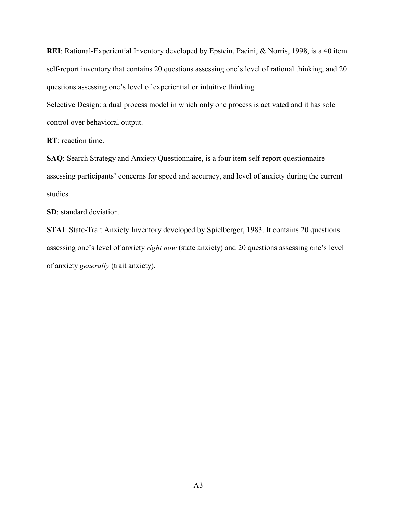REI: Rational-Experiential Inventory developed by Epstein, Pacini, & Norris, 1998, is a 40 item self-report inventory that contains 20 questions assessing one's level of rational thinking, and 20 questions assessing one's level of experiential or intuitive thinking.

Selective Design: a dual process model in which only one process is activated and it has sole control over behavioral output.

RT: reaction time.

SAQ: Search Strategy and Anxiety Questionnaire, is a four item self-report questionnaire assessing participants' concerns for speed and accuracy, and level of anxiety during the current studies.

SD: standard deviation.

STAI: State-Trait Anxiety Inventory developed by Spielberger, 1983. It contains 20 questions assessing one's level of anxiety right now (state anxiety) and 20 questions assessing one's level of anxiety generally (trait anxiety).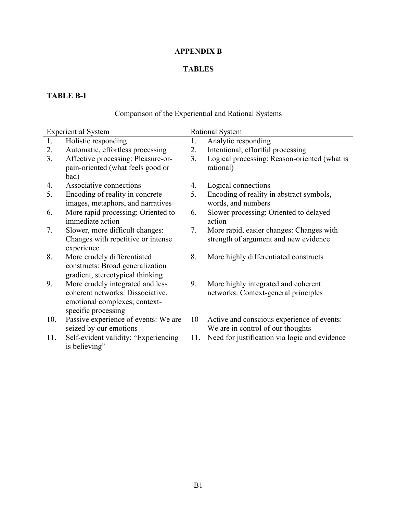#### APPENDIX B

#### TABLES

# TABLE B-1

# Comparison of the Experiential and Rational Systems

|     | <b>Experiential System</b>           |     | <b>Rational System</b>                        |
|-----|--------------------------------------|-----|-----------------------------------------------|
| 1.  | Holistic responding                  | 1.  | Analytic responding                           |
| 2.  | Automatic, effortless processing     | 2.  | Intentional, effortful processing             |
| 3.  | Affective processing: Pleasure-or-   | 3.  | Logical processing: Reason-oriented (what is  |
|     | pain-oriented (what feels good or    |     | rational)                                     |
|     | bad)                                 |     |                                               |
| 4.  | Associative connections              | 4.  | Logical connections                           |
| 5.  | Encoding of reality in concrete      | 5.  | Encoding of reality in abstract symbols,      |
|     | images, metaphors, and narratives    |     | words, and numbers                            |
| 6.  | More rapid processing: Oriented to   | 6.  | Slower processing: Oriented to delayed        |
|     | immediate action                     |     | action                                        |
| 7.  | Slower, more difficult changes:      | 7.  | More rapid, easier changes: Changes with      |
|     | Changes with repetitive or intense   |     | strength of argument and new evidence         |
|     | experience                           |     |                                               |
| 8.  | More crudely differentiated          | 8.  | More highly differentiated constructs         |
|     | constructs: Broad generalization     |     |                                               |
|     | gradient, stereotypical thinking     |     |                                               |
| 9.  | More crudely integrated and less     | 9.  | More highly integrated and coherent           |
|     | coherent networks: Dissociative,     |     | networks: Context-general principles          |
|     | emotional complexes; context-        |     |                                               |
|     | specific processing                  |     |                                               |
| 10. | Passive experience of events: We are | 10  | Active and conscious experience of events:    |
|     | seized by our emotions               |     | We are in control of our thoughts             |
| 11. | Self-evident validity: "Experiencing | 11. | Need for justification via logic and evidence |
|     | is believing"                        |     |                                               |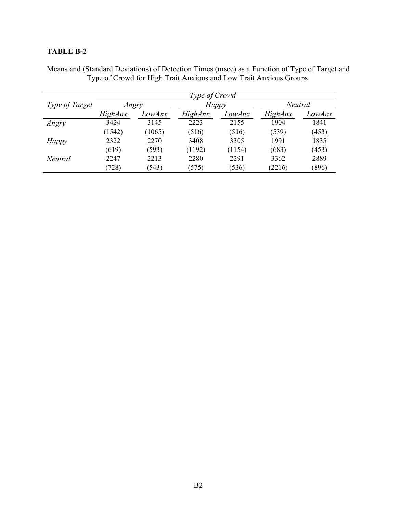|                | Type of Crowd  |        |                |        |                |        |  |
|----------------|----------------|--------|----------------|--------|----------------|--------|--|
| Type of Target | Angry          |        | Happy          |        | Neutral        |        |  |
|                | <i>HighAnx</i> | LowAnx | <i>HighAnx</i> | LowAnx | <i>HighAnx</i> | LowAnx |  |
| Angry          | 3424           | 3145   | 2223           | 2155   | 1904           | 1841   |  |
|                | (1542)         | (1065) | (516)          | (516)  | (539)          | (453)  |  |
| Happy          | 2322           | 2270   | 3408           | 3305   | 1991           | 1835   |  |
|                | (619)          | (593)  | (1192)         | (1154) | (683)          | (453)  |  |
| Neutral        | 2247           | 2213   | 2280           | 2291   | 3362           | 2889   |  |
|                | (728)          | (543)  | (575)          | (536)  | (2216)         | (896)  |  |

Means and (Standard Deviations) of Detection Times (msec) as a Function of Type of Target and Type of Crowd for High Trait Anxious and Low Trait Anxious Groups.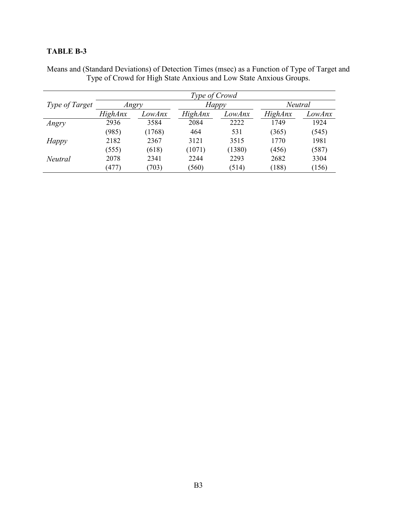|                       | Type of Crowd  |        |                |              |         |         |  |
|-----------------------|----------------|--------|----------------|--------------|---------|---------|--|
| <i>Type of Target</i> | Angry          |        |                | <b>Happy</b> |         | Neutral |  |
|                       | <b>HighAnx</b> | LowAnx | <b>HighAnx</b> | LowAnx       | HighAnx | LowAnx  |  |
| Angry                 | 2936           | 3584   | 2084           | 2222         | 1749    | 1924    |  |
|                       | (985)          | (1768) | 464            | 531          | (365)   | (545)   |  |
| Happy                 | 2182           | 2367   | 3121           | 3515         | 1770    | 1981    |  |
|                       | (555)          | (618)  | (1071)         | (1380)       | (456)   | (587)   |  |
| <b>Neutral</b>        | 2078           | 2341   | 2244           | 2293         | 2682    | 3304    |  |
|                       | (477)          | (703)  | (560)          | (514)        | (188)   | (156)   |  |

Means and (Standard Deviations) of Detection Times (msec) as a Function of Type of Target and Type of Crowd for High State Anxious and Low State Anxious Groups.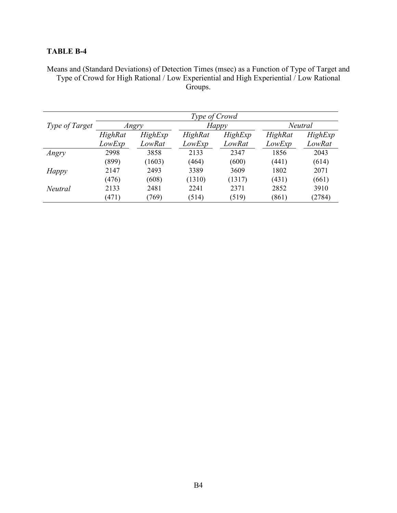Means and (Standard Deviations) of Detection Times (msec) as a Function of Type of Target and Type of Crowd for High Rational / Low Experiential and High Experiential / Low Rational Groups.

|                       | Type of Crowd |         |         |         |                |         |  |
|-----------------------|---------------|---------|---------|---------|----------------|---------|--|
| <i>Type of Target</i> | Angry         |         | Happy   |         | <b>Neutral</b> |         |  |
|                       | HighRat       | HighExp | HighRat | HighExp | HighRat        | HighExp |  |
|                       | LowExp        | LowRat  | LowExp  | LowRat  | LowExp         | LowRat  |  |
| Angry                 | 2998          | 3858    | 2133    | 2347    | 1856           | 2043    |  |
|                       | (899)         | (1603)  | (464)   | (600)   | (441)          | (614)   |  |
| <b>Happy</b>          | 2147          | 2493    | 3389    | 3609    | 1802           | 2071    |  |
|                       | (476)         | (608)   | (1310)  | (1317)  | (431)          | (661)   |  |
| <b>Neutral</b>        | 2133          | 2481    | 2241    | 2371    | 2852           | 3910    |  |
|                       | (471)         | (769)   | (514)   | (519)   | (861)          | (2784)  |  |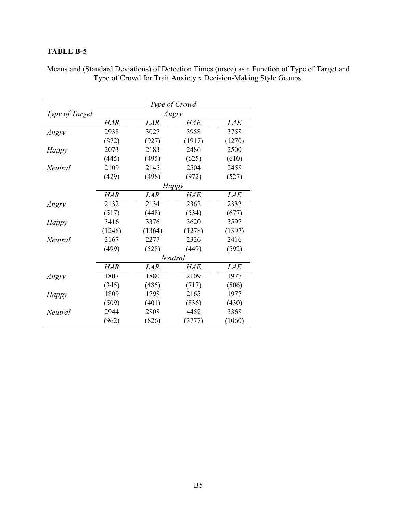|                | Type of Crowd |            |              |            |  |
|----------------|---------------|------------|--------------|------------|--|
| Type of Target |               |            | Angry        |            |  |
|                | <b>HAR</b>    | LAR        | <i>HAE</i>   | <i>LAE</i> |  |
| Angry          | 2938          | 3027       | 3958         | 3758       |  |
|                | (872)         | (927)      | (1917)       | (1270)     |  |
| Happy          | 2073          | 2183       | 2486         | 2500       |  |
|                | (445)         | (495)      | (625)        | (610)      |  |
| Neutral        | 2109          | 2145       | 2504         | 2458       |  |
|                | (429)         | (498)      | (972)        | (527)      |  |
|                |               |            | <b>Happy</b> |            |  |
|                | <b>HAR</b>    | <b>LAR</b> | <b>HAE</b>   | <b>LAE</b> |  |
| Angry          | 2132          | 2134       | 2362         | 2332       |  |
|                | (517)         | (448)      | (534)        | (677)      |  |
| <b>Happy</b>   | 3416          | 3376       | 3620         | 3597       |  |
|                | (1248)        | (1364)     | (1278)       | (1397)     |  |
| Neutral        | 2167          | 2277       | 2326         | 2416       |  |
|                | (499)         | (528)      | (449)        | (592)      |  |
|                |               |            | Neutral      |            |  |
|                | <b>HAR</b>    | <b>LAR</b> | <b>HAE</b>   | <b>LAE</b> |  |
| Angry          | 1807          | 1880       | 2109         | 1977       |  |
|                | (345)         | (485)      | (717)        | (506)      |  |
| <b>Happy</b>   | 1809          | 1798       | 2165         | 1977       |  |
|                | (509)         | (401)      | (836)        | (430)      |  |
| Neutral        | 2944          | 2808       | 4452         | 3368       |  |
|                | (962)         | (826)      | (3777)       | (1060)     |  |

Means and (Standard Deviations) of Detection Times (msec) as a Function of Type of Target and Type of Crowd for Trait Anxiety x Decision-Making Style Groups.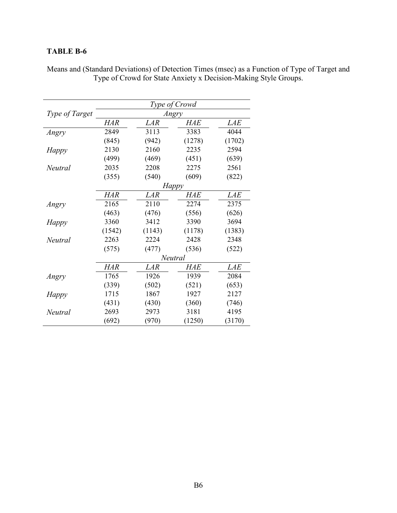|                | Type of Crowd |            |              |            |  |
|----------------|---------------|------------|--------------|------------|--|
| Type of Target |               |            | Angry        |            |  |
|                | <b>HAR</b>    | LAR        | <i>HAE</i>   | <i>LAE</i> |  |
| Angry          | 2849          | 3113       | 3383         | 4044       |  |
|                | (845)         | (942)      | (1278)       | (1702)     |  |
| Happy          | 2130          | 2160       | 2235         | 2594       |  |
|                | (499)         | (469)      | (451)        | (639)      |  |
| Neutral        | 2035          | 2208       | 2275         | 2561       |  |
|                | (355)         | (540)      | (609)        | (822)      |  |
|                |               |            | <b>Happy</b> |            |  |
|                | <b>HAR</b>    | LAR        | <b>HAE</b>   | <b>LAE</b> |  |
| Angry          | 2165          | 2110       | 2274         | 2375       |  |
|                | (463)         | (476)      | (556)        | (626)      |  |
| <b>Happy</b>   | 3360          | 3412       | 3390         | 3694       |  |
|                | (1542)        | (1143)     | (1178)       | (1383)     |  |
| Neutral        | 2263          | 2224       | 2428         | 2348       |  |
|                | (575)         | (477)      | (536)        | (522)      |  |
|                |               |            | Neutral      |            |  |
|                | <b>HAR</b>    | <b>LAR</b> | <b>HAE</b>   | <b>LAE</b> |  |
| Angry          | 1765          | 1926       | 1939         | 2084       |  |
|                | (339)         | (502)      | (521)        | (653)      |  |
| <b>Happy</b>   | 1715          | 1867       | 1927         | 2127       |  |
|                | (431)         | (430)      | (360)        | (746)      |  |
| Neutral        | 2693          | 2973       | 3181         | 4195       |  |
|                | (692)         | (970)      | (1250)       | (3170)     |  |

Means and (Standard Deviations) of Detection Times (msec) as a Function of Type of Target and Type of Crowd for State Anxiety x Decision-Making Style Groups.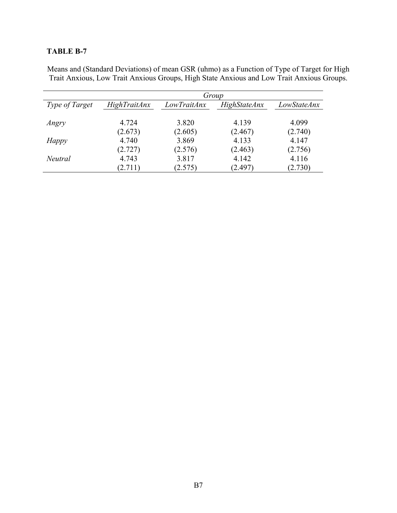|                | Group               |             |                     |             |  |  |
|----------------|---------------------|-------------|---------------------|-------------|--|--|
| Type of Target | <b>HighTraitAnx</b> | LowTraitAnx | <b>HighStateAnx</b> | LowStateAnx |  |  |
|                |                     |             |                     |             |  |  |
| Angry          | 4.724               | 3.820       | 4.139               | 4.099       |  |  |
|                | (2.673)             | (2.605)     | (2.467)             | (2.740)     |  |  |
| Happy          | 4.740               | 3.869       | 4.133               | 4.147       |  |  |
|                | (2.727)             | (2.576)     | (2.463)             | (2.756)     |  |  |
| <b>Neutral</b> | 4.743               | 3.817       | 4.142               | 4.116       |  |  |
|                | (2.711)             | (2.575)     | (2.497)             | (2.730)     |  |  |

Means and (Standard Deviations) of mean GSR (uhmo) as a Function of Type of Target for High Trait Anxious, Low Trait Anxious Groups, High State Anxious and Low Trait Anxious Groups.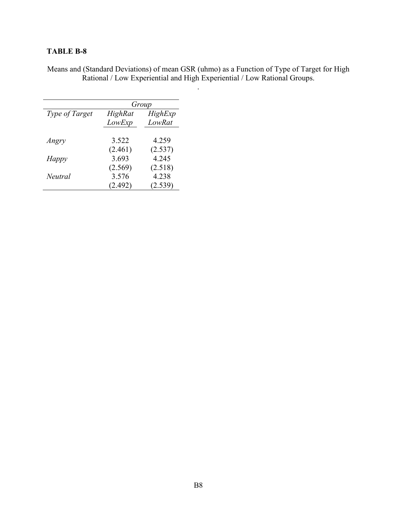Means and (Standard Deviations) of mean GSR (uhmo) as a Function of Type of Target for High Rational / Low Experiential and High Experiential / Low Rational Groups.

.

|                       | Group             |                   |  |
|-----------------------|-------------------|-------------------|--|
| <i>Type of Target</i> | HighRat<br>LowExp | HighExp<br>LowRat |  |
| Angry                 | 3.522             | 4.259             |  |
|                       | (2.461)           | (2.537)           |  |
| Happy                 | 3.693             | 4.245             |  |
|                       | (2.569)           | (2.518)           |  |
| <i>Neutral</i>        | 3.576<br>(2.492)  | 4.238<br>(2.539)  |  |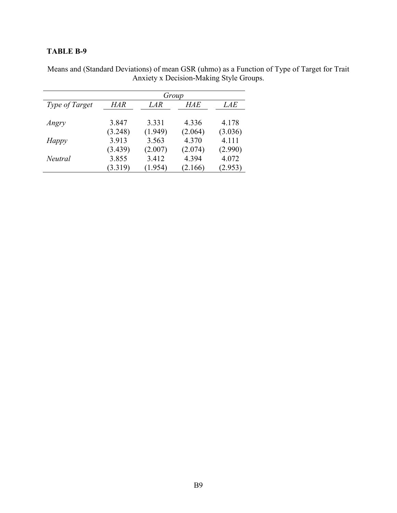|                |         | Group   |         |         |
|----------------|---------|---------|---------|---------|
| Type of Target | HAR     | LAR     | HAE     | LAE     |
| Angry          | 3.847   | 3.331   | 4.336   | 4.178   |
|                | (3.248) | (1.949) | (2.064) | (3.036) |
| Happy          | 3.913   | 3.563   | 4.370   | 4.111   |
|                | (3.439) | (2.007) | (2.074) | (2.990) |
| <b>Neutral</b> | 3.855   | 3.412   | 4.394   | 4.072   |
|                | (3.319) | (1.954) | (2.166) | (2.953) |

Means and (Standard Deviations) of mean GSR (uhmo) as a Function of Type of Target for Trait Anxiety x Decision-Making Style Groups.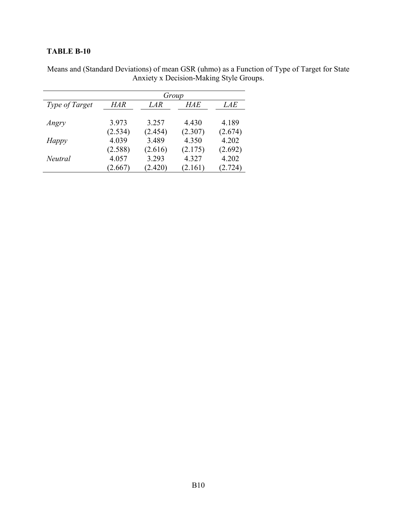|                |         | Group   |         |            |
|----------------|---------|---------|---------|------------|
| Type of Target | HAR     | LAR     | HAE     | <i>LAE</i> |
| Angry          | 3.973   | 3.257   | 4.430   | 4.189      |
|                | (2.534) | (2.454) | (2.307) | (2.674)    |
| Happy          | 4.039   | 3.489   | 4.350   | 4.202      |
|                | (2.588) | (2.616) | (2.175) | (2.692)    |
| Neutral        | 4.057   | 3.293   | 4.327   | 4.202      |
|                | (2.667) | (2.420) | (2.161) | (2.724)    |

Means and (Standard Deviations) of mean GSR (uhmo) as a Function of Type of Target for State Anxiety x Decision-Making Style Groups.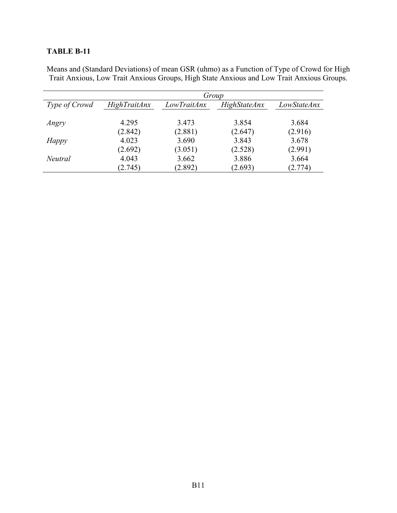|               | Group               |             |                     |             |  |  |
|---------------|---------------------|-------------|---------------------|-------------|--|--|
| Type of Crowd | <b>HighTraitAnx</b> | LowTraitAnx | <b>HighStateAnx</b> | LowStateAnx |  |  |
| Angry         | 4.295               | 3.473       | 3.854               | 3.684       |  |  |
|               | (2.842)             | (2.881)     | (2.647)             | (2.916)     |  |  |
| <b>Happy</b>  | 4.023               | 3.690       | 3.843               | 3.678       |  |  |
|               | (2.692)             | (3.051)     | (2.528)             | (2.991)     |  |  |
| Neutral       | 4.043               | 3.662       | 3.886               | 3.664       |  |  |
|               | (2.745)             | (2.892)     | (2.693)             | (2.774)     |  |  |

Means and (Standard Deviations) of mean GSR (uhmo) as a Function of Type of Crowd for High Trait Anxious, Low Trait Anxious Groups, High State Anxious and Low Trait Anxious Groups.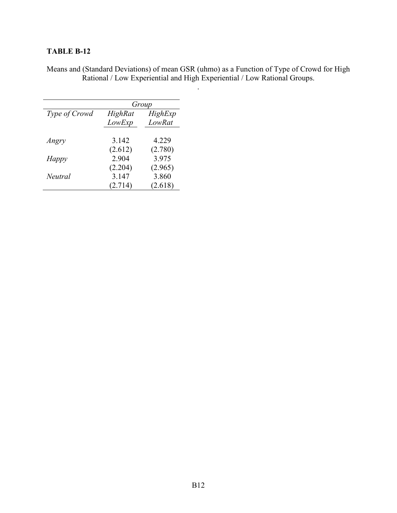Means and (Standard Deviations) of mean GSR (uhmo) as a Function of Type of Crowd for High Rational / Low Experiential and High Experiential / Low Rational Groups.

|                      | Group             |                   |  |
|----------------------|-------------------|-------------------|--|
| <i>Type of Crowd</i> | HighRat<br>LowExp | HighExp<br>LowRat |  |
| Angry                | 3.142             | 4.229             |  |
|                      | (2.612)<br>2.904  | (2.780)<br>3.975  |  |
| Happy                | (2.204)           | (2.965)           |  |
| <i>Neutral</i>       | 3.147             | 3.860             |  |
|                      | (2.714)           | (2.618)           |  |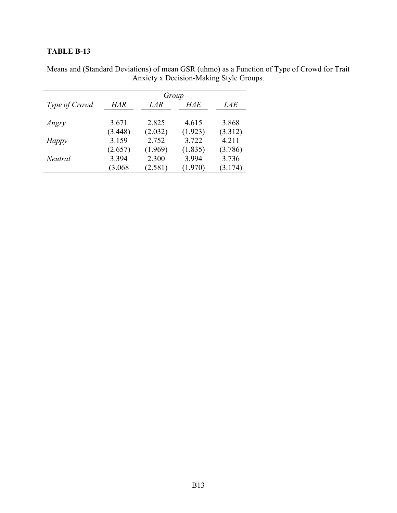|               | Group   |         |         |            |  |
|---------------|---------|---------|---------|------------|--|
| Type of Crowd | HAR     | LAR     | HAE     | <i>LAE</i> |  |
| Angry         | 3.671   | 2.825   | 4.615   | 3.868      |  |
|               | (3.448) | (2.032) | (1.923) | (3.312)    |  |
| Happy         | 3.159   | 2.752   | 3.722   | 4.211      |  |
|               | (2.657) | (1.969) | (1.835) | (3.786)    |  |
| Neutral       | 3.394   | 2.300   | 3.994   | 3.736      |  |
|               | (3.068) | (2.581) | (1.970) | (3.174)    |  |

Means and (Standard Deviations) of mean GSR (uhmo) as a Function of Type of Crowd for Trait Anxiety x Decision-Making Style Groups.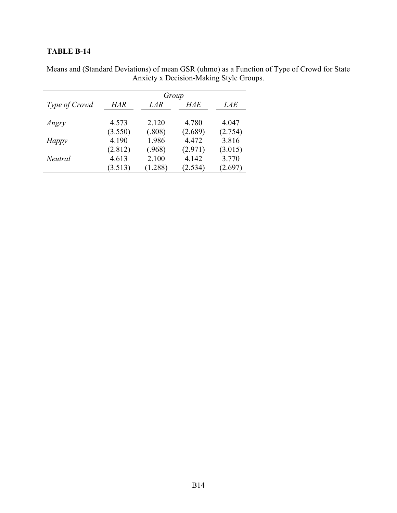|                | Group   |         |         |            |  |
|----------------|---------|---------|---------|------------|--|
| Type of Crowd  | HAR     | LAR     | HAE     | <i>LAE</i> |  |
| Angry          | 4.573   | 2.120   | 4.780   | 4.047      |  |
|                | (3.550) | (.808)  | (2.689) | (2.754)    |  |
| Happy          | 4.190   | 1.986   | 4.472   | 3.816      |  |
|                | (2.812) | (.968)  | (2.971) | (3.015)    |  |
| <b>Neutral</b> | 4.613   | 2.100   | 4.142   | 3.770      |  |
|                | (3.513) | (1.288) | (2.534) | (2.697)    |  |

Means and (Standard Deviations) of mean GSR (uhmo) as a Function of Type of Crowd for State Anxiety x Decision-Making Style Groups.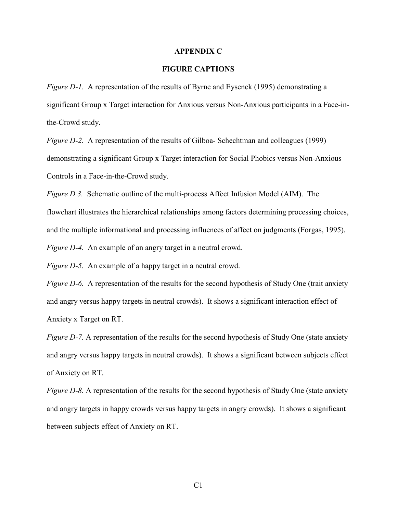#### APPENDIX C

#### FIGURE CAPTIONS

Figure D-1. A representation of the results of Byrne and Eysenck (1995) demonstrating a significant Group x Target interaction for Anxious versus Non-Anxious participants in a Face-inthe-Crowd study.

Figure D-2. A representation of the results of Gilboa- Schechtman and colleagues (1999) demonstrating a significant Group x Target interaction for Social Phobics versus Non-Anxious Controls in a Face-in-the-Crowd study.

Figure D 3. Schematic outline of the multi-process Affect Infusion Model (AIM). The flowchart illustrates the hierarchical relationships among factors determining processing choices, and the multiple informational and processing influences of affect on judgments (Forgas, 1995). Figure D-4. An example of an angry target in a neutral crowd.

Figure D-5. An example of a happy target in a neutral crowd.

Figure D-6. A representation of the results for the second hypothesis of Study One (trait anxiety and angry versus happy targets in neutral crowds). It shows a significant interaction effect of Anxiety x Target on RT.

Figure D-7. A representation of the results for the second hypothesis of Study One (state anxiety and angry versus happy targets in neutral crowds). It shows a significant between subjects effect of Anxiety on RT.

Figure D-8. A representation of the results for the second hypothesis of Study One (state anxiety and angry targets in happy crowds versus happy targets in angry crowds). It shows a significant between subjects effect of Anxiety on RT.

 $C<sub>1</sub>$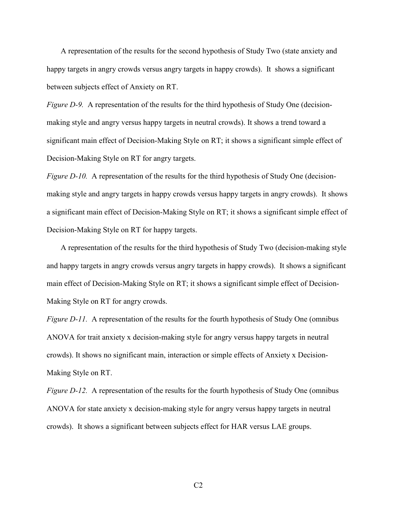A representation of the results for the second hypothesis of Study Two (state anxiety and happy targets in angry crowds versus angry targets in happy crowds). It shows a significant between subjects effect of Anxiety on RT.

Figure D-9. A representation of the results for the third hypothesis of Study One (decisionmaking style and angry versus happy targets in neutral crowds). It shows a trend toward a significant main effect of Decision-Making Style on RT; it shows a significant simple effect of Decision-Making Style on RT for angry targets.

Figure D-10. A representation of the results for the third hypothesis of Study One (decisionmaking style and angry targets in happy crowds versus happy targets in angry crowds). It shows a significant main effect of Decision-Making Style on RT; it shows a significant simple effect of Decision-Making Style on RT for happy targets.

 A representation of the results for the third hypothesis of Study Two (decision-making style and happy targets in angry crowds versus angry targets in happy crowds). It shows a significant main effect of Decision-Making Style on RT; it shows a significant simple effect of Decision-Making Style on RT for angry crowds.

Figure D-11. A representation of the results for the fourth hypothesis of Study One (omnibus ANOVA for trait anxiety x decision-making style for angry versus happy targets in neutral crowds). It shows no significant main, interaction or simple effects of Anxiety x Decision-Making Style on RT.

Figure D-12. A representation of the results for the fourth hypothesis of Study One (omnibus ANOVA for state anxiety x decision-making style for angry versus happy targets in neutral crowds). It shows a significant between subjects effect for HAR versus LAE groups.

 $C<sub>2</sub>$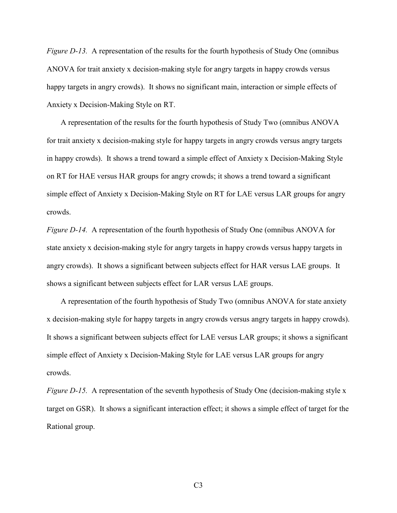Figure D-13. A representation of the results for the fourth hypothesis of Study One (omnibus ANOVA for trait anxiety x decision-making style for angry targets in happy crowds versus happy targets in angry crowds). It shows no significant main, interaction or simple effects of Anxiety x Decision-Making Style on RT.

 A representation of the results for the fourth hypothesis of Study Two (omnibus ANOVA for trait anxiety x decision-making style for happy targets in angry crowds versus angry targets in happy crowds). It shows a trend toward a simple effect of Anxiety x Decision-Making Style on RT for HAE versus HAR groups for angry crowds; it shows a trend toward a significant simple effect of Anxiety x Decision-Making Style on RT for LAE versus LAR groups for angry crowds.

Figure D-14. A representation of the fourth hypothesis of Study One (omnibus ANOVA for state anxiety x decision-making style for angry targets in happy crowds versus happy targets in angry crowds). It shows a significant between subjects effect for HAR versus LAE groups. It shows a significant between subjects effect for LAR versus LAE groups.

 A representation of the fourth hypothesis of Study Two (omnibus ANOVA for state anxiety x decision-making style for happy targets in angry crowds versus angry targets in happy crowds). It shows a significant between subjects effect for LAE versus LAR groups; it shows a significant simple effect of Anxiety x Decision-Making Style for LAE versus LAR groups for angry crowds.

Figure D-15. A representation of the seventh hypothesis of Study One (decision-making style x target on GSR). It shows a significant interaction effect; it shows a simple effect of target for the Rational group.

C3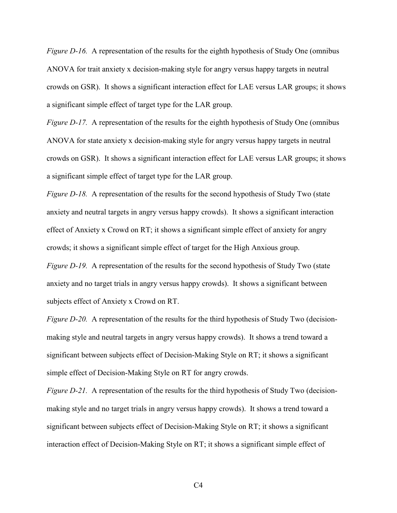Figure D-16. A representation of the results for the eighth hypothesis of Study One (omnibus ANOVA for trait anxiety x decision-making style for angry versus happy targets in neutral crowds on GSR). It shows a significant interaction effect for LAE versus LAR groups; it shows a significant simple effect of target type for the LAR group.

Figure D-17. A representation of the results for the eighth hypothesis of Study One (omnibus ANOVA for state anxiety x decision-making style for angry versus happy targets in neutral crowds on GSR). It shows a significant interaction effect for LAE versus LAR groups; it shows a significant simple effect of target type for the LAR group.

Figure D-18. A representation of the results for the second hypothesis of Study Two (state anxiety and neutral targets in angry versus happy crowds). It shows a significant interaction effect of Anxiety x Crowd on RT; it shows a significant simple effect of anxiety for angry crowds; it shows a significant simple effect of target for the High Anxious group.

Figure D-19. A representation of the results for the second hypothesis of Study Two (state anxiety and no target trials in angry versus happy crowds). It shows a significant between subjects effect of Anxiety x Crowd on RT.

Figure D-20. A representation of the results for the third hypothesis of Study Two (decisionmaking style and neutral targets in angry versus happy crowds). It shows a trend toward a significant between subjects effect of Decision-Making Style on RT; it shows a significant simple effect of Decision-Making Style on RT for angry crowds.

Figure D-21. A representation of the results for the third hypothesis of Study Two (decisionmaking style and no target trials in angry versus happy crowds). It shows a trend toward a significant between subjects effect of Decision-Making Style on RT; it shows a significant interaction effect of Decision-Making Style on RT; it shows a significant simple effect of

 $C<sub>4</sub>$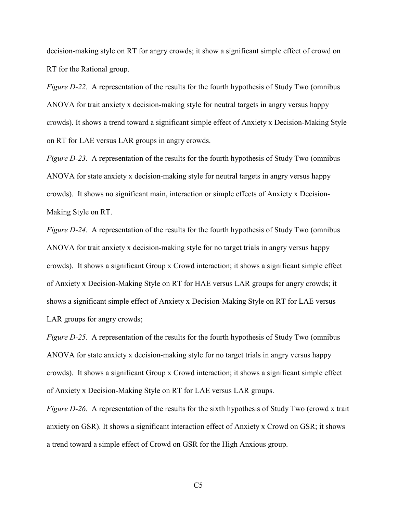decision-making style on RT for angry crowds; it show a significant simple effect of crowd on RT for the Rational group.

Figure D-22. A representation of the results for the fourth hypothesis of Study Two (omnibus ANOVA for trait anxiety x decision-making style for neutral targets in angry versus happy crowds). It shows a trend toward a significant simple effect of Anxiety x Decision-Making Style on RT for LAE versus LAR groups in angry crowds.

Figure D-23. A representation of the results for the fourth hypothesis of Study Two (omnibus ANOVA for state anxiety x decision-making style for neutral targets in angry versus happy crowds). It shows no significant main, interaction or simple effects of Anxiety x Decision-Making Style on RT.

Figure D-24. A representation of the results for the fourth hypothesis of Study Two (omnibus ANOVA for trait anxiety x decision-making style for no target trials in angry versus happy crowds). It shows a significant Group x Crowd interaction; it shows a significant simple effect of Anxiety x Decision-Making Style on RT for HAE versus LAR groups for angry crowds; it shows a significant simple effect of Anxiety x Decision-Making Style on RT for LAE versus LAR groups for angry crowds;

Figure D-25. A representation of the results for the fourth hypothesis of Study Two (omnibus ANOVA for state anxiety x decision-making style for no target trials in angry versus happy crowds). It shows a significant Group x Crowd interaction; it shows a significant simple effect of Anxiety x Decision-Making Style on RT for LAE versus LAR groups.

Figure D-26. A representation of the results for the sixth hypothesis of Study Two (crowd x trait anxiety on GSR). It shows a significant interaction effect of Anxiety x Crowd on GSR; it shows a trend toward a simple effect of Crowd on GSR for the High Anxious group.

 $C<sub>5</sub>$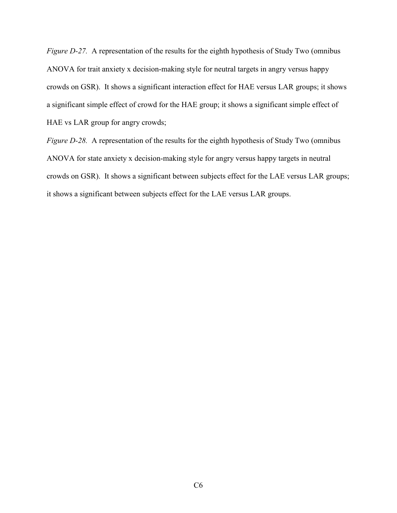Figure D-27. A representation of the results for the eighth hypothesis of Study Two (omnibus ANOVA for trait anxiety x decision-making style for neutral targets in angry versus happy crowds on GSR). It shows a significant interaction effect for HAE versus LAR groups; it shows a significant simple effect of crowd for the HAE group; it shows a significant simple effect of HAE vs LAR group for angry crowds;

Figure D-28. A representation of the results for the eighth hypothesis of Study Two (omnibus ANOVA for state anxiety x decision-making style for angry versus happy targets in neutral crowds on GSR). It shows a significant between subjects effect for the LAE versus LAR groups; it shows a significant between subjects effect for the LAE versus LAR groups.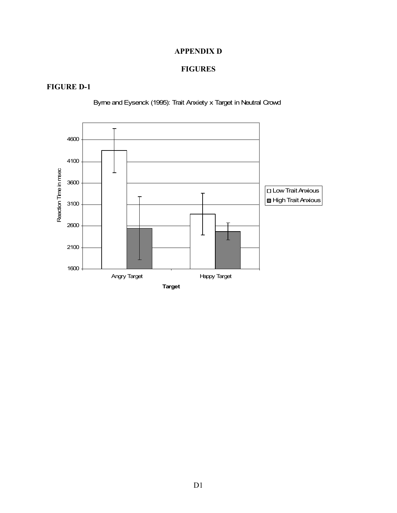#### APPENDIX D

#### FIGURES

#### FIGURE D-1



Byrne and Eysenck (1995): Trait Anxiety x Target in Neutral Crowd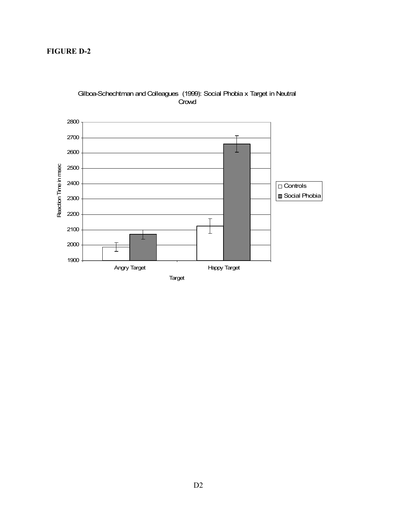#### FIGURE D-2



#### Gilboa-Schechtman and Colleagues (1999): Social Phobia x Target in Neutral **Crowd**

Target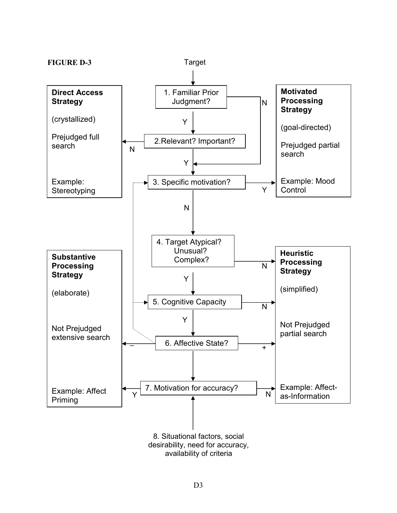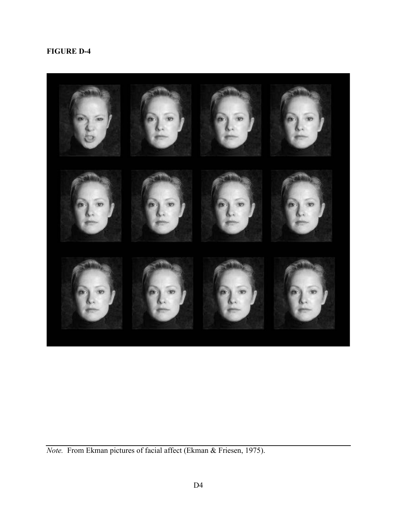

Note. From Ekman pictures of facial affect (Ekman & Friesen, 1975).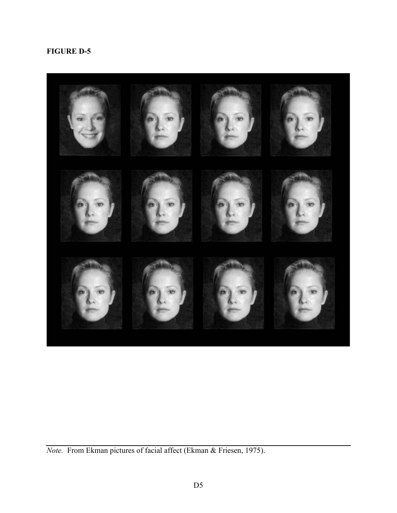

Note. From Ekman pictures of facial affect (Ekman & Friesen, 1975).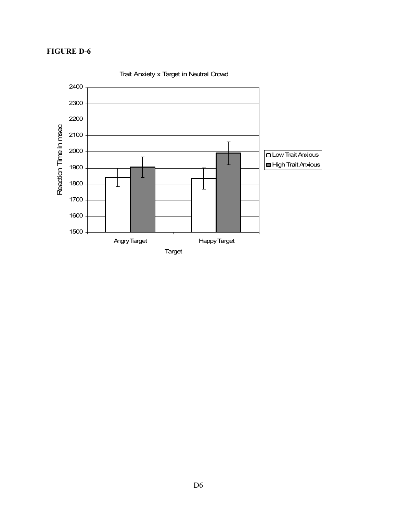

Trait Anxiety x Target in Neutral Crowd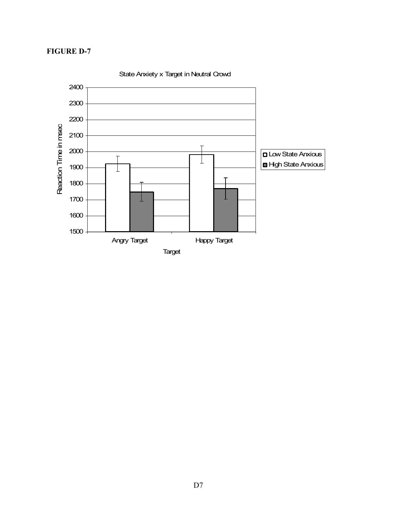

State Anxiety x Target in Neutral Crowd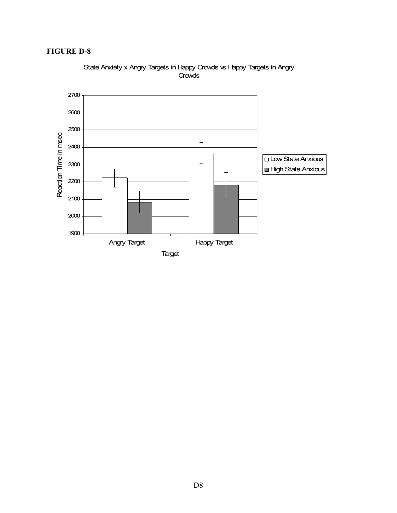

#### State Anxiety x Angry Targets in Happy Crowds vs Happy Targets in Angry **Crowds**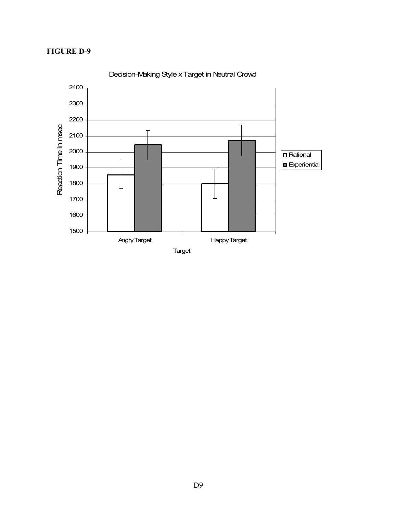

Decision-Making Style x Target in Neutral Crowd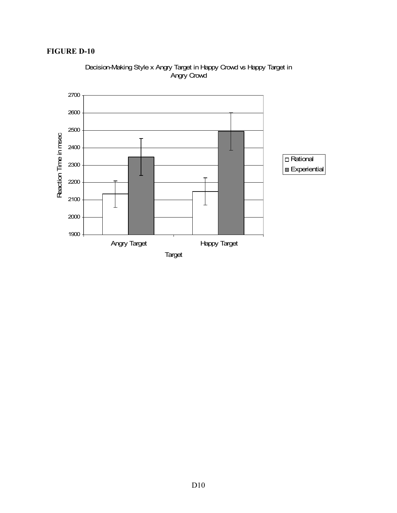

Decision-Making Style x Angry Target in Happy Crowd vs Happy Target in Angry Crowd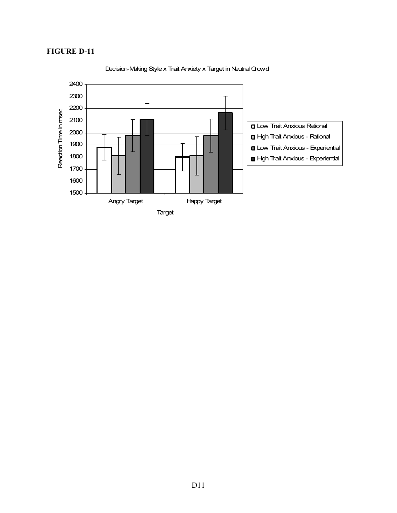

Decision-Making Style x Trait Anxiety x Target in Neutral Crowd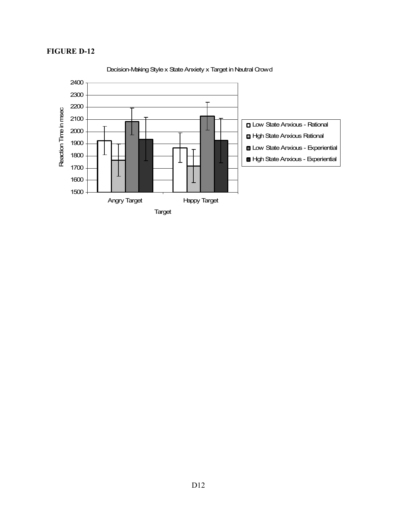

#### Decision-Making Style x State Anxiety x Target in Neutral Crowd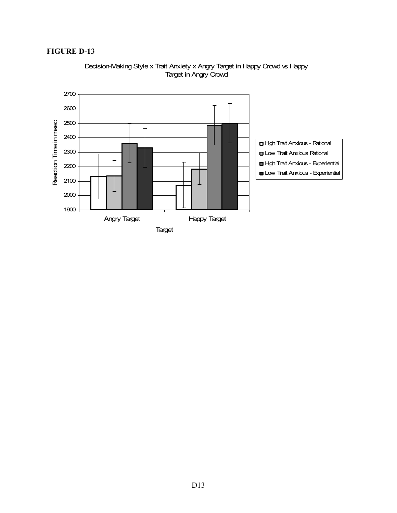

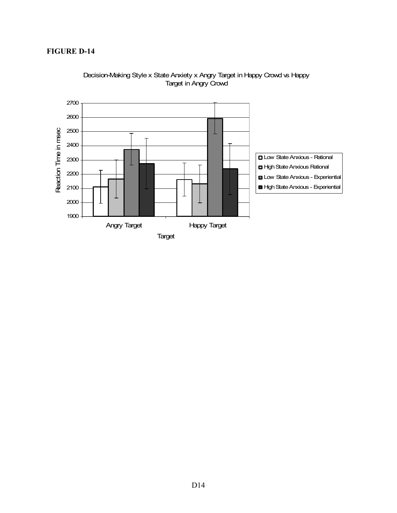

Decision-Making Style x State Anxiety x Angry Target in Happy Crowd vs Happy Target in Angry Crowd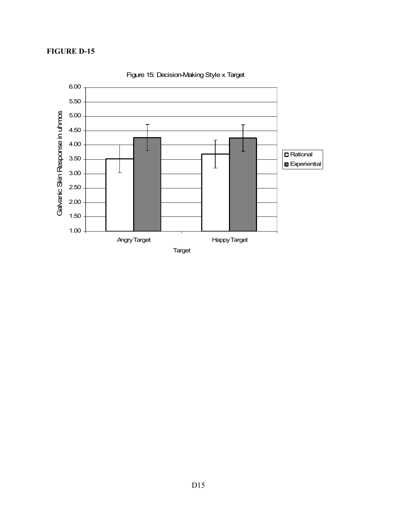

Figure 15: Decision-Making Style x Target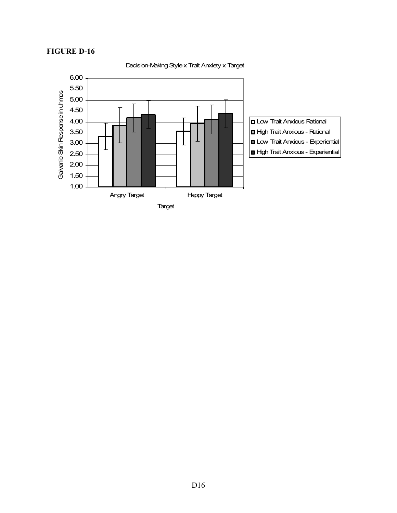

Decision-Making Style x Trait Anxiety x Target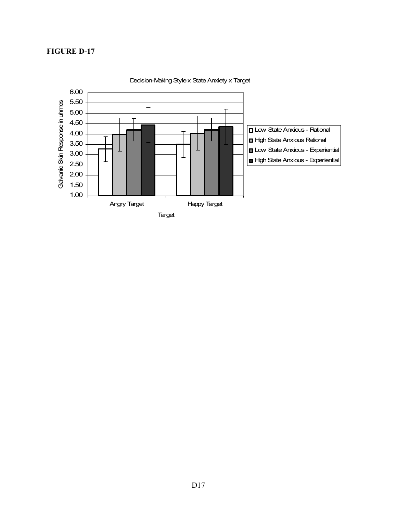

Decision-Making Style x State Anxiety x Target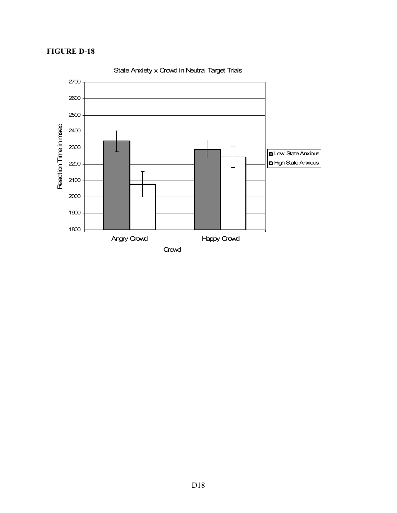

State Anxiety x Crowd in Neutral Target Trials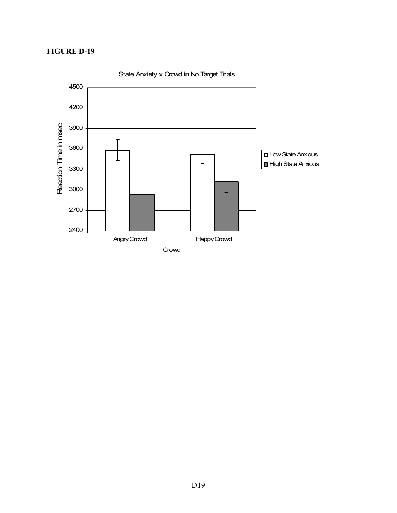

State Anxiety x Crowd in No Target Trials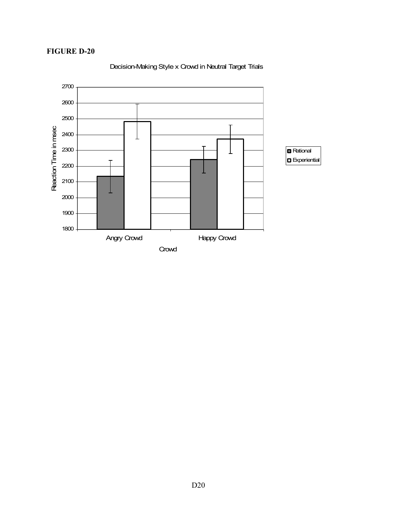

Decision-Making Style x Crowd in Neutral Target Trials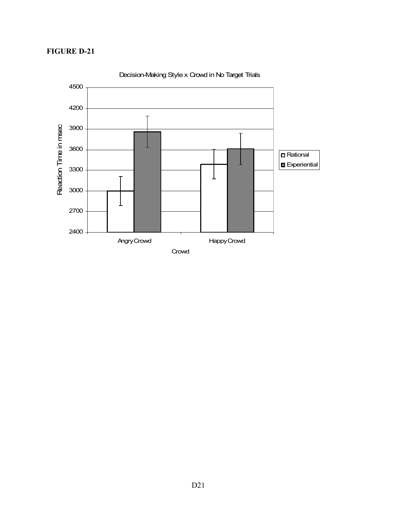

Decision-Making Style x Crowd in No Target Trials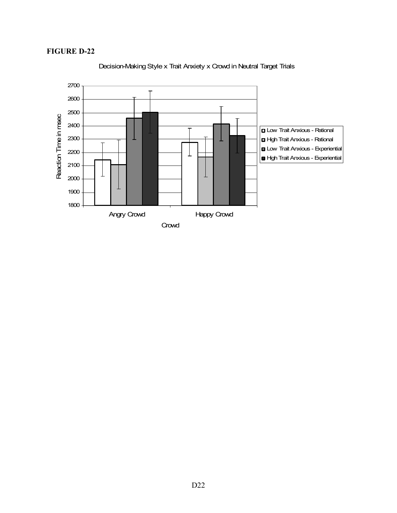

Decision-Making Style x Trait Anxiety x Crowd in Neutral Target Trials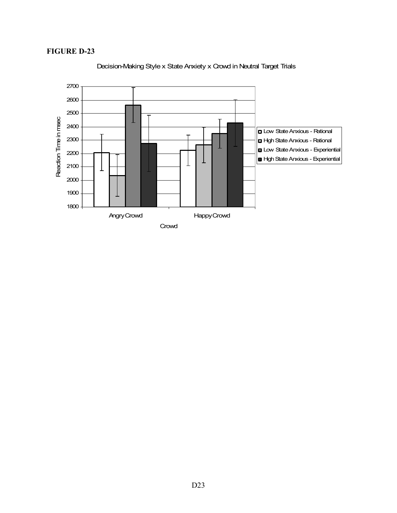

Decision-Making Style x State Anxiety x Crowd in Neutral Target Trials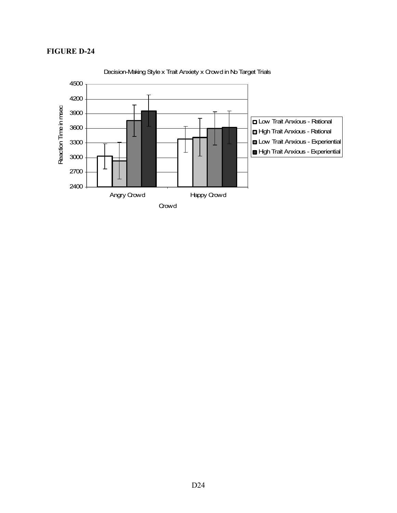

Decision-Making Style x Trait Anxiety x Crowd in No Target Trials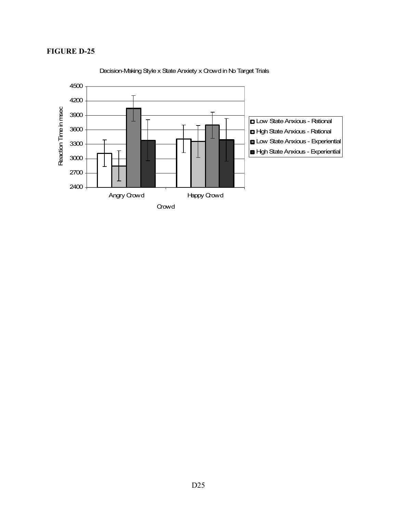

Decision-Making Style x State Anxiety x Crowd in No Target Trials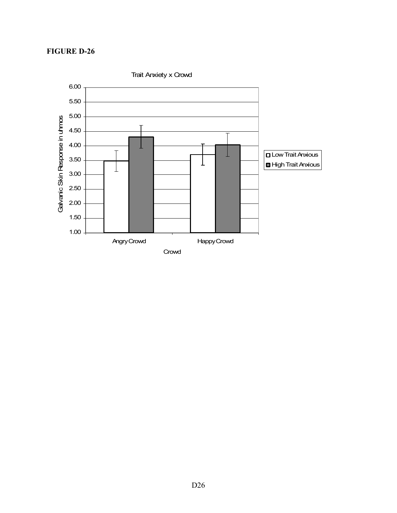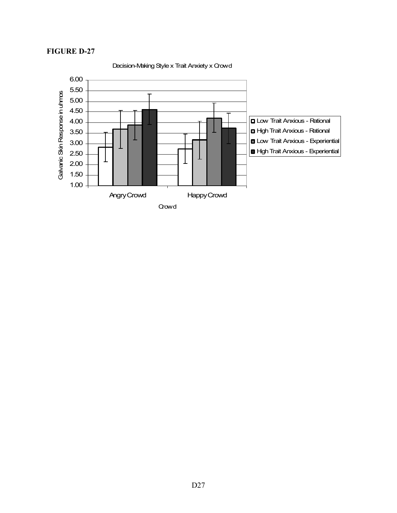

Decision-Making Style x Trait Anxiety x Crowd